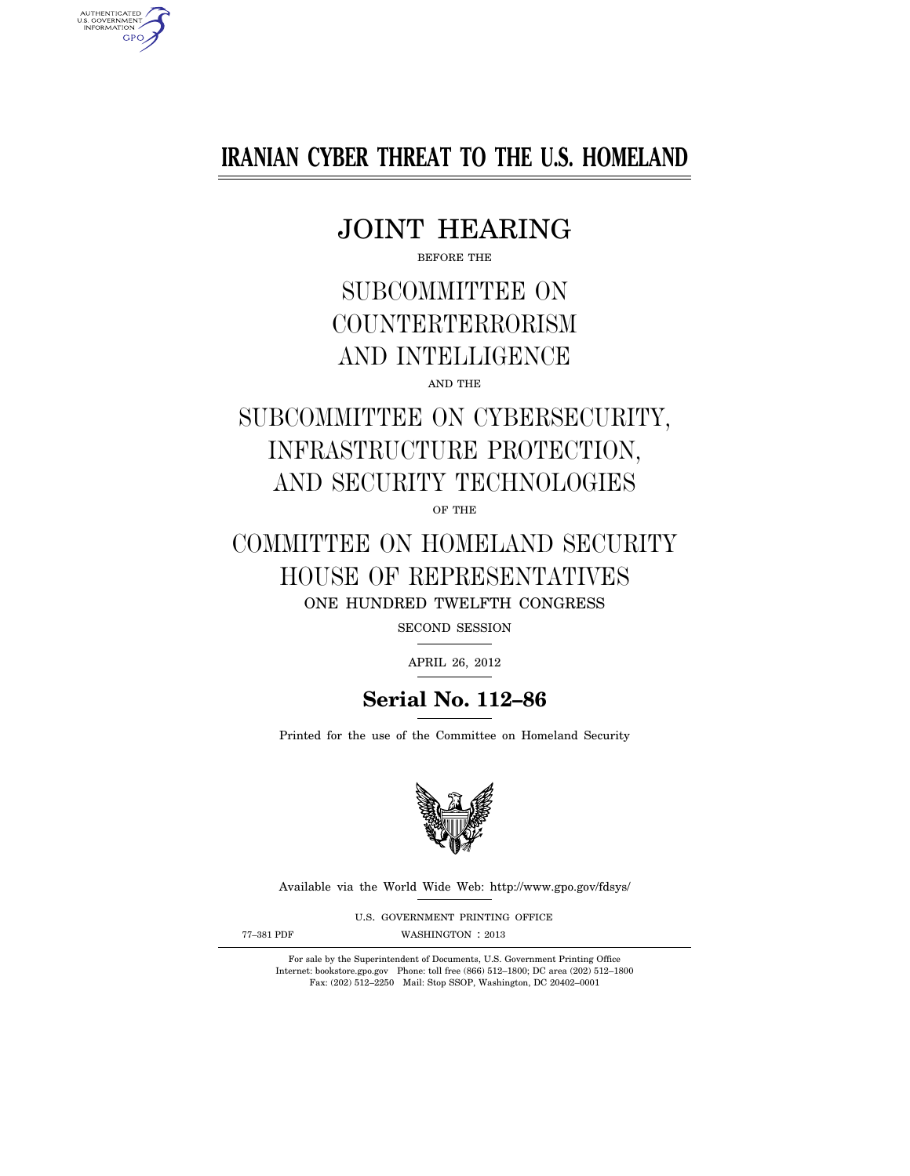# **IRANIAN CYBER THREAT TO THE U.S. HOMELAND**

# JOINT HEARING

BEFORE THE

# SUBCOMMITTEE ON **COUNTERTERRORISM** AND INTELLIGENCE AND THE

# SUBCOMMITTEE ON CYBERSECURITY, INFRASTRUCTURE PROTECTION, AND SECURITY TECHNOLOGIES

OF THE

# COMMITTEE ON HOMELAND SECURITY HOUSE OF REPRESENTATIVES

ONE HUNDRED TWELFTH CONGRESS

SECOND SESSION

APRIL 26, 2012

# **Serial No. 112–86**

Printed for the use of the Committee on Homeland Security



Available via the World Wide Web: http://www.gpo.gov/fdsys/

U.S. GOVERNMENT PRINTING OFFICE

AUTHENTICATED<br>U.S. GOVERNMENT<br>INFORMATION **GPO** 

77-381 PDF WASHINGTON : 2013

For sale by the Superintendent of Documents, U.S. Government Printing Office Internet: bookstore.gpo.gov Phone: toll free (866) 512–1800; DC area (202) 512–1800 Fax: (202) 512–2250 Mail: Stop SSOP, Washington, DC 20402–0001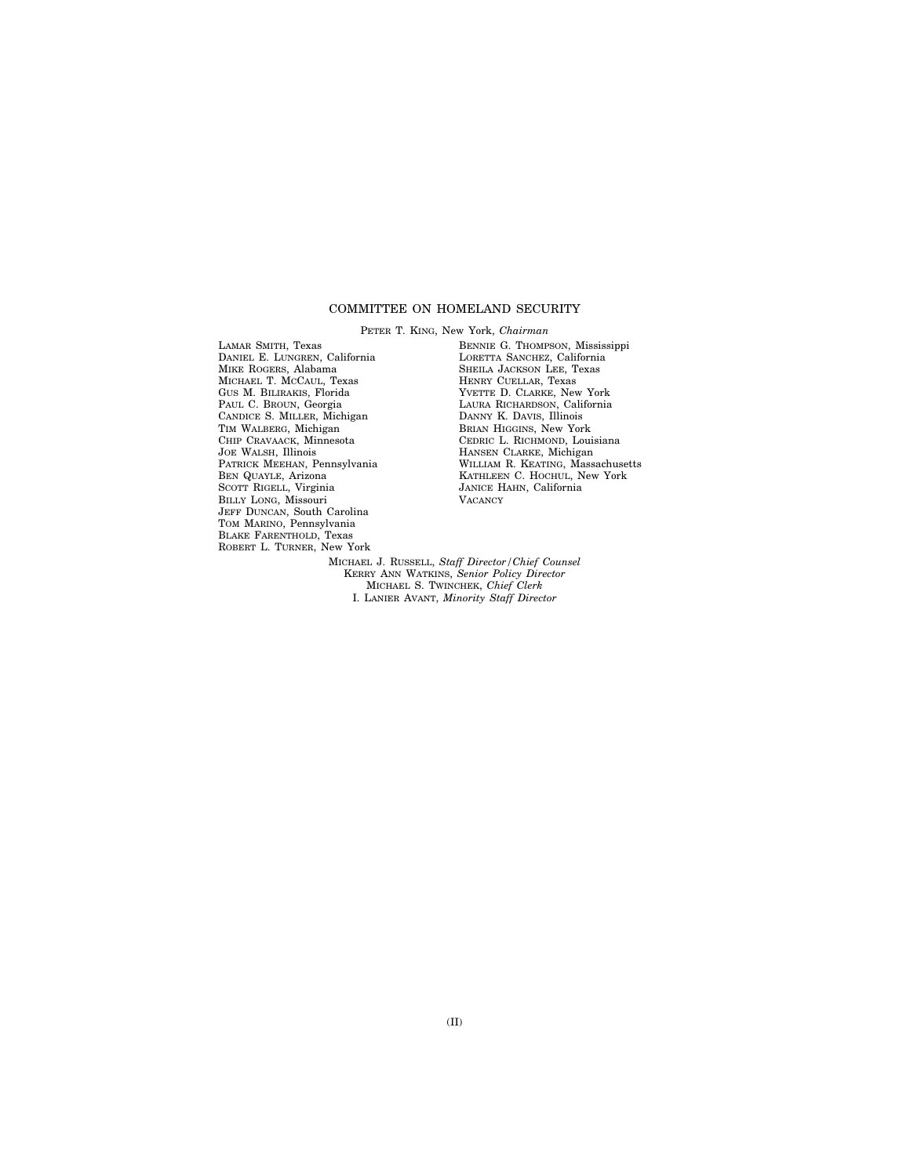## COMMITTEE ON HOMELAND SECURITY

PETER T. KING, New York, *Chairman*  LAMAR SMITH, Texas DANIEL E. LUNGREN, California MIKE ROGERS, Alabama MICHAEL T. MCCAUL, Texas GUS M. BILIRAKIS, Florida PAUL C. BROUN, Georgia CANDICE S. MILLER, Michigan TIM WALBERG, Michigan CHIP CRAVAACK, Minnesota JOE WALSH, Illinois PATRICK MEEHAN, Pennsylvania BEN QUAYLE, Arizona SCOTT RIGELL, Virginia BILLY LONG, Missouri JEFF DUNCAN, South Carolina TOM MARINO, Pennsylvania BLAKE FARENTHOLD, Texas ROBERT L. TURNER, New York

BENNIE G. THOMPSON, Mississippi LORETTA SANCHEZ, California SHEILA JACKSON LEE, Texas HENRY CUELLAR, Texas YVETTE D. CLARKE, New York LAURA RICHARDSON, California DANNY K. DAVIS, Illinois BRIAN HIGGINS, New York CEDRIC L. RICHMOND, Louisiana HANSEN CLARKE, Michigan WILLIAM R. KEATING, Massachusetts KATHLEEN C. HOCHUL, New York JANICE HAHN, California **VACANCY** 

MICHAEL J. RUSSELL, *Staff Director/Chief Counsel*  KERRY ANN WATKINS, *Senior Policy Director*  MICHAEL S. TWINCHEK, *Chief Clerk*  I. LANIER AVANT, *Minority Staff Director*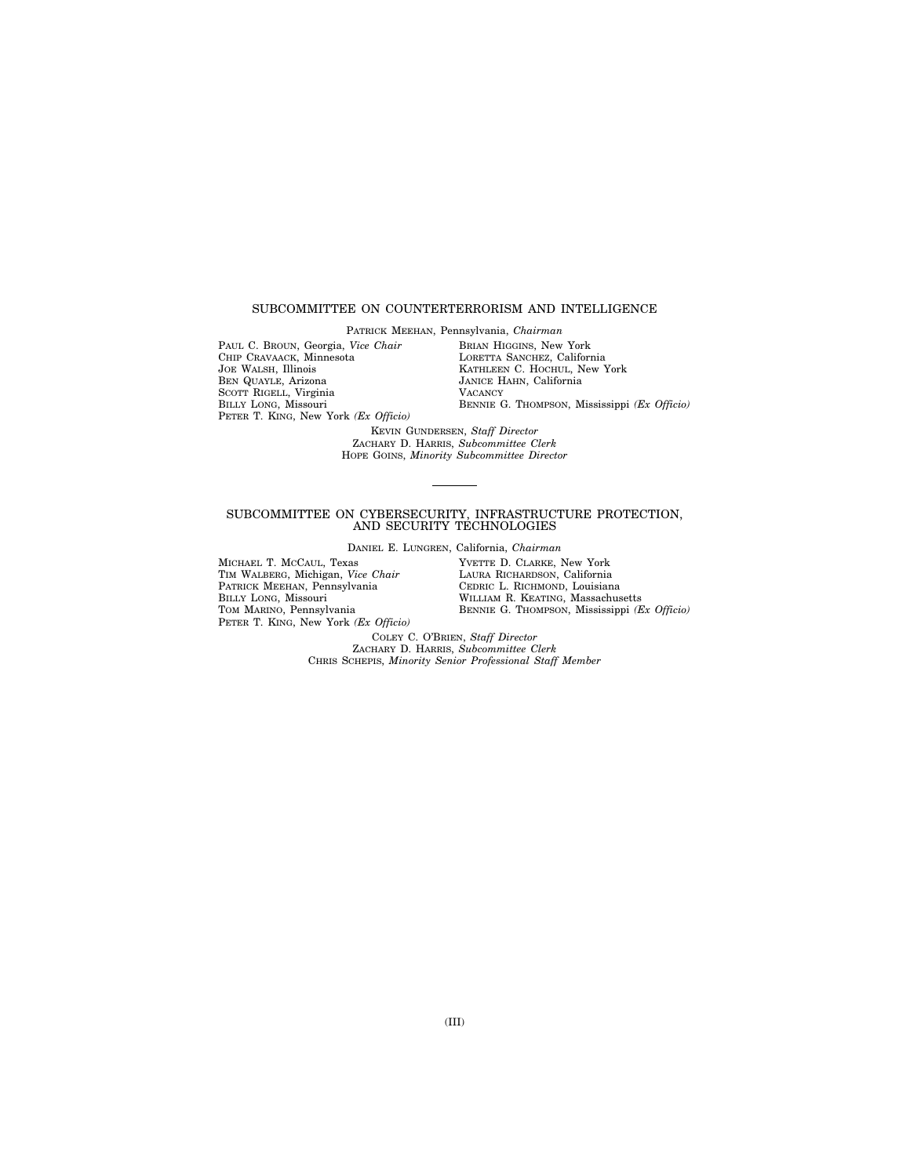## SUBCOMMITTEE ON COUNTERTERRORISM AND INTELLIGENCE

PATRICK MEEHAN, Pennsylvania, *Chairman* 

PAUL C. BROUN, Georgia, *Vice Chair*  CHIP CRAVAACK, Minnesota JOE WALSH, Illinois BEN QUAYLE, Arizona SCOTT RIGELL, Virginia BILLY LONG, Missouri PETER T. KING, New York *(Ex Officio)*  BRIAN HIGGINS, New York LORETTA SANCHEZ, California KATHLEEN C. HOCHUL, New York JANICE HAHN, California **VACANCY** BENNIE G. THOMPSON, Mississippi *(Ex Officio)* 

KEVIN GUNDERSEN, *Staff Director*  ZACHARY D. HARRIS, *Subcommittee Clerk*  HOPE GOINS, *Minority Subcommittee Director* 

#### SUBCOMMITTEE ON CYBERSECURITY, INFRASTRUCTURE PROTECTION, AND SECURITY TECHNOLOGIES

DANIEL E. LUNGREN, California, *Chairman* 

MICHAEL T. MCCAUL, Texas TIM WALBERG, Michigan, *Vice Chair*  PATRICK MEEHAN, Pennsylvania BILLY LONG, Missouri TOM MARINO, Pennsylvania PETER T. KING, New York *(Ex Officio)*  YVETTE D. CLARKE, New York LAURA RICHARDSON, California CEDRIC L. RICHMOND, Louisiana WILLIAM R. KEATING, Massachusetts BENNIE G. THOMPSON, Mississippi *(Ex Officio)* 

COLEY C. O'BRIEN, *Staff Director*  ZACHARY D. HARRIS, *Subcommittee Clerk*  CHRIS SCHEPIS, *Minority Senior Professional Staff Member*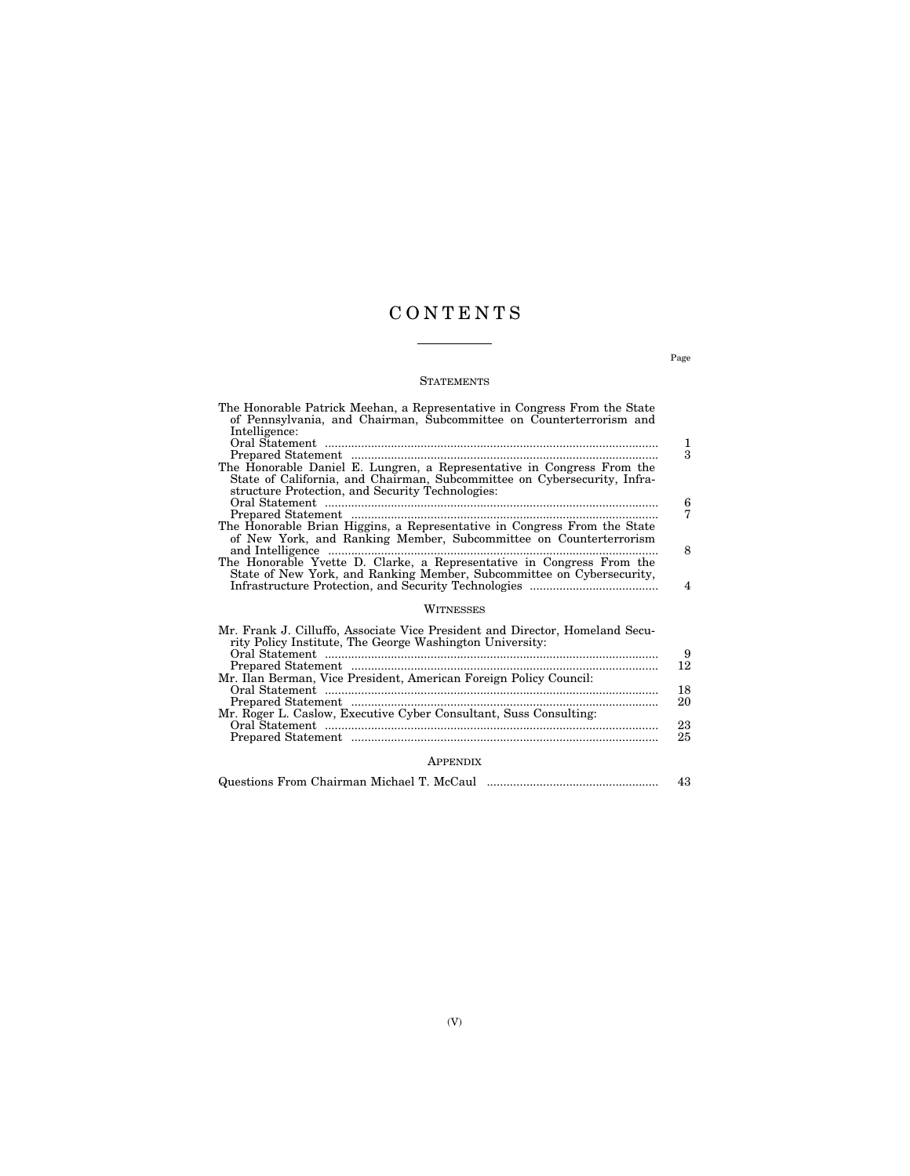# C O N T E N T S

## **STATEMENTS**

| The Honorable Patrick Meehan, a Representative in Congress From the State                                                                          |                |
|----------------------------------------------------------------------------------------------------------------------------------------------------|----------------|
| of Pennsylvania, and Chairman, Subcommittee on Counterterrorism and<br>Intelligence:                                                               |                |
|                                                                                                                                                    | 1              |
|                                                                                                                                                    | 3              |
| The Honorable Daniel E. Lungren, a Representative in Congress From the<br>State of California, and Chairman, Subcommittee on Cybersecurity, Infra- |                |
| structure Protection, and Security Technologies:                                                                                                   |                |
|                                                                                                                                                    | 6              |
|                                                                                                                                                    | 7              |
| The Honorable Brian Higgins, a Representative in Congress From the State<br>of New York, and Ranking Member, Subcommittee on Counterterrorism      |                |
|                                                                                                                                                    | 8              |
| The Honorable Yvette D. Clarke, a Representative in Congress From the                                                                              |                |
| State of New York, and Ranking Member, Subcommittee on Cybersecurity,                                                                              | $\overline{4}$ |
| WITNESSES                                                                                                                                          |                |
| Mr. Frank J. Cilluffo, Associate Vice President and Director, Homeland Secu-<br>rity Policy Institute, The George Washington University:           |                |
|                                                                                                                                                    | 9              |
|                                                                                                                                                    | 12             |
| Mr. Ilan Berman, Vice President, American Foreign Policy Council:                                                                                  | 18             |
| Mr. Roger L. Caslow, Executive Cyber Consultant, Suss Consulting:                                                                                  | 20             |
|                                                                                                                                                    | 23             |
|                                                                                                                                                    | 25             |
|                                                                                                                                                    |                |

## APPENDIX

|  | 43 |  |
|--|----|--|
|--|----|--|

Page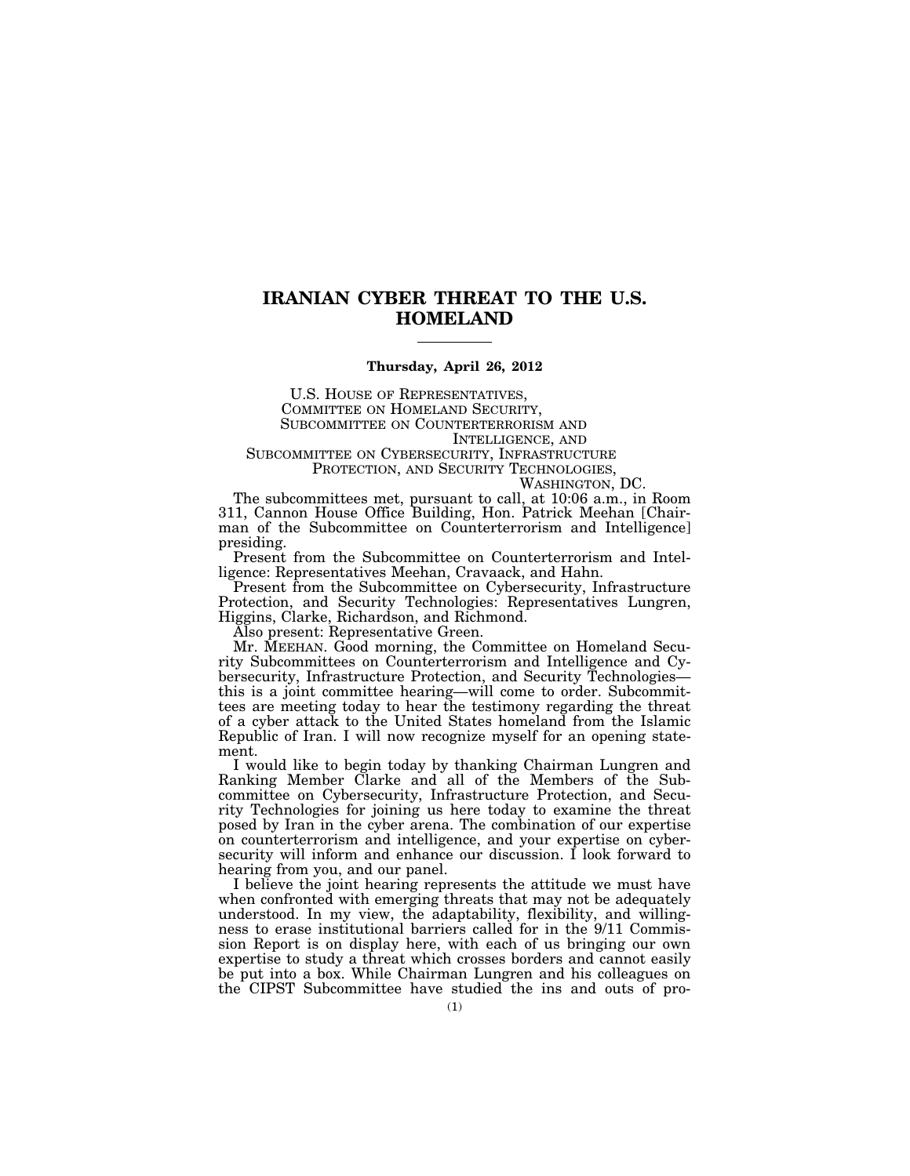# **IRANIAN CYBER THREAT TO THE U.S. HOMELAND**

## **Thursday, April 26, 2012**

U.S. HOUSE OF REPRESENTATIVES, COMMITTEE ON HOMELAND SECURITY, SUBCOMMITTEE ON COUNTERTERRORISM AND INTELLIGENCE, AND

SUBCOMMITTEE ON CYBERSECURITY, INFRASTRUCTURE PROTECTION, AND SECURITY TECHNOLOGIES,

WASHINGTON, DC.

The subcommittees met, pursuant to call, at 10:06 a.m., in Room 311, Cannon House Office Building, Hon. Patrick Meehan [Chairman of the Subcommittee on Counterterrorism and Intelligence] presiding.

Present from the Subcommittee on Counterterrorism and Intelligence: Representatives Meehan, Cravaack, and Hahn.

Present from the Subcommittee on Cybersecurity, Infrastructure Protection, and Security Technologies: Representatives Lungren, Higgins, Clarke, Richardson, and Richmond.

Also present: Representative Green.

Mr. MEEHAN. Good morning, the Committee on Homeland Security Subcommittees on Counterterrorism and Intelligence and Cybersecurity, Infrastructure Protection, and Security Technologies this is a joint committee hearing—will come to order. Subcommittees are meeting today to hear the testimony regarding the threat of a cyber attack to the United States homeland from the Islamic Republic of Iran. I will now recognize myself for an opening statement.

I would like to begin today by thanking Chairman Lungren and Ranking Member Clarke and all of the Members of the Subcommittee on Cybersecurity, Infrastructure Protection, and Security Technologies for joining us here today to examine the threat posed by Iran in the cyber arena. The combination of our expertise on counterterrorism and intelligence, and your expertise on cybersecurity will inform and enhance our discussion. I look forward to hearing from you, and our panel.

I believe the joint hearing represents the attitude we must have when confronted with emerging threats that may not be adequately understood. In my view, the adaptability, flexibility, and willingness to erase institutional barriers called for in the 9/11 Commission Report is on display here, with each of us bringing our own expertise to study a threat which crosses borders and cannot easily be put into a box. While Chairman Lungren and his colleagues on the CIPST Subcommittee have studied the ins and outs of pro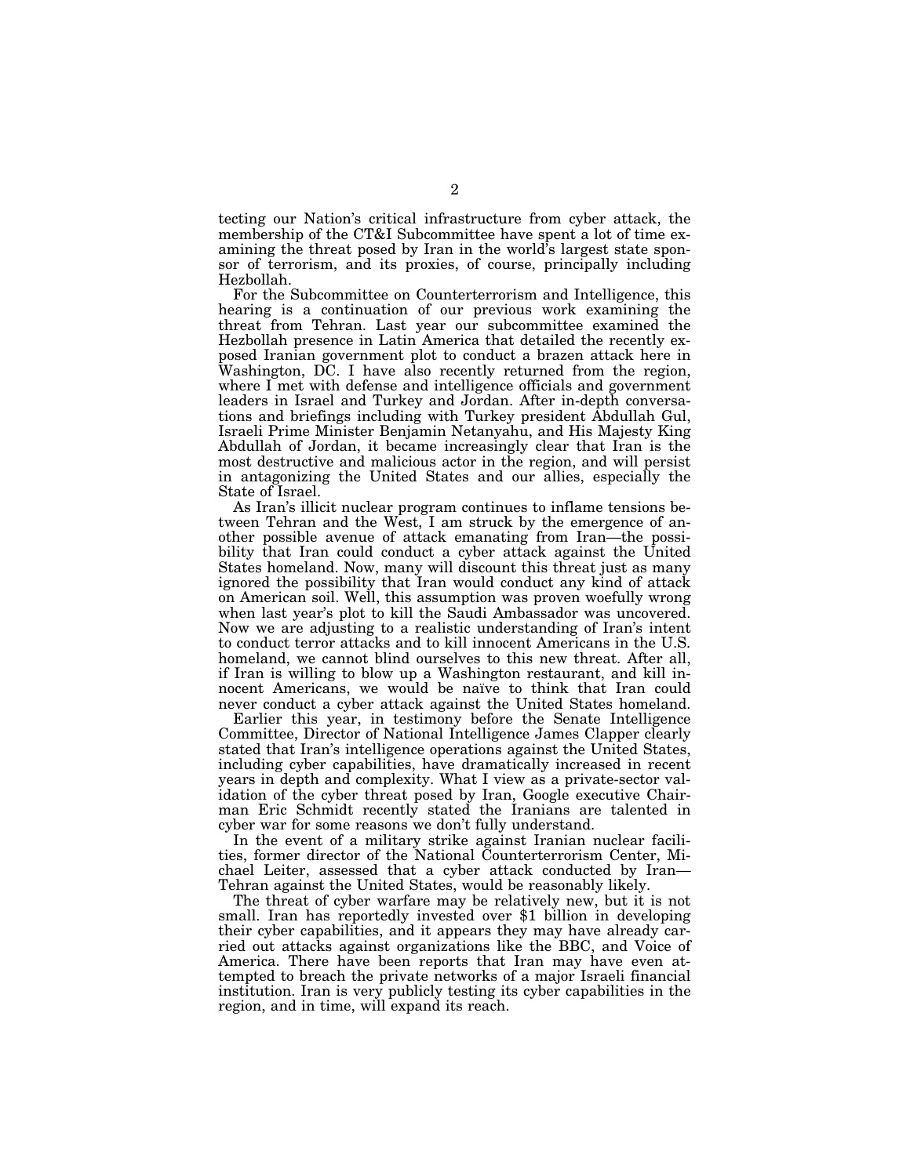tecting our Nation's critical infrastructure from cyber attack, the membership of the CT&I Subcommittee have spent a lot of time examining the threat posed by Iran in the world's largest state sponsor of terrorism, and its proxies, of course, principally including Hezbollah.

For the Subcommittee on Counterterrorism and Intelligence, this hearing is a continuation of our previous work examining the threat from Tehran. Last year our subcommittee examined the Hezbollah presence in Latin America that detailed the recently exposed Iranian government plot to conduct a brazen attack here in Washington, DC. I have also recently returned from the region, where I met with defense and intelligence officials and government leaders in Israel and Turkey and Jordan. After in-depth conversations and briefings including with Turkey president Abdullah Gul, Israeli Prime Minister Benjamin Netanyahu, and His Majesty King Abdullah of Jordan, it became increasingly clear that Iran is the most destructive and malicious actor in the region, and will persist in antagonizing the United States and our allies, especially the State of Israel.

As Iran's illicit nuclear program continues to inflame tensions between Tehran and the West, I am struck by the emergence of another possible avenue of attack emanating from Iran—the possibility that Iran could conduct a cyber attack against the United States homeland. Now, many will discount this threat just as many ignored the possibility that Iran would conduct any kind of attack on American soil. Well, this assumption was proven woefully wrong when last year's plot to kill the Saudi Ambassador was uncovered. Now we are adjusting to a realistic understanding of Iran's intent to conduct terror attacks and to kill innocent Americans in the U.S. homeland, we cannot blind ourselves to this new threat. After all, if Iran is willing to blow up a Washington restaurant, and kill innocent Americans, we would be naïve to think that Iran could never conduct a cyber attack against the United States homeland.

Earlier this year, in testimony before the Senate Intelligence Committee, Director of National Intelligence James Clapper clearly stated that Iran's intelligence operations against the United States, including cyber capabilities, have dramatically increased in recent years in depth and complexity. What I view as a private-sector validation of the cyber threat posed by Iran, Google executive Chairman Eric Schmidt recently stated the Iranians are talented in cyber war for some reasons we don't fully understand.

In the event of a military strike against Iranian nuclear facilities, former director of the National Counterterrorism Center, Michael Leiter, assessed that a cyber attack conducted by Iran— Tehran against the United States, would be reasonably likely.

The threat of cyber warfare may be relatively new, but it is not small. Iran has reportedly invested over \$1 billion in developing their cyber capabilities, and it appears they may have already carried out attacks against organizations like the BBC, and Voice of America. There have been reports that Iran may have even attempted to breach the private networks of a major Israeli financial institution. Iran is very publicly testing its cyber capabilities in the region, and in time, will expand its reach.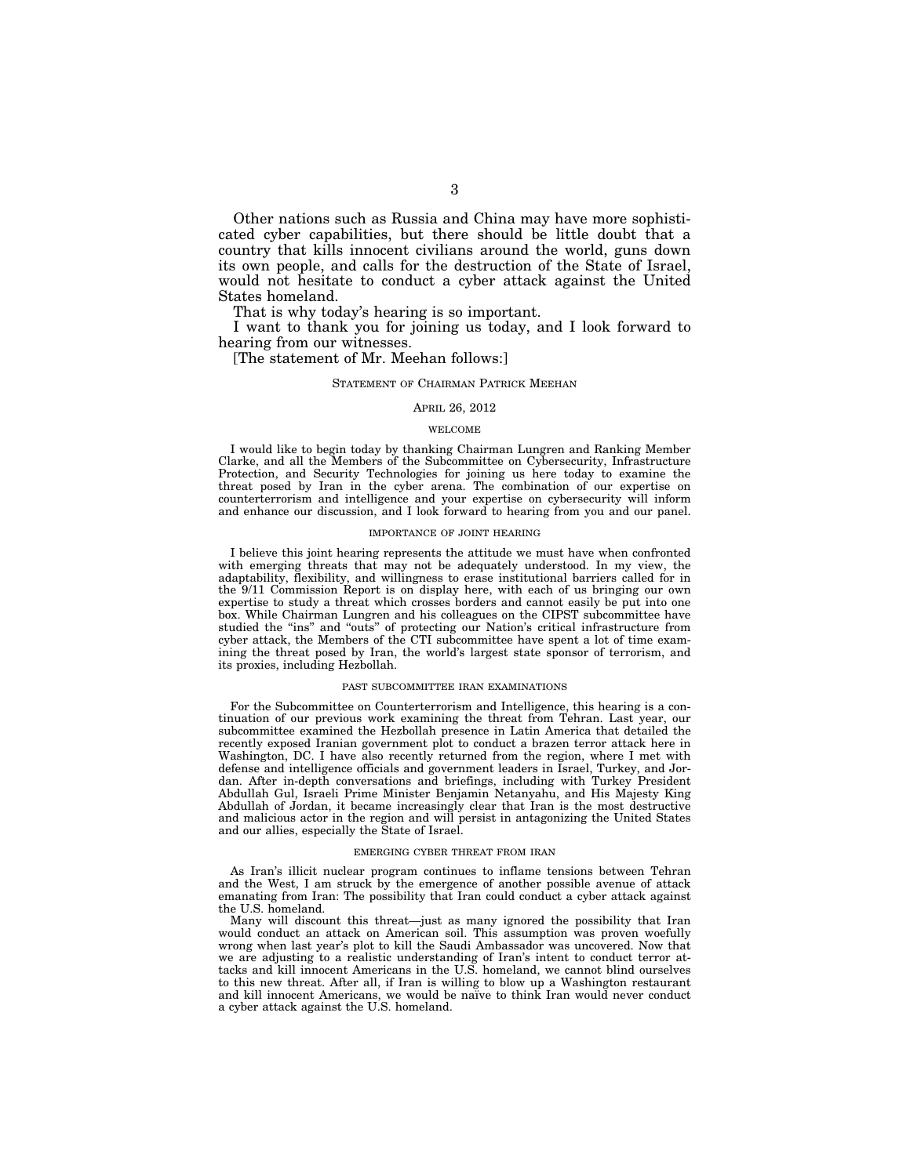Other nations such as Russia and China may have more sophisticated cyber capabilities, but there should be little doubt that a country that kills innocent civilians around the world, guns down its own people, and calls for the destruction of the State of Israel, would not hesitate to conduct a cyber attack against the United States homeland.

That is why today's hearing is so important.

I want to thank you for joining us today, and I look forward to hearing from our witnesses.

[The statement of Mr. Meehan follows:]

#### STATEMENT OF CHAIRMAN PATRICK MEEHAN

#### APRIL 26, 2012

#### WELCOME

I would like to begin today by thanking Chairman Lungren and Ranking Member Clarke, and all the Members of the Subcommittee on Cybersecurity, Infrastructure Protection, and Security Technologies for joining us here today to examine the threat posed by Iran in the cyber arena. The combination of our expertise on counterterrorism and intelligence and your expertise on cybersecurity will inform and enhance our discussion, and I look forward to hearing from you and our panel.

#### IMPORTANCE OF JOINT HEARING

I believe this joint hearing represents the attitude we must have when confronted with emerging threats that may not be adequately understood. In my view, the adaptability, flexibility, and willingness to erase institutional barriers called for in the 9/11 Commission Report is on display here, with each of us bringing our own expertise to study a threat which crosses borders and cannot easily be put into one box. While Chairman Lungren and his colleagues on the CIPST subcommittee have studied the "ins" and "outs" of protecting our Nation's critical infrastructure from cyber attack, the Members of the CTI subcommittee have spent a lot of time examining the threat posed by Iran, the world's largest state sponsor of terrorism, and its proxies, including Hezbollah.

#### PAST SUBCOMMITTEE IRAN EXAMINATIONS

For the Subcommittee on Counterterrorism and Intelligence, this hearing is a continuation of our previous work examining the threat from Tehran. Last year, our subcommittee examined the Hezbollah presence in Latin America that detailed the recently exposed Iranian government plot to conduct a brazen terror attack here in Washington, DC. I have also recently returned from the region, where I met with defense and intelligence officials and government leaders in Israel, Turkey, and Jordan. After in-depth conversations and briefings, including with Turkey President Abdullah Gul, Israeli Prime Minister Benjamin Netanyahu, and His Majesty King Abdullah of Jordan, it became increasingly clear that Iran is the most destructive and malicious actor in the region and will persist in antagonizing the United States and our allies, especially the State of Israel.

#### EMERGING CYBER THREAT FROM IRAN

As Iran's illicit nuclear program continues to inflame tensions between Tehran and the West, I am struck by the emergence of another possible avenue of attack emanating from Iran: The possibility that Iran could conduct a cyber attack against the U.S. homeland.

Many will discount this threat—just as many ignored the possibility that Iran would conduct an attack on American soil. This assumption was proven woefully wrong when last year's plot to kill the Saudi Ambassador was uncovered. Now that we are adjusting to a realistic understanding of Iran's intent to conduct terror attacks and kill innocent Americans in the U.S. homeland, we cannot blind ourselves to this new threat. After all, if Iran is willing to blow up a Washington restaurant and kill innocent Americans, we would be naïve to think Iran would never conduct a cyber attack against the U.S. homeland.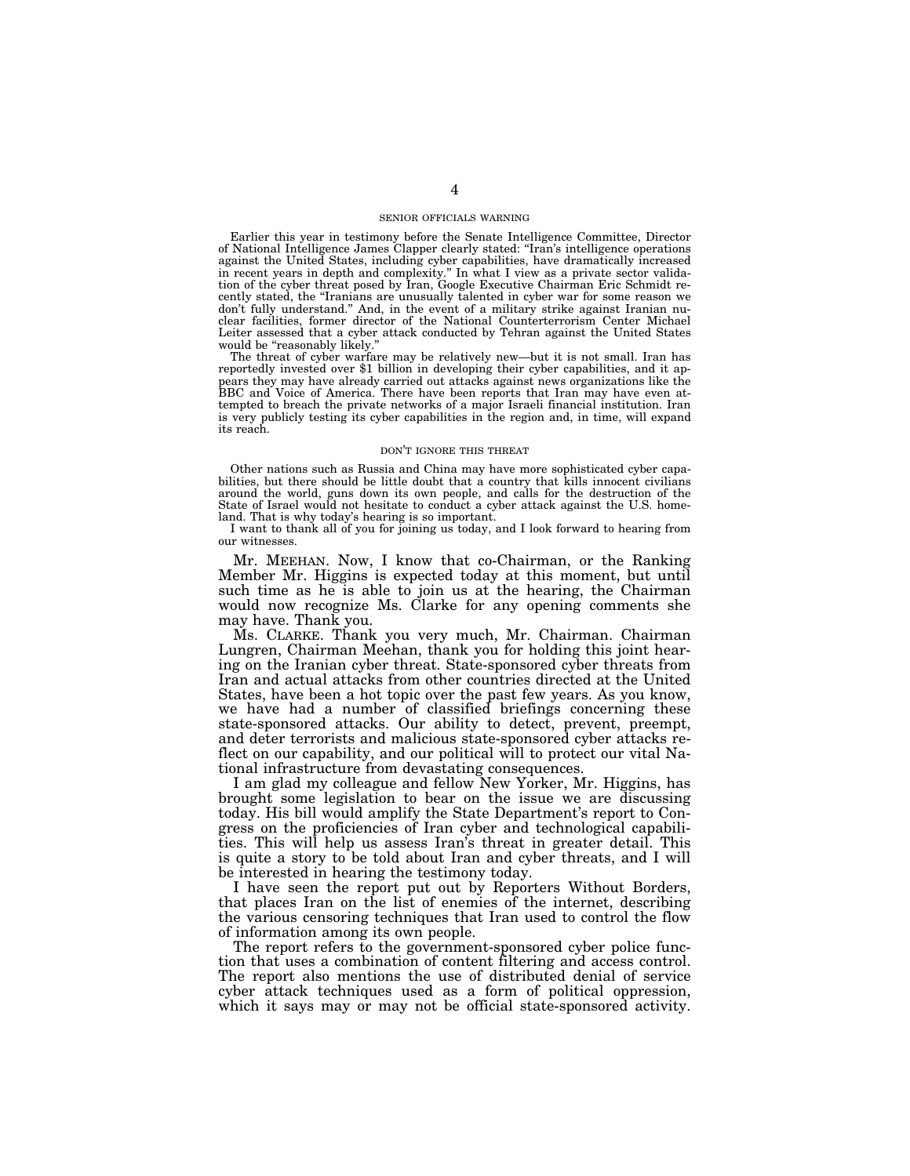#### SENIOR OFFICIALS WARNING

Earlier this year in testimony before the Senate Intelligence Committee, Director of National Intelligence James Clapper clearly stated: ''Iran's intelligence operations against the United States, including cyber capabilities, have dramatically increased in recent years in depth and complexity.'' In what I view as a private sector validation of the cyber threat posed by Iran, Google Executive Chairman Eric Schmidt recently stated, the ''Iranians are unusually talented in cyber war for some reason we don't fully understand.'' And, in the event of a military strike against Iranian nuclear facilities, former director of the National Counterterrorism Center Michael Leiter assessed that a cyber attack conducted by Tehran against the United States would be "reasonably likely.

The threat of cyber warfare may be relatively new—but it is not small. Iran has reportedly invested over \$1 billion in developing their cyber capabilities, and it appears they may have already carried out attacks against news organizations like the BBC and Voice of America. There have been reports that Iran may have even attempted to breach the private networks of a major Israeli financial institution. Iran is very publicly testing its cyber capabilities in the region and, in time, will expand its reach.

#### DON'T IGNORE THIS THREAT

Other nations such as Russia and China may have more sophisticated cyber capabilities, but there should be little doubt that a country that kills innocent civilians around the world, guns down its own people, and calls for the destruction of the State of Israel would not hesitate to conduct a cyber attack against the U.S. homeland. That is why today's hearing is so important.

I want to thank all of you for joining us today, and I look forward to hearing from our witnesses.

Mr. MEEHAN. Now, I know that co-Chairman, or the Ranking Member Mr. Higgins is expected today at this moment, but until such time as he is able to join us at the hearing, the Chairman would now recognize Ms. Clarke for any opening comments she may have. Thank you.

Ms. CLARKE. Thank you very much, Mr. Chairman. Chairman Lungren, Chairman Meehan, thank you for holding this joint hearing on the Iranian cyber threat. State-sponsored cyber threats from Iran and actual attacks from other countries directed at the United States, have been a hot topic over the past few years. As you know, we have had a number of classified briefings concerning these state-sponsored attacks. Our ability to detect, prevent, preempt, and deter terrorists and malicious state-sponsored cyber attacks reflect on our capability, and our political will to protect our vital National infrastructure from devastating consequences.

I am glad my colleague and fellow New Yorker, Mr. Higgins, has brought some legislation to bear on the issue we are discussing today. His bill would amplify the State Department's report to Congress on the proficiencies of Iran cyber and technological capabilities. This will help us assess Iran's threat in greater detail. This is quite a story to be told about Iran and cyber threats, and I will be interested in hearing the testimony today.

I have seen the report put out by Reporters Without Borders, that places Iran on the list of enemies of the internet, describing the various censoring techniques that Iran used to control the flow of information among its own people.

The report refers to the government-sponsored cyber police function that uses a combination of content filtering and access control. The report also mentions the use of distributed denial of service cyber attack techniques used as a form of political oppression, which it says may or may not be official state-sponsored activity.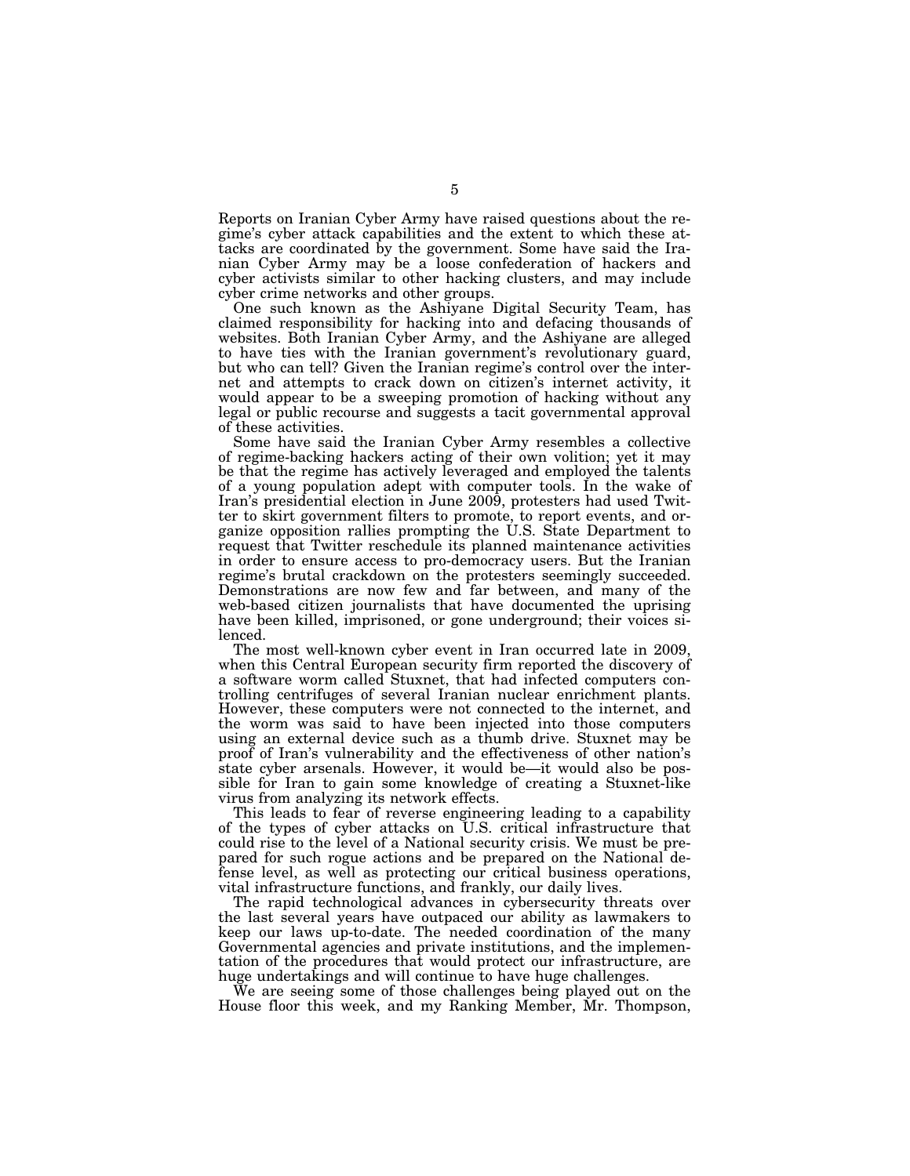Reports on Iranian Cyber Army have raised questions about the regime's cyber attack capabilities and the extent to which these attacks are coordinated by the government. Some have said the Iranian Cyber Army may be a loose confederation of hackers and cyber activists similar to other hacking clusters, and may include cyber crime networks and other groups.

One such known as the Ashiyane Digital Security Team, has claimed responsibility for hacking into and defacing thousands of websites. Both Iranian Cyber Army, and the Ashiyane are alleged to have ties with the Iranian government's revolutionary guard, but who can tell? Given the Iranian regime's control over the internet and attempts to crack down on citizen's internet activity, it would appear to be a sweeping promotion of hacking without any legal or public recourse and suggests a tacit governmental approval of these activities.

Some have said the Iranian Cyber Army resembles a collective of regime-backing hackers acting of their own volition; yet it may be that the regime has actively leveraged and employed the talents of a young population adept with computer tools. In the wake of Iran's presidential election in June 2009, protesters had used Twitter to skirt government filters to promote, to report events, and organize opposition rallies prompting the U.S. State Department to request that Twitter reschedule its planned maintenance activities in order to ensure access to pro-democracy users. But the Iranian regime's brutal crackdown on the protesters seemingly succeeded. Demonstrations are now few and far between, and many of the web-based citizen journalists that have documented the uprising have been killed, imprisoned, or gone underground; their voices silenced.

The most well-known cyber event in Iran occurred late in 2009, when this Central European security firm reported the discovery of a software worm called Stuxnet, that had infected computers controlling centrifuges of several Iranian nuclear enrichment plants. However, these computers were not connected to the internet, and the worm was said to have been injected into those computers using an external device such as a thumb drive. Stuxnet may be proof of Iran's vulnerability and the effectiveness of other nation's state cyber arsenals. However, it would be—it would also be possible for Iran to gain some knowledge of creating a Stuxnet-like virus from analyzing its network effects.

This leads to fear of reverse engineering leading to a capability of the types of cyber attacks on U.S. critical infrastructure that could rise to the level of a National security crisis. We must be prepared for such rogue actions and be prepared on the National defense level, as well as protecting our critical business operations, vital infrastructure functions, and frankly, our daily lives.

The rapid technological advances in cybersecurity threats over the last several years have outpaced our ability as lawmakers to keep our laws up-to-date. The needed coordination of the many Governmental agencies and private institutions, and the implementation of the procedures that would protect our infrastructure, are huge undertakings and will continue to have huge challenges.

We are seeing some of those challenges being played out on the House floor this week, and my Ranking Member, Mr. Thompson,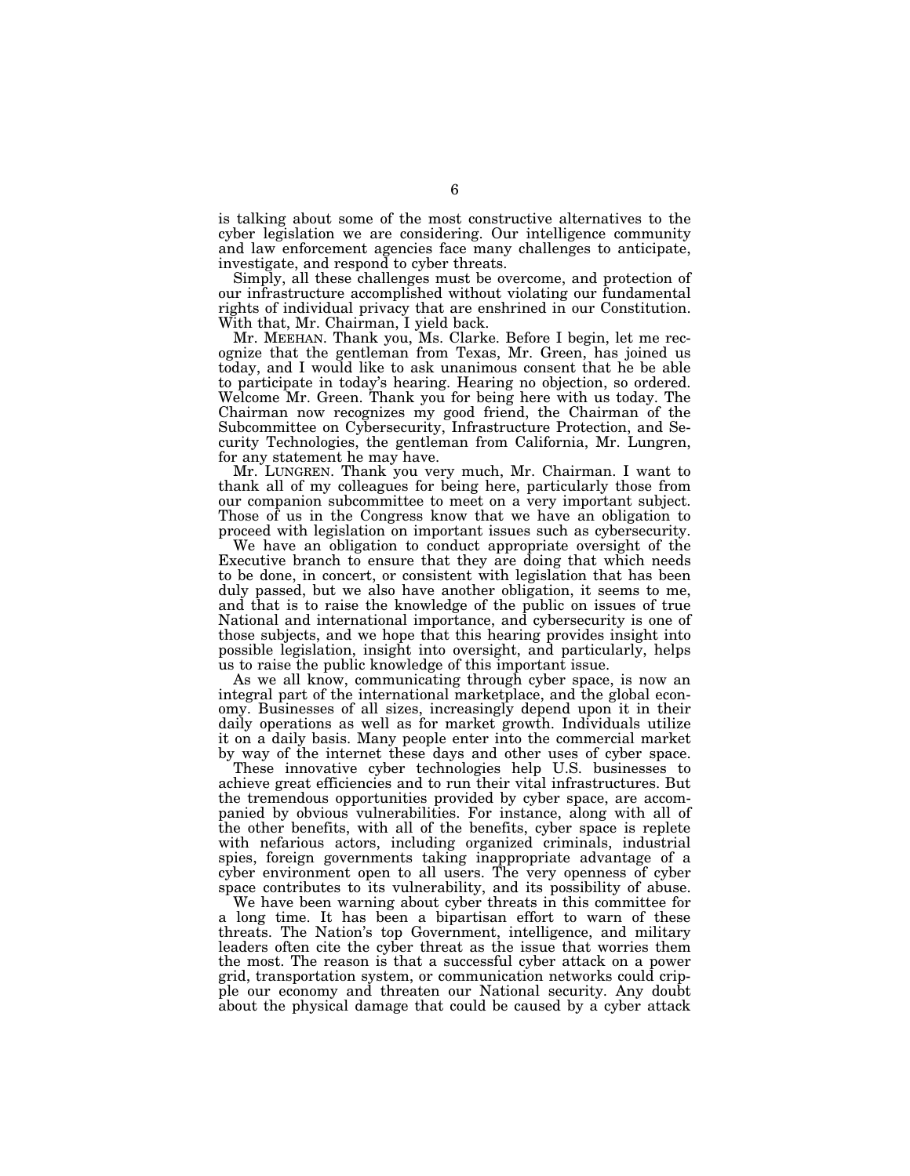is talking about some of the most constructive alternatives to the cyber legislation we are considering. Our intelligence community and law enforcement agencies face many challenges to anticipate, investigate, and respond to cyber threats.

Simply, all these challenges must be overcome, and protection of our infrastructure accomplished without violating our fundamental rights of individual privacy that are enshrined in our Constitution. With that, Mr. Chairman, I yield back.

Mr. MEEHAN. Thank you, Ms. Clarke. Before I begin, let me recognize that the gentleman from Texas, Mr. Green, has joined us today, and I would like to ask unanimous consent that he be able to participate in today's hearing. Hearing no objection, so ordered. Welcome Mr. Green. Thank you for being here with us today. The Chairman now recognizes my good friend, the Chairman of the Subcommittee on Cybersecurity, Infrastructure Protection, and Security Technologies, the gentleman from California, Mr. Lungren, for any statement he may have.

Mr. LUNGREN. Thank you very much, Mr. Chairman. I want to thank all of my colleagues for being here, particularly those from our companion subcommittee to meet on a very important subject. Those of us in the Congress know that we have an obligation to proceed with legislation on important issues such as cybersecurity.

We have an obligation to conduct appropriate oversight of the Executive branch to ensure that they are doing that which needs to be done, in concert, or consistent with legislation that has been duly passed, but we also have another obligation, it seems to me, and that is to raise the knowledge of the public on issues of true National and international importance, and cybersecurity is one of those subjects, and we hope that this hearing provides insight into possible legislation, insight into oversight, and particularly, helps us to raise the public knowledge of this important issue.

As we all know, communicating through cyber space, is now an integral part of the international marketplace, and the global economy. Businesses of all sizes, increasingly depend upon it in their daily operations as well as for market growth. Individuals utilize it on a daily basis. Many people enter into the commercial market by way of the internet these days and other uses of cyber space.

These innovative cyber technologies help U.S. businesses to achieve great efficiencies and to run their vital infrastructures. But the tremendous opportunities provided by cyber space, are accompanied by obvious vulnerabilities. For instance, along with all of the other benefits, with all of the benefits, cyber space is replete with nefarious actors, including organized criminals, industrial spies, foreign governments taking inappropriate advantage of a cyber environment open to all users. The very openness of cyber space contributes to its vulnerability, and its possibility of abuse.

We have been warning about cyber threats in this committee for a long time. It has been a bipartisan effort to warn of these threats. The Nation's top Government, intelligence, and military leaders often cite the cyber threat as the issue that worries them the most. The reason is that a successful cyber attack on a power grid, transportation system, or communication networks could cripple our economy and threaten our National security. Any doubt about the physical damage that could be caused by a cyber attack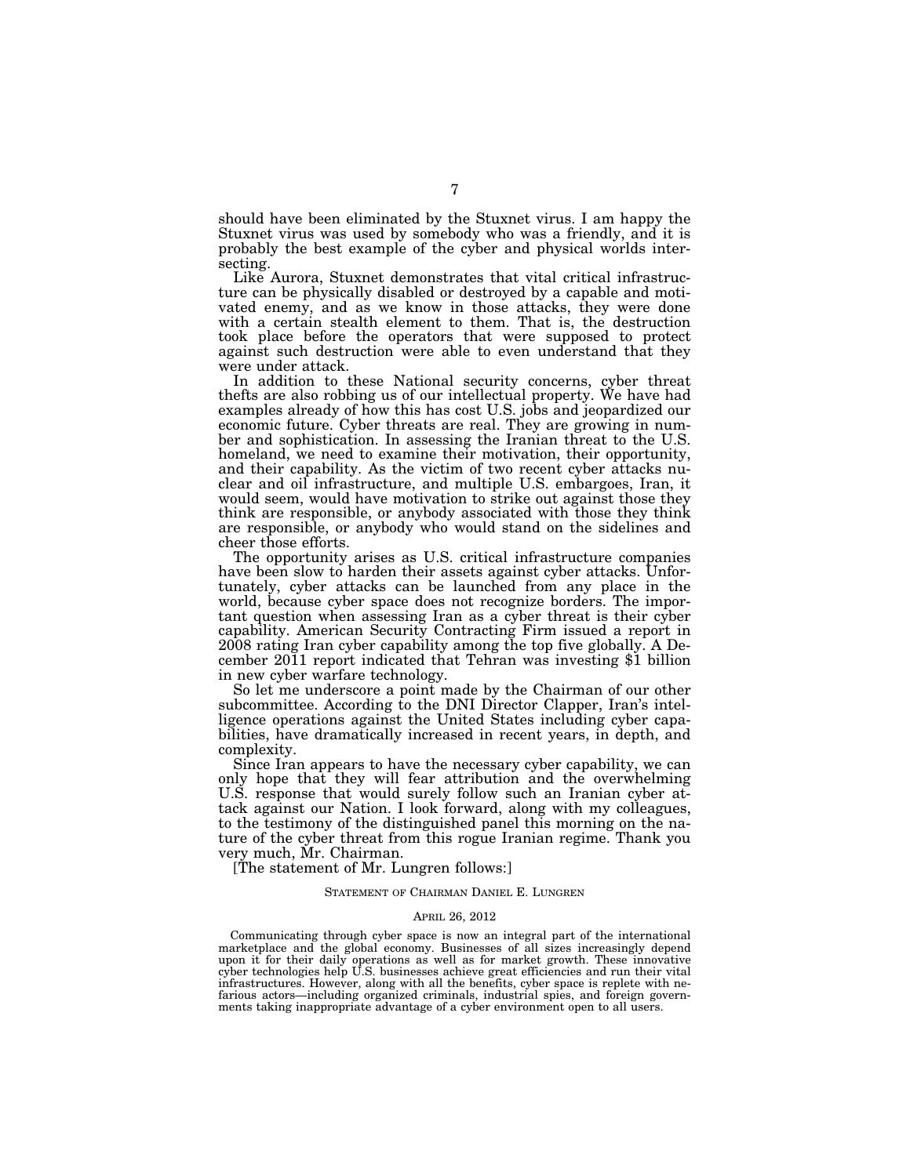should have been eliminated by the Stuxnet virus. I am happy the Stuxnet virus was used by somebody who was a friendly, and it is probably the best example of the cyber and physical worlds intersecting.

Like Aurora, Stuxnet demonstrates that vital critical infrastructure can be physically disabled or destroyed by a capable and motivated enemy, and as we know in those attacks, they were done with a certain stealth element to them. That is, the destruction took place before the operators that were supposed to protect against such destruction were able to even understand that they were under attack.

In addition to these National security concerns, cyber threat thefts are also robbing us of our intellectual property. We have had examples already of how this has cost U.S. jobs and jeopardized our economic future. Cyber threats are real. They are growing in number and sophistication. In assessing the Iranian threat to the U.S. homeland, we need to examine their motivation, their opportunity, and their capability. As the victim of two recent cyber attacks nuclear and oil infrastructure, and multiple U.S. embargoes, Iran, it would seem, would have motivation to strike out against those they think are responsible, or anybody associated with those they think are responsible, or anybody who would stand on the sidelines and cheer those efforts.

The opportunity arises as U.S. critical infrastructure companies have been slow to harden their assets against cyber attacks. Unfortunately, cyber attacks can be launched from any place in the world, because cyber space does not recognize borders. The important question when assessing Iran as a cyber threat is their cyber capability. American Security Contracting Firm issued a report in 2008 rating Iran cyber capability among the top five globally. A December 2011 report indicated that Tehran was investing \$1 billion in new cyber warfare technology.

So let me underscore a point made by the Chairman of our other subcommittee. According to the DNI Director Clapper, Iran's intelligence operations against the United States including cyber capabilities, have dramatically increased in recent years, in depth, and complexity.

Since Iran appears to have the necessary cyber capability, we can only hope that they will fear attribution and the overwhelming U.S. response that would surely follow such an Iranian cyber attack against our Nation. I look forward, along with my colleagues, to the testimony of the distinguished panel this morning on the nature of the cyber threat from this rogue Iranian regime. Thank you very much, Mr. Chairman.

[The statement of Mr. Lungren follows:]

#### STATEMENT OF CHAIRMAN DANIEL E. LUNGREN

#### APRIL 26, 2012

Communicating through cyber space is now an integral part of the international marketplace and the global economy. Businesses of all sizes increasingly depend upon it for their daily operations as well as for market growth. These innovative cyber technologies help U.S. businesses achieve great efficiencies and run their vital infrastructures. However, along with all the benefits, cyber space is replete with nefarious actors—including organized criminals, industrial spies, and foreign governments taking inappropriate advantage of a cyber environment open to all users.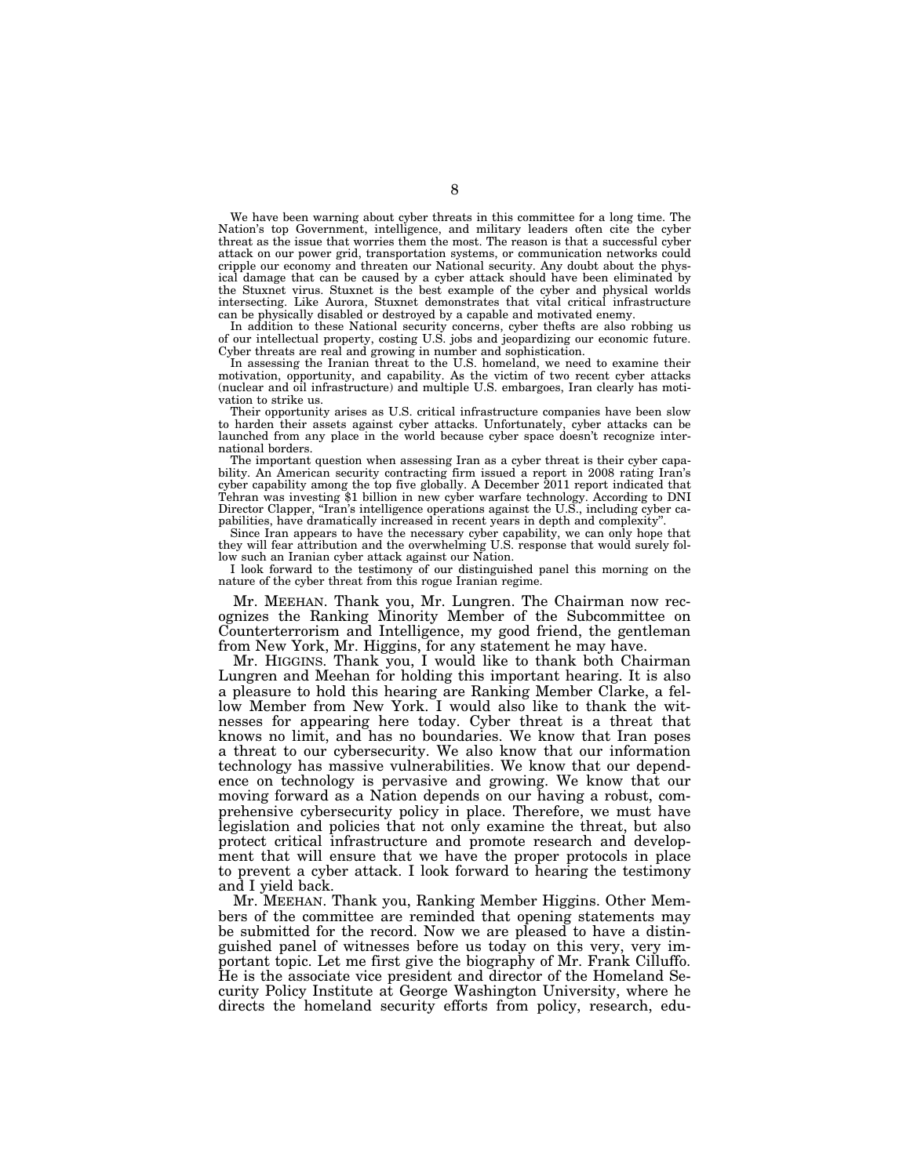We have been warning about cyber threats in this committee for a long time. The Nation's top Government, intelligence, and military leaders often cite the cyber threat as the issue that worries them the most. The reason is that a successful cyber attack on our power grid, transportation systems, or communication networks could cripple our economy and threaten our National security. Any doubt about the physical damage that can be caused by a cyber attack should have been eliminated by the Stuxnet virus. Stuxnet is the best example of the cyber and physical worlds intersecting. Like Aurora, Stuxnet demonstrates that vital critical infrastructure can be physically disabled or destroyed by a capable and motivated enemy.

In addition to these National security concerns, cyber thefts are also robbing us of our intellectual property, costing U.S. jobs and jeopardizing our economic future. Cyber threats are real and growing in number and sophistication.

In assessing the Iranian threat to the U.S. homeland, we need to examine their motivation, opportunity, and capability. As the victim of two recent cyber attacks (nuclear and oil infrastructure) and multiple U.S. embargoes, Iran clearly has motivation to strike us.

Their opportunity arises as U.S. critical infrastructure companies have been slow to harden their assets against cyber attacks. Unfortunately, cyber attacks can be launched from any place in the world because cyber space doesn't recognize international borders.

The important question when assessing Iran as a cyber threat is their cyber capability. An American security contracting firm issued a report in 2008 rating Iran's cyber capability among the top five globally. A December 2011 report indicated that Tehran was investing \$1 billion in new cyber warfare technology. According to DNI Director Clapper, "Iran's intelligence operations against the U.S., including cyber capabilities, have dramatically increased in recent years in depth and complexity''.

Since Iran appears to have the necessary cyber capability, we can only hope that they will fear attribution and the overwhelming U.S. response that would surely follow such an Iranian cyber attack against our Nation.

I look forward to the testimony of our distinguished panel this morning on the nature of the cyber threat from this rogue Iranian regime.

Mr. MEEHAN. Thank you, Mr. Lungren. The Chairman now recognizes the Ranking Minority Member of the Subcommittee on Counterterrorism and Intelligence, my good friend, the gentleman from New York, Mr. Higgins, for any statement he may have.

Mr. HIGGINS. Thank you, I would like to thank both Chairman Lungren and Meehan for holding this important hearing. It is also a pleasure to hold this hearing are Ranking Member Clarke, a fellow Member from New York. I would also like to thank the witnesses for appearing here today. Cyber threat is a threat that knows no limit, and has no boundaries. We know that Iran poses a threat to our cybersecurity. We also know that our information technology has massive vulnerabilities. We know that our dependence on technology is pervasive and growing. We know that our moving forward as a Nation depends on our having a robust, comprehensive cybersecurity policy in place. Therefore, we must have legislation and policies that not only examine the threat, but also protect critical infrastructure and promote research and development that will ensure that we have the proper protocols in place to prevent a cyber attack. I look forward to hearing the testimony and I yield back.

Mr. MEEHAN. Thank you, Ranking Member Higgins. Other Members of the committee are reminded that opening statements may be submitted for the record. Now we are pleased to have a distinguished panel of witnesses before us today on this very, very important topic. Let me first give the biography of Mr. Frank Cilluffo. He is the associate vice president and director of the Homeland Security Policy Institute at George Washington University, where he directs the homeland security efforts from policy, research, edu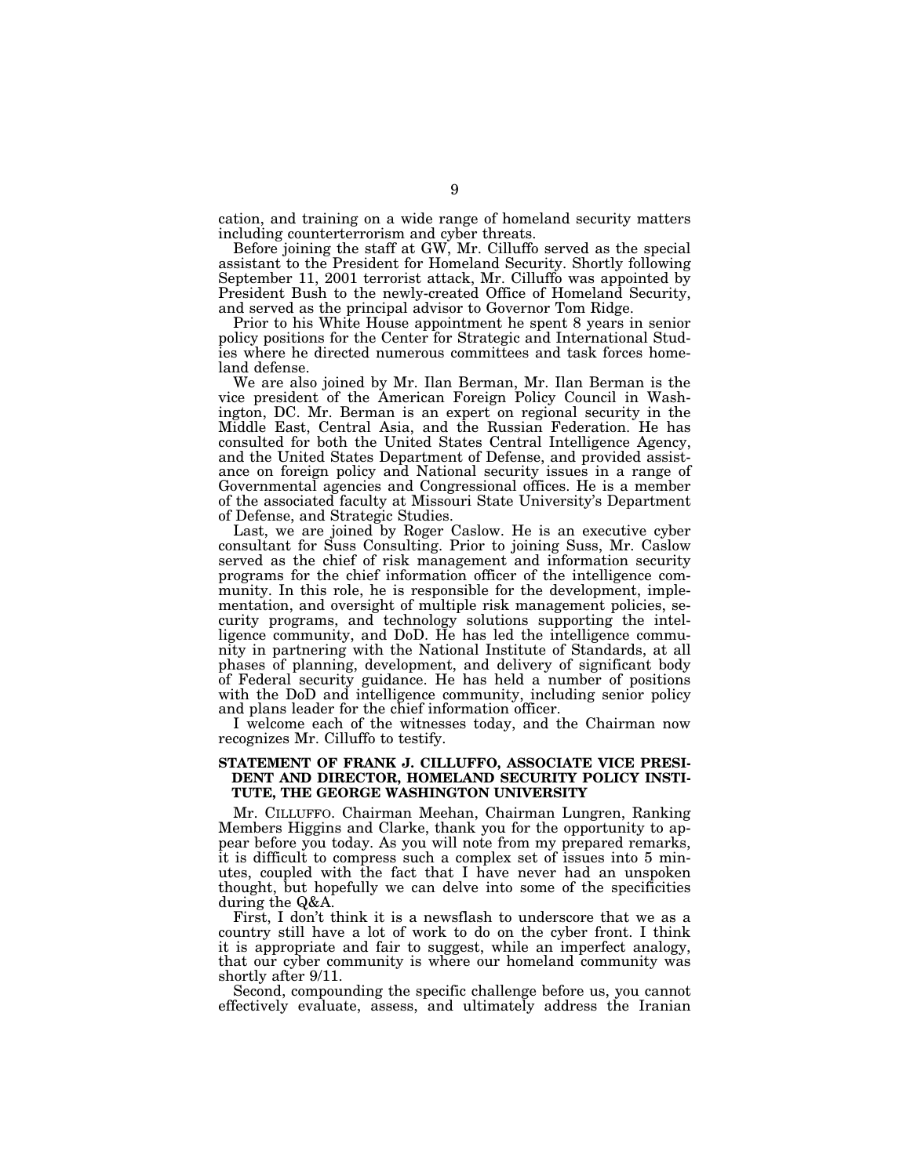cation, and training on a wide range of homeland security matters including counterterrorism and cyber threats.

Before joining the staff at GW, Mr. Cilluffo served as the special assistant to the President for Homeland Security. Shortly following September 11, 2001 terrorist attack, Mr. Cilluffo was appointed by President Bush to the newly-created Office of Homeland Security, and served as the principal advisor to Governor Tom Ridge.

Prior to his White House appointment he spent 8 years in senior policy positions for the Center for Strategic and International Studies where he directed numerous committees and task forces homeland defense.

We are also joined by Mr. Ilan Berman, Mr. Ilan Berman is the vice president of the American Foreign Policy Council in Washington, DC. Mr. Berman is an expert on regional security in the Middle East, Central Asia, and the Russian Federation. He has consulted for both the United States Central Intelligence Agency, and the United States Department of Defense, and provided assistance on foreign policy and National security issues in a range of Governmental agencies and Congressional offices. He is a member of the associated faculty at Missouri State University's Department of Defense, and Strategic Studies.

Last, we are joined by Roger Caslow. He is an executive cyber consultant for Suss Consulting. Prior to joining Suss, Mr. Caslow served as the chief of risk management and information security programs for the chief information officer of the intelligence community. In this role, he is responsible for the development, implementation, and oversight of multiple risk management policies, security programs, and technology solutions supporting the intelligence community, and DoD. He has led the intelligence community in partnering with the National Institute of Standards, at all phases of planning, development, and delivery of significant body of Federal security guidance. He has held a number of positions with the DoD and intelligence community, including senior policy and plans leader for the chief information officer.

I welcome each of the witnesses today, and the Chairman now recognizes Mr. Cilluffo to testify.

## **STATEMENT OF FRANK J. CILLUFFO, ASSOCIATE VICE PRESI-DENT AND DIRECTOR, HOMELAND SECURITY POLICY INSTI-TUTE, THE GEORGE WASHINGTON UNIVERSITY**

Mr. CILLUFFO. Chairman Meehan, Chairman Lungren, Ranking Members Higgins and Clarke, thank you for the opportunity to appear before you today. As you will note from my prepared remarks, it is difficult to compress such a complex set of issues into 5 minutes, coupled with the fact that I have never had an unspoken thought, but hopefully we can delve into some of the specificities during the Q&A.

First, I don't think it is a newsflash to underscore that we as a country still have a lot of work to do on the cyber front. I think it is appropriate and fair to suggest, while an imperfect analogy, that our cyber community is where our homeland community was shortly after 9/11.

Second, compounding the specific challenge before us, you cannot effectively evaluate, assess, and ultimately address the Iranian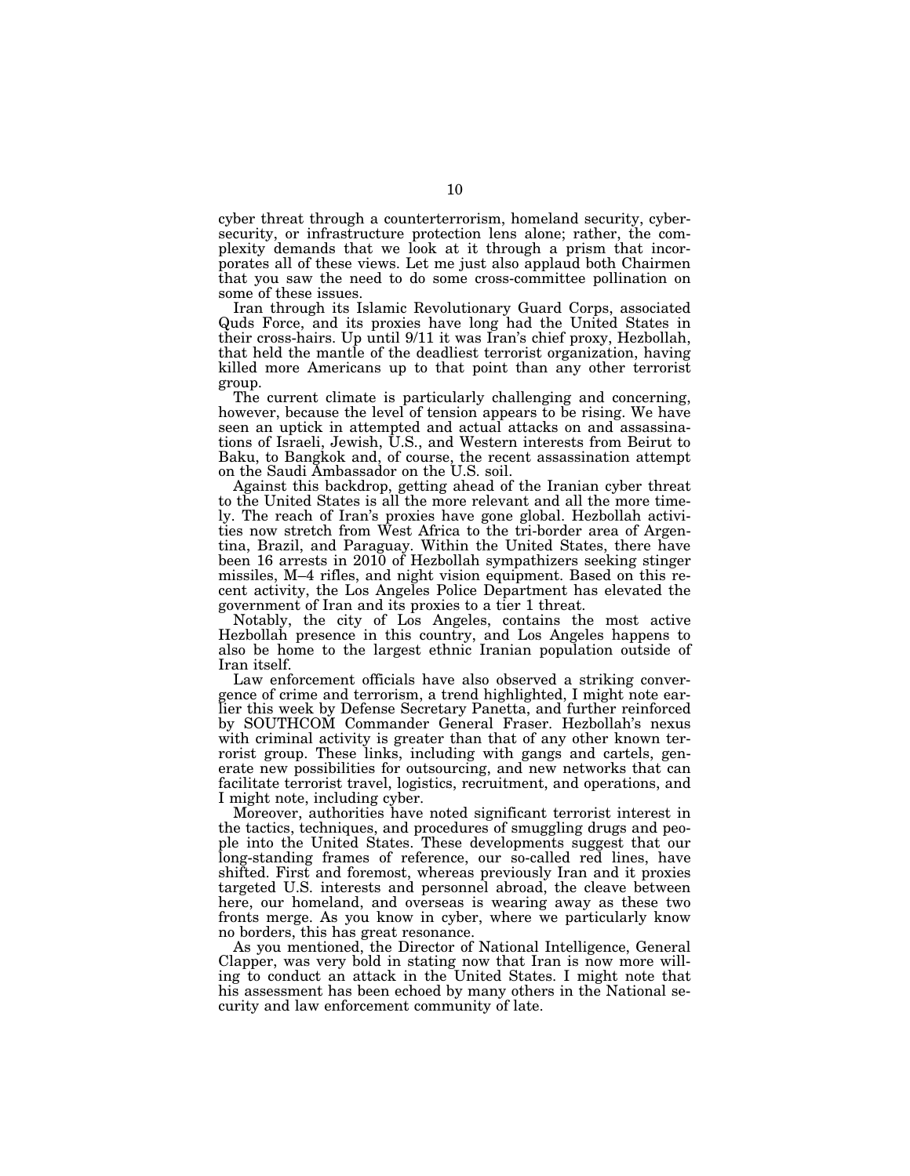cyber threat through a counterterrorism, homeland security, cybersecurity, or infrastructure protection lens alone; rather, the complexity demands that we look at it through a prism that incorporates all of these views. Let me just also applaud both Chairmen that you saw the need to do some cross-committee pollination on some of these issues.

Iran through its Islamic Revolutionary Guard Corps, associated Quds Force, and its proxies have long had the United States in their cross-hairs. Up until 9/11 it was Iran's chief proxy, Hezbollah, that held the mantle of the deadliest terrorist organization, having killed more Americans up to that point than any other terrorist group.

The current climate is particularly challenging and concerning, however, because the level of tension appears to be rising. We have seen an uptick in attempted and actual attacks on and assassinations of Israeli, Jewish, U.S., and Western interests from Beirut to Baku, to Bangkok and, of course, the recent assassination attempt on the Saudi Ambassador on the U.S. soil.

Against this backdrop, getting ahead of the Iranian cyber threat to the United States is all the more relevant and all the more timely. The reach of Iran's proxies have gone global. Hezbollah activities now stretch from West Africa to the tri-border area of Argentina, Brazil, and Paraguay. Within the United States, there have been 16 arrests in 2010 of Hezbollah sympathizers seeking stinger missiles, M–4 rifles, and night vision equipment. Based on this recent activity, the Los Angeles Police Department has elevated the government of Iran and its proxies to a tier 1 threat.

Notably, the city of Los Angeles, contains the most active Hezbollah presence in this country, and Los Angeles happens to also be home to the largest ethnic Iranian population outside of Iran itself.

Law enforcement officials have also observed a striking convergence of crime and terrorism, a trend highlighted, I might note earlier this week by Defense Secretary Panetta, and further reinforced by SOUTHCOM Commander General Fraser. Hezbollah's nexus with criminal activity is greater than that of any other known terrorist group. These links, including with gangs and cartels, generate new possibilities for outsourcing, and new networks that can facilitate terrorist travel, logistics, recruitment, and operations, and I might note, including cyber.

Moreover, authorities have noted significant terrorist interest in the tactics, techniques, and procedures of smuggling drugs and people into the United States. These developments suggest that our long-standing frames of reference, our so-called red lines, have shifted. First and foremost, whereas previously Iran and it proxies targeted U.S. interests and personnel abroad, the cleave between here, our homeland, and overseas is wearing away as these two fronts merge. As you know in cyber, where we particularly know no borders, this has great resonance.

As you mentioned, the Director of National Intelligence, General Clapper, was very bold in stating now that Iran is now more willing to conduct an attack in the United States. I might note that his assessment has been echoed by many others in the National security and law enforcement community of late.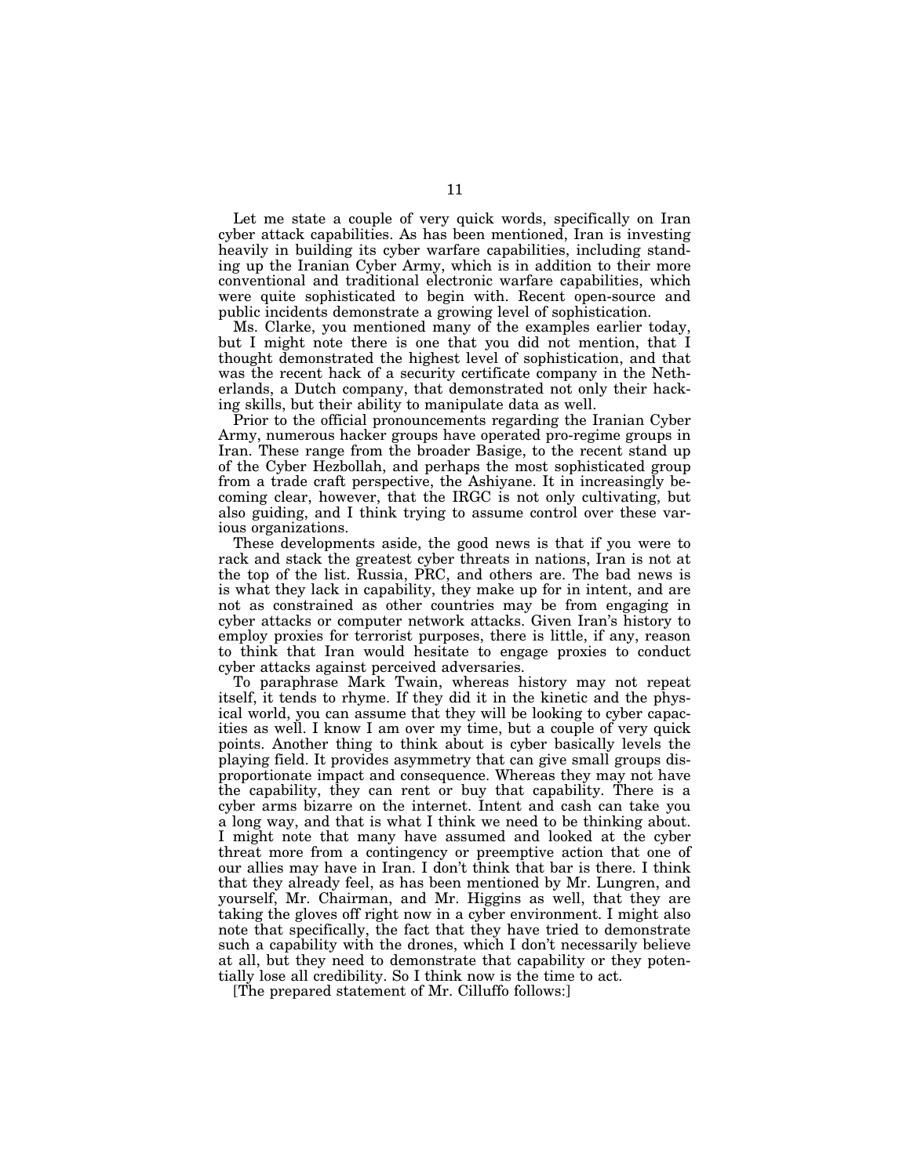Let me state a couple of very quick words, specifically on Iran cyber attack capabilities. As has been mentioned, Iran is investing heavily in building its cyber warfare capabilities, including standing up the Iranian Cyber Army, which is in addition to their more conventional and traditional electronic warfare capabilities, which were quite sophisticated to begin with. Recent open-source and public incidents demonstrate a growing level of sophistication.

Ms. Clarke, you mentioned many of the examples earlier today, but I might note there is one that you did not mention, that I thought demonstrated the highest level of sophistication, and that was the recent hack of a security certificate company in the Netherlands, a Dutch company, that demonstrated not only their hacking skills, but their ability to manipulate data as well.

Prior to the official pronouncements regarding the Iranian Cyber Army, numerous hacker groups have operated pro-regime groups in Iran. These range from the broader Basige, to the recent stand up of the Cyber Hezbollah, and perhaps the most sophisticated group from a trade craft perspective, the Ashiyane. It in increasingly becoming clear, however, that the IRGC is not only cultivating, but also guiding, and I think trying to assume control over these various organizations.

These developments aside, the good news is that if you were to rack and stack the greatest cyber threats in nations, Iran is not at the top of the list. Russia, PRC, and others are. The bad news is is what they lack in capability, they make up for in intent, and are not as constrained as other countries may be from engaging in cyber attacks or computer network attacks. Given Iran's history to employ proxies for terrorist purposes, there is little, if any, reason to think that Iran would hesitate to engage proxies to conduct cyber attacks against perceived adversaries.

To paraphrase Mark Twain, whereas history may not repeat itself, it tends to rhyme. If they did it in the kinetic and the physical world, you can assume that they will be looking to cyber capacities as well. I know I am over my time, but a couple of very quick points. Another thing to think about is cyber basically levels the playing field. It provides asymmetry that can give small groups disproportionate impact and consequence. Whereas they may not have the capability, they can rent or buy that capability. There is a cyber arms bizarre on the internet. Intent and cash can take you a long way, and that is what I think we need to be thinking about. I might note that many have assumed and looked at the cyber threat more from a contingency or preemptive action that one of our allies may have in Iran. I don't think that bar is there. I think that they already feel, as has been mentioned by Mr. Lungren, and yourself, Mr. Chairman, and Mr. Higgins as well, that they are taking the gloves off right now in a cyber environment. I might also note that specifically, the fact that they have tried to demonstrate such a capability with the drones, which I don't necessarily believe at all, but they need to demonstrate that capability or they potentially lose all credibility. So I think now is the time to act.

[The prepared statement of Mr. Cilluffo follows:]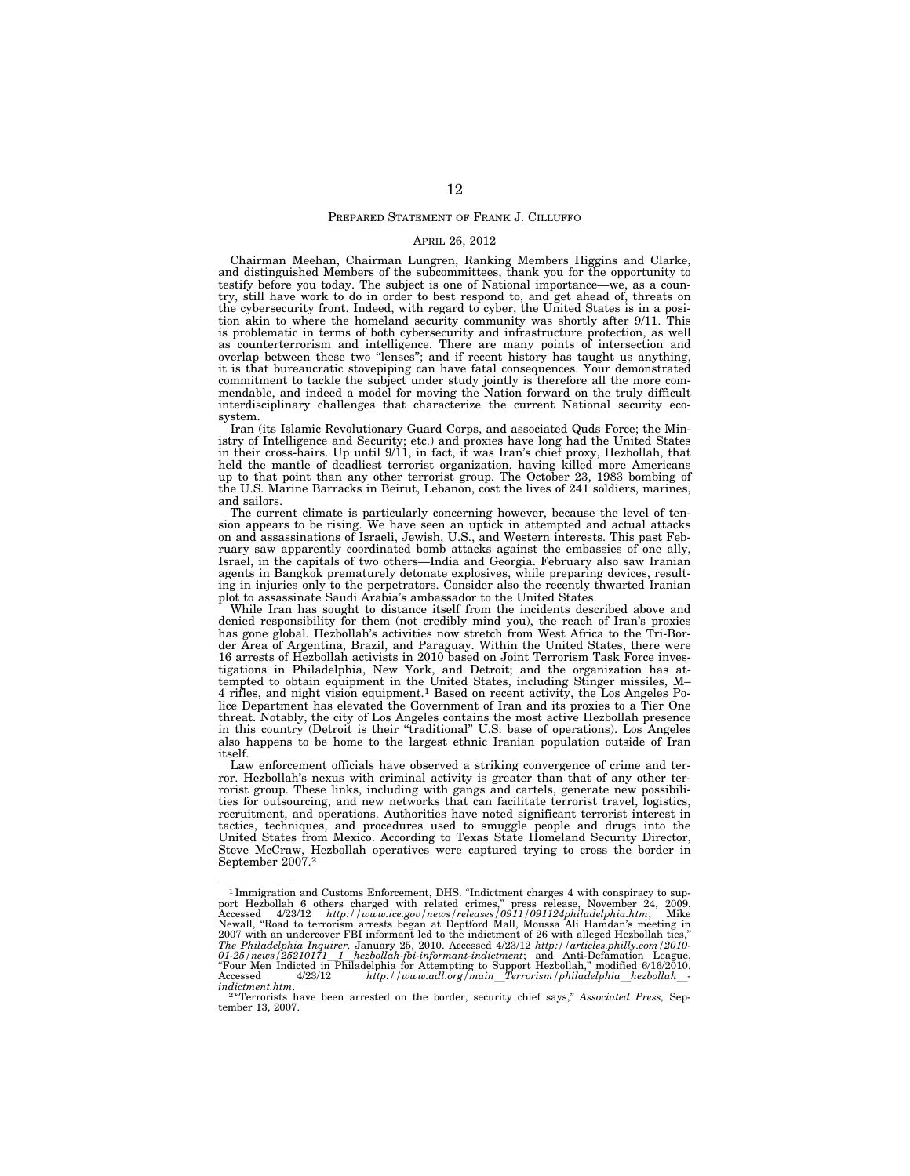#### PREPARED STATEMENT OF FRANK J. CILLUFFO

#### APRIL 26, 2012

Chairman Meehan, Chairman Lungren, Ranking Members Higgins and Clarke, and distinguished Members of the subcommittees, thank you for the opportunity to testify before you today. The subject is one of National importance—we, as a country, still have work to do in order to best respond to, and get ahead of, threats on the cybersecurity front. Indeed, with regard to cyber, the United States is in a position akin to where the homeland security community was shortly after 9/11. This is problematic in terms of both cybersecurity and infrastructure protection, as well as counterterrorism and intelligence. There are many points of intersection and overlap between these two "lenses"; and if recent history has taught us anything, it is that bureaucratic stovepiping can have fatal consequences. Your demonstrated commitment to tackle the subject under study jointly is therefore all the more commendable, and indeed a model for moving the Nation forward on the truly difficult interdisciplinary challenges that characterize the current National security ecosystem.

Iran (its Islamic Revolutionary Guard Corps, and associated Quds Force; the Ministry of Intelligence and Security; etc.) and proxies have long had the United States in their cross-hairs. Up until 9/11, in fact, it was Iran's chief proxy, Hezbollah, that held the mantle of deadliest terrorist organization, having killed more Americans up to that point than any other terrorist group. The October 23, 1983 bombing of the U.S. Marine Barracks in Beirut, Lebanon, cost the lives of 241 soldiers, marines, and sailors.

The current climate is particularly concerning however, because the level of tension appears to be rising. We have seen an uptick in attempted and actual attacks on and assassinations of Israeli, Jewish, U.S., and Western interests. This past February saw apparently coordinated bomb attacks against the embassies of one ally, Israel, in the capitals of two others—India and Georgia. February also saw Iranian agents in Bangkok prematurely detonate explosives, while preparing devices, resulting in injuries only to the perpetrators. Consider also the recently thwarted Iranian plot to assassinate Saudi Arabia's ambassador to the United States.

While Iran has sought to distance itself from the incidents described above and denied responsibility for them (not credibly mind you), the reach of Iran's proxies has gone global. Hezbollah's activities now stretch from West Africa to the Tri-Border Area of Argentina, Brazil, and Paraguay. Within the United States, there were 16 arrests of Hezbollah activists in 2010 based on Joint Terrorism Task Force investigations in Philadelphia, New York, and Detroit; and the organization has attempted to obtain equipment in the United States, including Stinger missiles, M– 4 rifles, and night vision equipment.1 Based on recent activity, the Los Angeles Police Department has elevated the Government of Iran and its proxies to a Tier One threat. Notably, the city of Los Angeles contains the most active Hezbollah presence in this country (Detroit is their ''traditional'' U.S. base of operations). Los Angeles also happens to be home to the largest ethnic Iranian population outside of Iran itself.

Law enforcement officials have observed a striking convergence of crime and terror. Hezbollah's nexus with criminal activity is greater than that of any other terrorist group. These links, including with gangs and cartels, generate new possibilities for outsourcing, and new networks that can facilitate terrorist travel, logistics, recruitment, and operations. Authorities have noted significant terrorist interest in tactics, techniques, and procedures used to smuggle people and drugs into the United States from Mexico. According to Texas State Homeland Security Director, Steve McCraw, Hezbollah operatives were captured trying to cross the border in September 2007.2

<sup>1</sup> Immigration and Customs Enforcement, DHS. ''Indictment charges 4 with conspiracy to support Hezbollah 6 others charged with related crimes,'' press release, November 24, 2009. Accessed 4/23/12 *http://www.ice.gov/news/releases/0911/091124philadelphia.htm*; Mike New 1981 12 http://www.ice.gov/news/releases/0911/091124philaaeiphia.nim, vilne<br>Newall, ''Road to terrorism arrests began at Deptford Mall, Moussa Ali Hamdan's meeting in<br>Newall, ''Road to terrorism arrests began at Deptfo 2007 with an undercover FBI informant led to the indictment of 26 with alleged Hezbollah ties,"<br>The Philadelphia Inquirer, January 25, 2010. Accessed  $4/23/12$  http://articles.philly.com/2010-<br>01-25/news/25210171\_1\_hezbol *indictment.htm.* 2 12 12 *Web arrested* on the border, security chief says," *Associated Press*, Sep-<br><sup>2</sup> "Terrorists have been arrested on the border, security chief says," *Associated Press*, Sep-

tember 13, 2007.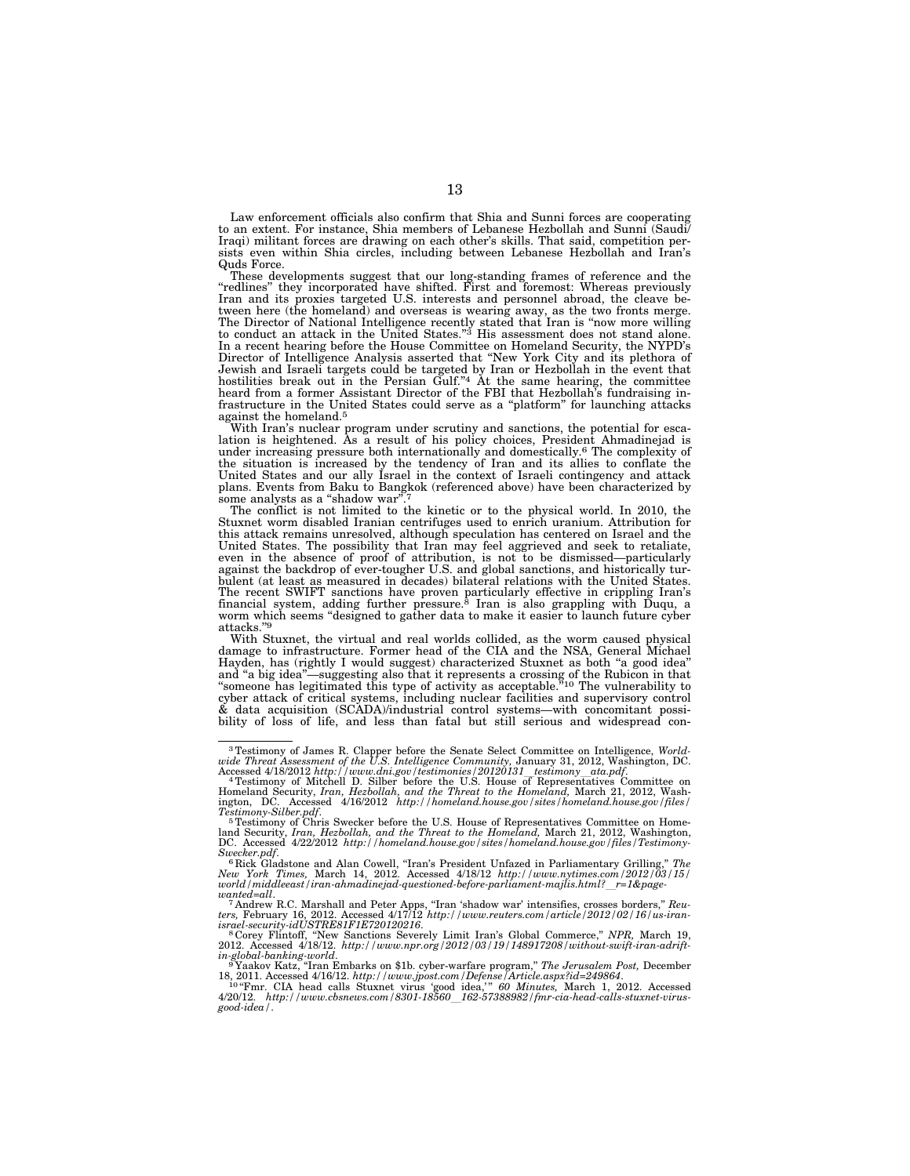Law enforcement officials also confirm that Shia and Sunni forces are cooperating to an extent. For instance, Shia members of Lebanese Hezbollah and Sunni (Saudi/ Iraqi) militant forces are drawing on each other's skills. That said, competition persists even within Shia circles, including between Lebanese Hezbollah and Iran's Quds Force.

These developments suggest that our long-standing frames of reference and the "redlines" they incorporated have shifted. First and foremost: Whereas previously Iran and its proxies targeted U.S. interests and personnel abr tween here (the homeland) and overseas is wearing away, as the two fronts merge. The Director of National Intelligence recently stated that Iran is "now more willing<br>to conduct an attack in the United States."<sup>3</sup> His assessment does not stand alone. In a recent hearing before the House Committee on Homeland Security, the NYPD's Director of Intelligence Analysis asserted that ''New York City and its plethora of Jewish and Israeli targets could be targeted by Iran or Hezbollah in the event that hostilities break out in the Persian Gulf.''4 At the same hearing, the committee heard from a former Assistant Director of the FBI that Hezbollah's fundraising in-frastructure in the United States could serve as a ''platform'' for launching attacks against the homeland.<sup>5</sup><br>With Iran's nuclear program under scrutiny and sanctions, the potential for esca-

lation is heightened. As a result of his policy choices, President Ahmadinejad is under increasing pressure both internationally and domestically.6 The complexity of the situation is increased by the tendency of Iran and its allies to conflate the United States and our ally Israel in the context of Israeli contingency and attack plans. Events from Baku to Bangkok (referenced above) have been characterized by some analysts as a "shadow war"

The conflict is not limited to the kinetic or to the physical world. In 2010, the Stuxnet worm disabled Iranian centrifuges used to enrich uranium. Attribution for this attack remains unresolved, although speculation has centered on Israel and the United States. The possibility that Iran may feel aggrieved and seek to retaliate,<br>even in the absence of proof of attribution, is not to be dismissed—particularly<br>against the backdrop of ever-tougher U.S. and global sanct bulent (at least as measured in decades) bilateral relations with the United States. The recent SWIFT sanctions have proven particularly effective in crippling Iran's<br>financial system, adding further pressure.<sup>8</sup> Iran is also grappling with Duqu, a<br>worm which seems "designed to gather data to make it easie attacks."9

With Stuxnet, the virtual and real worlds collided, as the worm caused physical damage to infrastructure. Former head of the CIA and the NSA, General Michael Hayden, has (rightly I would suggest) characterized Stuxnet as both "a good idea" and ''a big idea''—suggesting also that it represents a crossing of the Rubicon in that ''someone has legitimated this type of activity as acceptable.''10 The vulnerability to cyber attack of critical systems, including nuclear facilities and supervisory control & data acquisition (SCADA)/industrial control systems—with concomitant possibility of loss of life, and less than fatal but still serious and widespread con-

<sup>&</sup>lt;sup>3</sup> Testimony of James R. Clapper before the Senate Select Committee on Intelligence, Worldwide Threat Assessment of the U.S. Intelligence Community, January 31, 2012, Washington, DC. Accessed 4/18/2012 http://www.dni.gov

Testimony-Silber.pdf.<br><sup>5</sup> Testimony of Chris Swecker before the U.S. House of Representatives Committee on Home-<br>land Security, Iran, Hezbollah, and the Threat to the Homeland, March 21, 2012, Washington,<br>DC. Accessed 4/22

Swecker.pdf.<br>" Rick Gladstone and Alan Cowell, "Iran's President Unfazed in Parliamentary Grilling," *The New York Times, M*arch 14, 2012. Accessed 4/18/12 *http:*//www.nytimes.com/2012/03/15/<br>World /middleeast/iran-ahmadi

wanted=all.<br><sup>7</sup> Andrew R.C. Marshall and Peter Apps, "Iran 'shadow war' intensifies, crosses borders," *Reu-*<br>ters, February 16, 2012. Accessed 4/17/12 http://www.reuters.com/article/2012/02/16/us-iran-

israel-security-idUSTRES1F1E720120216.<br><sup>8</sup> Corey Flintoff, "New Sanctions Severely Limit Iran's Global Commerce," NPR, March 19,<br>2012. Accessed 4/18/12. *http://www.npr.org/2012/03/19/148917208/without-swift-iran-adrift-*

*in-global-banking-world*. 9 Yaakov Katz, ''Iran Embarks on \$1b. cyber-warfare program,'' *The Jerusalem Post,* December

<sup>18, 2011.</sup> Accessed 4/16/12. *http://www.jpost.com/Defense/Article.aspx?id=249864*. 10 ''Fmr. CIA head calls Stuxnet virus 'good idea,' '' *60 Minutes,* March 1, 2012. Accessed 4/20/12. *http://www.cbsnews.com/8301-18560*l*162-57388982/fmr-cia-head-calls-stuxnet-virus-good-idea/*.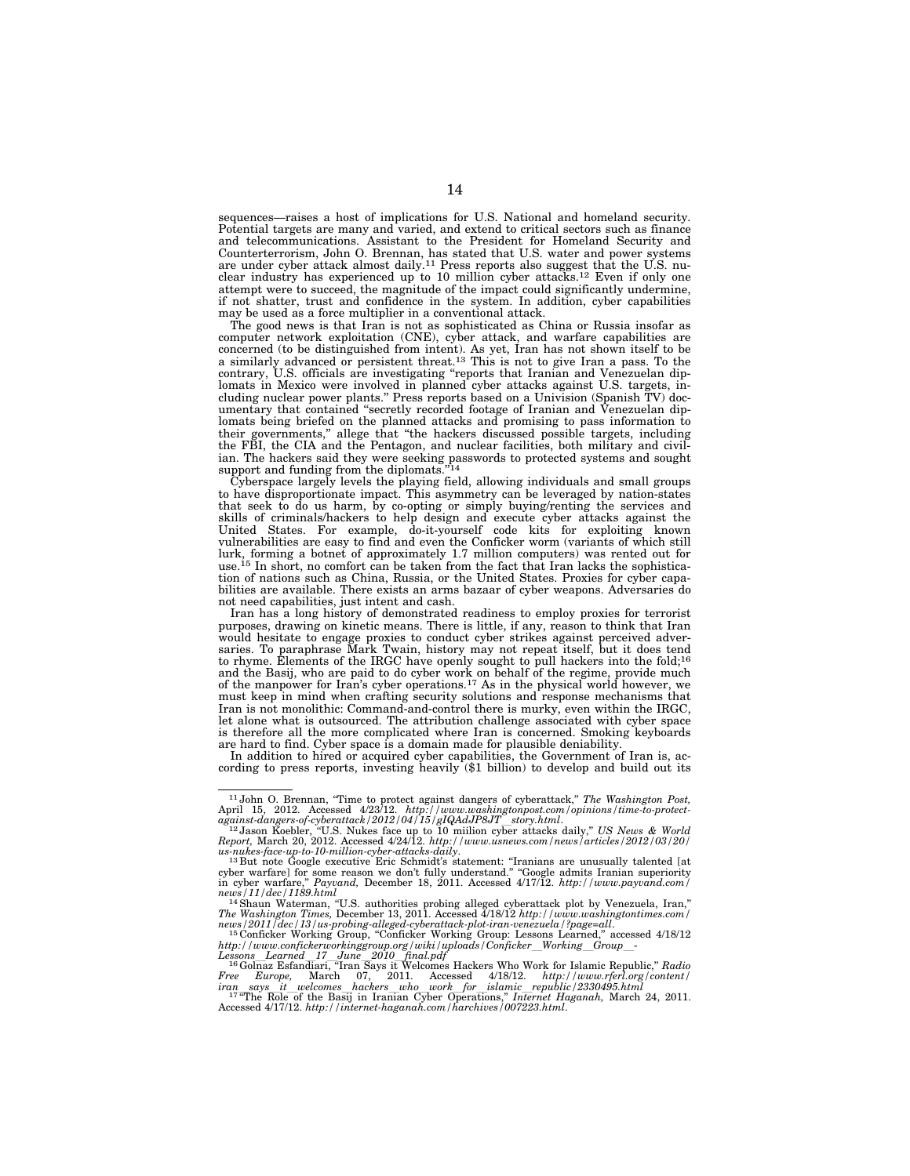sequences—raises a host of implications for U.S. National and homeland security. Potential targets are many and varied, and extend to critical sectors such as finance and telecommunications. Assistant to the President for Homeland Security and Counterterrorism, John O. Brennan, has stated that U.S. water and power systems are under cyber attack almost daily.11 Press reports also suggest that the U.S. nuclear industry has experienced up to 10 million cyber attacks.12 Even if only one attempt were to succeed, the magnitude of the impact could significantly undermine, if not shatter, trust and confidence in the system. In addition, cyber capabilities may be used as a force multiplier in a conventional attack.

The good news is that Iran is not as sophisticated as China or Russia insofar as computer network exploitation (CNE), cyber attack, and warfare capabilities are concerned (to be distinguished from intent). As yet, Iran has not shown itself to be a similarly advanced or persistent threat.13 This is not to give Iran a pass. To the contrary, U.S. officials are investigating ''reports that Iranian and Venezuelan diplomats in Mexico were involved in planned cyber attacks against U.S. targets, including nuclear power plants.'' Press reports based on a Univision (Spanish TV) documentary that contained ''secretly recorded footage of Iranian and Venezuelan diplomats being briefed on the planned attacks and promising to pass information to their governments,'' allege that ''the hackers discussed possible targets, including the FBI, the CIA and the Pentagon, and nuclear facilities, both military and civilian. The hackers said they were seeking passwords to protected systems and sought support and funding from the diplomats

Cyberspace largely levels the playing field, allowing individuals and small groups to have disproportionate impact. This asymmetry can be leveraged by nation-states that seek to do us harm, by co-opting or simply buying/renting the services and skills of criminals/hackers to help design and execute cyber attacks against the United States. For example, do-it-yourself code kits for exploiting known vulnerabilities are easy to find and even the Conficker worm (variants of which still lurk, forming a botnet of approximately 1.7 million computers) was rented out for use.<sup>15</sup> In short, no comfort can be taken from the fact that Iran lacks the sophistication of nations such as China, Russia, or the United States. Proxies for cyber capabilities are available. There exists an arms bazaar of cyber weapons. Adversaries do not need capabilities, just intent and cash.

Iran has a long history of demonstrated readiness to employ proxies for terrorist purposes, drawing on kinetic means. There is little, if any, reason to think that Iran would hesitate to engage proxies to conduct cyber strikes against perceived adversaries. To paraphrase Mark Twain, history may not repeat itself, but it does tend to rhyme. Elements of the IRGC have openly sought to pull hackers into the fold;<sup>16</sup> and the Basij, who are paid to do cyber work on behalf of the regime, provide much of the manpower for Iran's cyber operations.17 As in the physical world however, we must keep in mind when crafting security solutions and response mechanisms that Iran is not monolithic: Command-and-control there is murky, even within the IRGC, let alone what is outsourced. The attribution challenge associated with cyber space is therefore all the more complicated where Iran is concerned. Smoking keyboards are hard to find. Cyber space is a domain made for plausible deniability.

In addition to hired or acquired cyber capabilities, the Government of Iran is, according to press reports, investing heavily (\$1 billion) to develop and build out its

*news/2011/dec/13/us-probing-alleged-cyberattack-plot-iran-venezuela/?page=all*. 15 Conficker Working Group, ''Conficker Working Group: Lessons Learned,'' accessed 4/18/12

<sup>&</sup>lt;sup>11</sup> John O. Brennan, "Time to protect against dangers of cyberattack," The Washington Post,

April 15, 2012. Accessed 4/23/12. http://www.washingtonpost.com/opinions/time-to-protect-<br>against-dangers-of-cyberattack/2012/04/15/gIQAdJP8JT story.html.<br> $^{12}$ Jason Koebler, "U.S. Nukes face up to 10 milion cyber attack

news/11/dec/1189.html<br><sup>14</sup>Shawn Waterman, "U.S. authorities probing alleged cyberattack plot by Venezuela, Iran,"<br>The Washington Times, December 13, 2011. Accessed 4/18/12 http://www.washingtontimes.com/

http://www.confickerworkinggroup.org/wiki/uploads/Conficker\_Working\_Group\_-<br>Lessons\_Learned\_17\_June\_2010\_final.pdf<br>- <sup>16</sup>Golnaz Esfandiari, "Iran Says it Welcomes Hackers Who Work for Islamic Republic," *Radio*<br>Pree \_Europ

iran says it welcomes hackers who work for islamic republic/2330495.html<br><sup>177</sup>The Role of the Basij in Iranian Cyber Operations," Internet Haganah, March 24, 2011.<br>Accessed 4/17/12. http://internet-haganah.com/harchives/0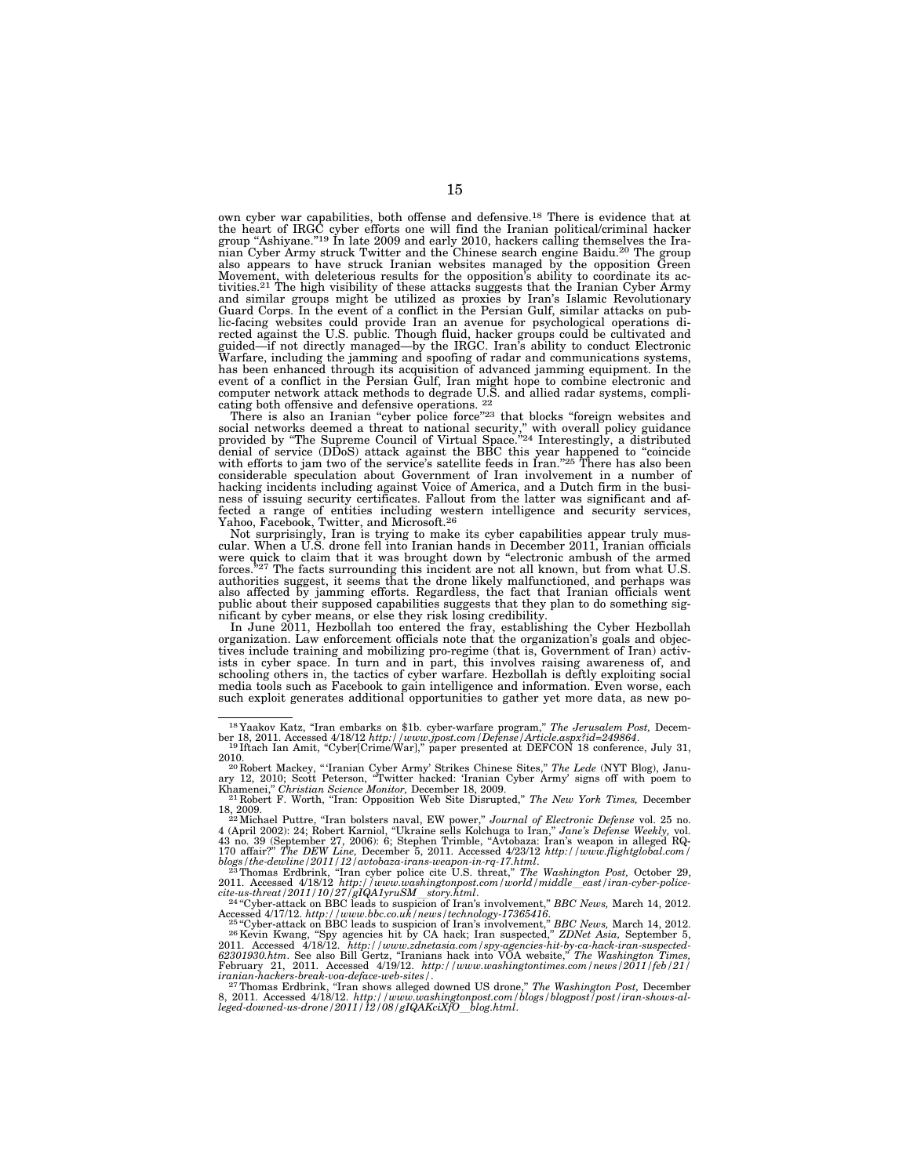own cyber war capabilities, both offense and defensive.18 There is evidence that at the heart of IRGC cyber efforts one will find the Iranian political/criminal hacker group "Ashiyane."<sup>19</sup> In late 2009 and early 2010, hackers calling themselves the Iranian Cyber Army struck Twitter and the Chinese search engine Baidu.20 The group also appears to have struck Iranian websites managed by the opposition Green Movement, with deleterious results for the opposition's ability to coordinate its ac-tivities.21 The high visibility of these attacks suggests that the Iranian Cyber Army and similar groups might be utilized as proxies by Iran's Islamic Revolutionary Guard Corps. In the event of a conflict in the Persian Gulf, similar attacks on public-facing websites could provide Iran an avenue for psychological operations di-rected against the U.S. public. Though fluid, hacker groups could be cultivated and guided—if not directly managed—by the IRGC. Iran's ability to conduct Electronic Warfare, including the jamming and spoofing of radar and communications systems, has been enhanced through its acquisition of advanced jamming equipment. In the event of a conflict in the Persian Gulf, Iran might hope to combine electronic and computer network attack methods to degrade U.S. and allied radar systems, compli-cating both offensive and defensive operations. 22

There is also an Iranian "cyber police force"<sup>23</sup> that blocks "foreign websites and social networks deemed a threat to national security," with overall policy guidance provided by "The Supreme Council of Virtual Space."<sup>24</sup> with efforts to jam two of the service's satellite feeds in Iran."<sup>25</sup> There has also been considerable speculation about Government of Iran involvement in a number of hacking incidents including against Voice of America, and a Dutch firm in the busi-ness of issuing security certificates. Fallout from the latter was significant and affected a range of entities including western intelligence and security services, Yahoo, Facebook, Twitter, and Microsoft.<sup>26</sup>

Not surprisingly, Iran is trying to make its cyber capabilities appear truly mus-cular. When a U.S. drone fell into Iranian hands in December 2011, Iranian officials were quick to claim that it was brought down by "electronic ambush of the armed forces."<sup>27</sup> The facts surrounding this incident are not all known, but from what U.S. authorities suggest, it seems that the drone likely malfunctioned, and perhaps was also affected by jamming efforts. Regardless, the fact that Iranian officials went public about their supposed capabilities suggests that they plan to do something significant by cyber means, or else they risk losing credibility.

In June 2011, Hezbollah too entered the fray, establishing the Cyber Hezbollah organization. Law enforcement officials note that the organization's goals and objectives include training and mobilizing pro-regime (that is, Government of Iran) activ-ists in cyber space. In turn and in part, this involves raising awareness of, and schooling others in, the tactics of cyber warfare. Hezbollah is deftly exploiting social media tools such as Facebook to gain intelligence and information. Even worse, each such exploit generates additional opportunities to gather yet more data, as new po-

<sup>&</sup>lt;sup>18</sup>Yaakov Katz, "Iran embarks on \$1b. cyber-warfare program," *The Jerusalem Post*, December 18, 2011. Accessed 4/18/12 *http://www.jpost.com/Defense/Article.aspx?id=249864.*<br><sup>19</sup>Iftach Ian Amit, "Cyber[Crime/War]," pape

<sup>2010. 20</sup> Robert Mackey, '' 'Iranian Cyber Army' Strikes Chinese Sites,'' *The Lede* (NYT Blog), Janu-

ary 12, 2010; Scott Peterson, "Twitter hacked: 'Iranian Cyber Army' signs off with poem to<br>Khamenei," *Christian Science Monitor,* December 18, 2009.<br><sup>21</sup> Robert F. Worth, "Iran: Opposition Web Site Disrupted," *The New Yo* 

<sup>18, 2009. 22</sup>Michael Puttre, ''Iran bolsters naval, EW power,'' *Journal of Electronic Defense* vol. 25 no. 4 (April 2002): 24; Robert Karniol, "Ukraine sells Kolchuga to Iran," Jane's Defense Weekly, vol.<br>43 no. 39 (September 27, 2006): 6; Stephen Trimble, "Avtobaza: Iran's weapon in alleged RQ-<br>170 affair?" The DEW Line, Dece

<sup>2011.</sup> Accessed 4/18/12 *http://www.washingtonpost.com/world/middle\_east/iran-cyber-police-*<br>cite-us-threat/2011/10/27/gIQA1yruSM\_story.html.<br>- <sup>24</sup>"Cyber-attack on BBC leads to suspicion of Iran's involvement," BBC News, M

Accessed 4/17/12.  $http://www.bbc.co.uk/news/technology-17365416.$ <br>
<sup>25 co</sup>gher-attack on BBC leads to suspicion of Iran's involvement," BBC News, March 14, 2012.<br>
<sup>25</sup> Cyber-attack on BBC leads to suspicion of Iran's involvement," ZDNet Asia, Se

<sup>8, 2011.</sup> Accessed 4/18/12. http://www.washingtonpost.com/blogs/blogpost/post/iran-shows-al-<br>leged-downed-us-drone/2011/12/08/gIQAKciXfO\_blog.html.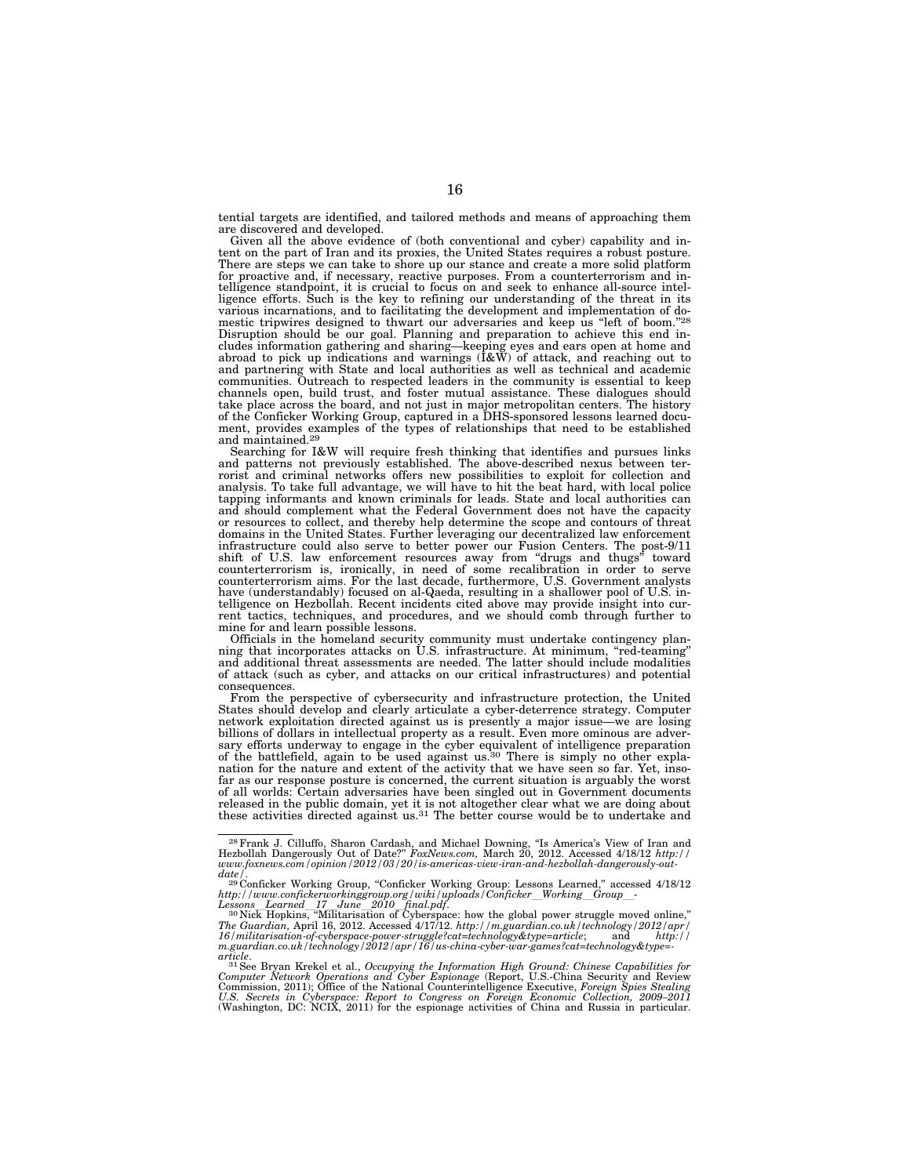tential targets are identified, and tailored methods and means of approaching them are discovered and developed.

Given all the above evidence of (both conventional and cyber) capability and intent on the part of Iran and its proxies, the United States requires a robust posture. There are steps we can take to shore up our stance and create a more solid platform for proactive and, if necessary, reactive purposes. From a counterterrorism and intelligence standpoint, it is crucial to focus on and seek to enhance all-source intelligence efforts. Such is the key to refining our understanding of the threat in its various incarnations, and to facilitating the development and implementation of domestic tripwires designed to thwart our adversaries and keep us "left of boom."<sup>28</sup> Disruption should be our goal. Planning and preparation to achieve this end includes information gathering and sharing—keeping eyes and ears open at home and abroad to pick up indications and warnings (I&W) of attack, and reaching out to and partnering with State and local authorities as well as technical and academic communities. Outreach to respected leaders in the community is essential to keep channels open, build trust, and foster mutual assistance. These dialogues should take place across the board, and not just in major metropolitan centers. The history of the Conficker Working Group, captured in a DHS-sponsored lessons learned document, provides examples of the types of relationships that need to be established and maintained.29

Searching for I&W will require fresh thinking that identifies and pursues links and patterns not previously established. The above-described nexus between ter-rorist and criminal networks offers new possibilities to exploit for collection and analysis. To take full advantage, we will have to hit the beat hard, with local police tapping informants and known criminals for leads. State and local authorities can and should complement what the Federal Government does not have the capacity or resources to collect, and thereby help determine the scope and contours of threat domains in the United States. Further leveraging our decentralized law enforcement infrastructure could also serve to better power our Fusion Centers. The post-9/11 shift of U.S. law enforcement resources away from "drugs and thugs" toward<br>counterterrorism is, ironically, in need of some recalibration in order to serve<br>counterterrorism aims. For the last decade, furthermore, U.S. Gove have (understandably) focused on al-Qaeda, resulting in a shallower pool of U.S. intelligence on Hezbollah. Recent incidents cited above may provide insight into current tactics, techniques, and procedures, and we should comb through further to mine for and learn possible lessons.

Officials in the homeland security community must undertake contingency plan-ning that incorporates attacks on U.S. infrastructure. At minimum, ''red-teaming'' and additional threat assessments are needed. The latter should include modalities of attack (such as cyber, and attacks on our critical infrastructures) and potential consequences.

From the perspective of cybersecurity and infrastructure protection, the United States should develop and clearly articulate a cyber-deterrence strategy. Computer network exploitation directed against us is presently a major issue—we are losing billions of dollars in intellectual property as a result. Even more ominous are adversary efforts underway to engage in the cyber equivalent of intelligence preparation of the battlefield, again to be used against us.30 There is simply no other explanation for the nature and extent of the activity that we have seen so far. Yet, insofar as our response posture is concerned, the current situation is arguably the worst of all worlds: Certain adversaries have been singled out in Government documents released in the public domain, yet it is not altogether clear what we are doing about these activities directed against us.31 The better course would be to undertake and

<sup>&</sup>lt;sup>28</sup> Frank J. Cilluffo, Sharon Cardash, and Michael Downing, "Is America's View of Iran and Hezbollah Dangerously Out of Date?" *FoxNews.com*, March 20, 2012. Accessed 4/18/12 *http://*<br>www.foxnews.com/opinion/2012/03/20/i *date/.*<br>
<sup>29</sup> Conficker Working Group, "Conficker Working Group: Lessons Learned," accessed 4/18/12

http://www.confickerworkinggroup.org/wiki/uploads/Conficker\_Working\_Group\_-<br>Lessons\_Learned\_17\_June\_2010\_final.pdf.<br><sup>30</sup>Nick Hopkins, "Militarisation of Cyberspace: how the global power struggle moved online,"<br>The Guardian *m.guardian.co.uk/technology/2012/apr/16/us-china-cyber-war-games?cat=technology&type=-* 

article.<br><sup>31</sup> See Bryan Krekel et al., Occupying the Information High Ground: Chinese Capabilities for<br>Computer Network Operations and Cyber Espionage (Report, U.S.-China Security and Review<br>Commission, 2011); Office of th *U.S. Secrets in Cyberspace: Report to Congress on Foreign Economic Collection, 2009–2011*  (Washington, DC: NCIX, 2011) for the espionage activities of China and Russia in particular.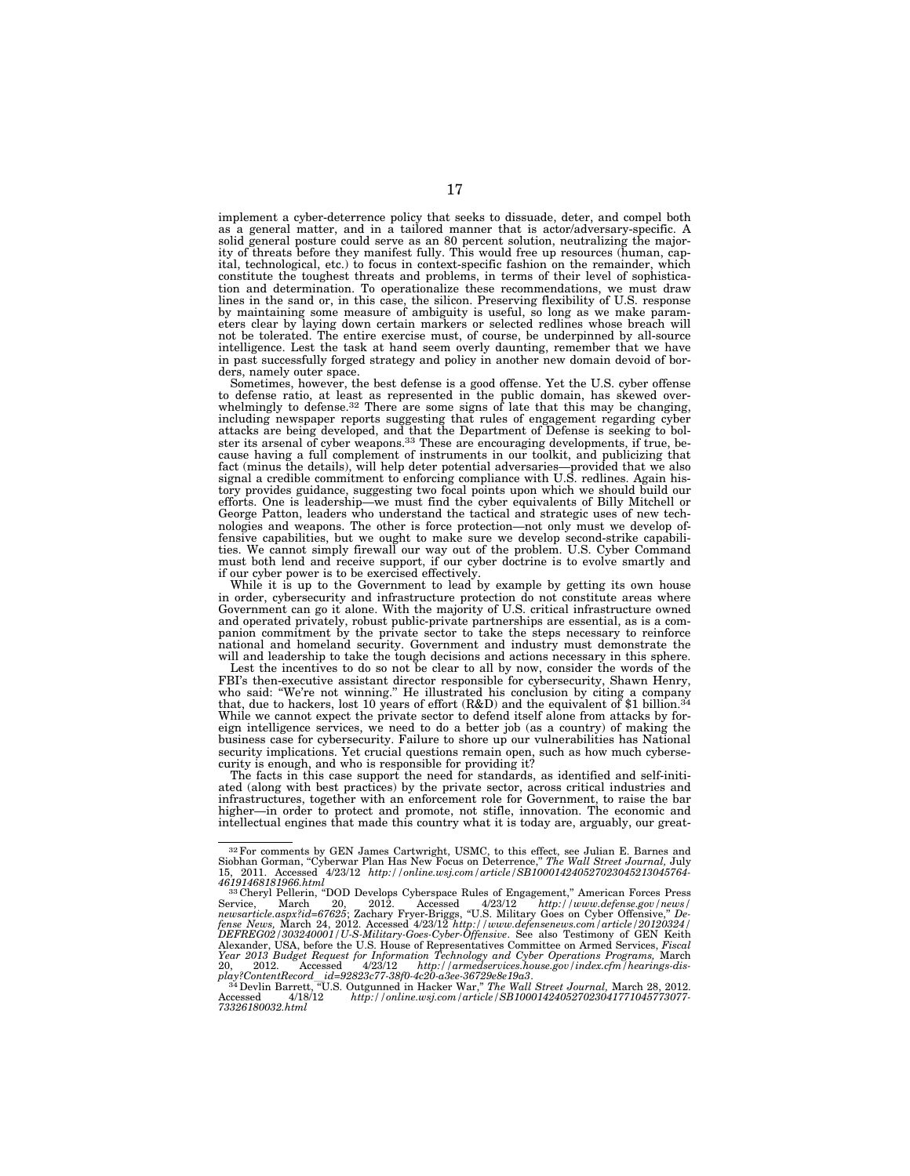implement a cyber-deterrence policy that seeks to dissuade, deter, and compel both as a general matter, and in a tailored manner that is actor/adversary-specific. A solid general posture could serve as an 80 percent solution, neutralizing the majority of threats before they manifest fully. This would free up resources (human, capital, technological, etc.) to focus in context-specific fashion on the remainder, which constitute the toughest threats and problems, in terms of their level of sophistication and determination. To operationalize these recommendations, we must draw lines in the sand or, in this case, the silicon. Preserving flexibility of U.S. response by maintaining some measure of ambiguity is useful, so long as we make parameters clear by laying down certain markers or selected redlines whose breach will not be tolerated. The entire exercise must, of course, be underpinned by all-source intelligence. Lest the task at hand seem overly daunting, remember that we have in past successfully forged strategy and policy in another new domain devoid of borders, namely outer space.

Sometimes, however, the best defense is a good offense. Yet the U.S. cyber offense to defense ratio, at least as represented in the public domain, has skewed over-whelmingly to defense.32 There are some signs of late that this may be changing, including newspaper reports suggesting that rules of engagement regarding cyber attacks are being developed, and that the Department of Defense is seeking to bol-ster its arsenal of cyber weapons.33 These are encouraging developments, if true, because having a full complement of instruments in our toolkit, and publicizing that fact (minus the details), will help deter potential adversaries—provided that we also signal a credible commitment to enforcing compliance with U.S. redlines. Again history provides guidance, suggesting two focal points upon which we should build our efforts. One is leadership—we must find the cyber equivalents of Billy Mitchell or George Patton, leaders who understand the tactical and strategic uses of new technologies and weapons. The other is force protection—not only must we develop offensive capabilities, but we ought to make sure we develop second-strike capabilities. We cannot simply firewall our way out of the problem. U.S. Cyber Command must both lend and receive support, if our cyber doctrine is to evolve smartly and if our cyber power is to be exercised effectively.

While it is up to the Government to lead by example by getting its own house in order, cybersecurity and infrastructure protection do not constitute areas where Government can go it alone. With the majority of U.S. critical infrastructure owned and operated privately, robust public-private partnerships are essential, as is a companion commitment by the private sector to take the steps necessary to reinforce national and homeland security. Government and industry must demonstrate the will and leadership to take the tough decisions and actions necessary in this sphere.

Lest the incentives to do so not be clear to all by now, consider the words of the FBI's then-executive assistant director responsible for cybersecurity, Shawn Henry, who said: ''We're not winning.'' He illustrated his conclusion by citing a company that, due to hackers, lost 10 years of effort  $(R&D)$  and the equivalent of \$1 billion.<sup>34</sup> While we cannot expect the private sector to defend itself alone from attacks by foreign intelligence services, we need to do a better job (as a country) of making the business case for cybersecurity. Failure to shore up our vulnerabilities has National security implications. Yet crucial questions remain open, such as how much cybersecurity is enough, and who is responsible for providing it?

The facts in this case support the need for standards, as identified and self-initiated (along with best practices) by the private sector, across critical industries and infrastructures, together with an enforcement role for Government, to raise the bar higher—in order to protect and promote, not stifle, innovation. The economic and intellectual engines that made this country what it is today are, arguably, our great-

<sup>32</sup>For comments by GEN James Cartwright, USMC, to this effect, see Julian E. Barnes and Siobhan Gorman, ''Cyberwar Plan Has New Focus on Deterrence,'' *The Wall Street Journal,* July 15, 2011. Accessed 4/23/12 *http://online.wsj.com/article/SB100014240527023045213045764-*<br>46191468181966.html\_

<sup>&</sup>lt;sup>33</sup> Cheryl Pellerin, "DOD Develops Cyberspace Rules of Engagement," American Forces Press Service, March 20, 2012. Accessed 4/23/12 *http://www.defense.gov/news/ newsarticle.aspx?id=67625*; Zachary Fryer-Briggs, ''U.S. Military Goes on Cyber Offensive,'' *De-fense News,* March 24, 2012. Accessed 4/23/12 *http://www.defensenews.com/article/20120324/ DEFREG02/303240001/U-S-Military-Goes-Cyber-Offensive*. See also Testimony of GEN Keith Alexander, USA, before the U.S. House of Representatives Committee on Armed Services, *Fiscal Year 2013 Budget Request for Information Technology and Cyber Operations Programs,* March 20, 2012. Accessed 4/23/12 *http://armedservices.house.gov/index.cfm/hearings-dis-play?ContentRecord*l*id=92823c77-38f0-4c20-a3ee-36729e8e19a3*. 34Devlin Barrett, ''U.S. Outgunned in Hacker War,'' *The Wall Street Journal,* March 28, 2012.

Accessed 4/18/12 *http://online.wsj.com/article/SB100014240527023041771045773077- 73326180032.html*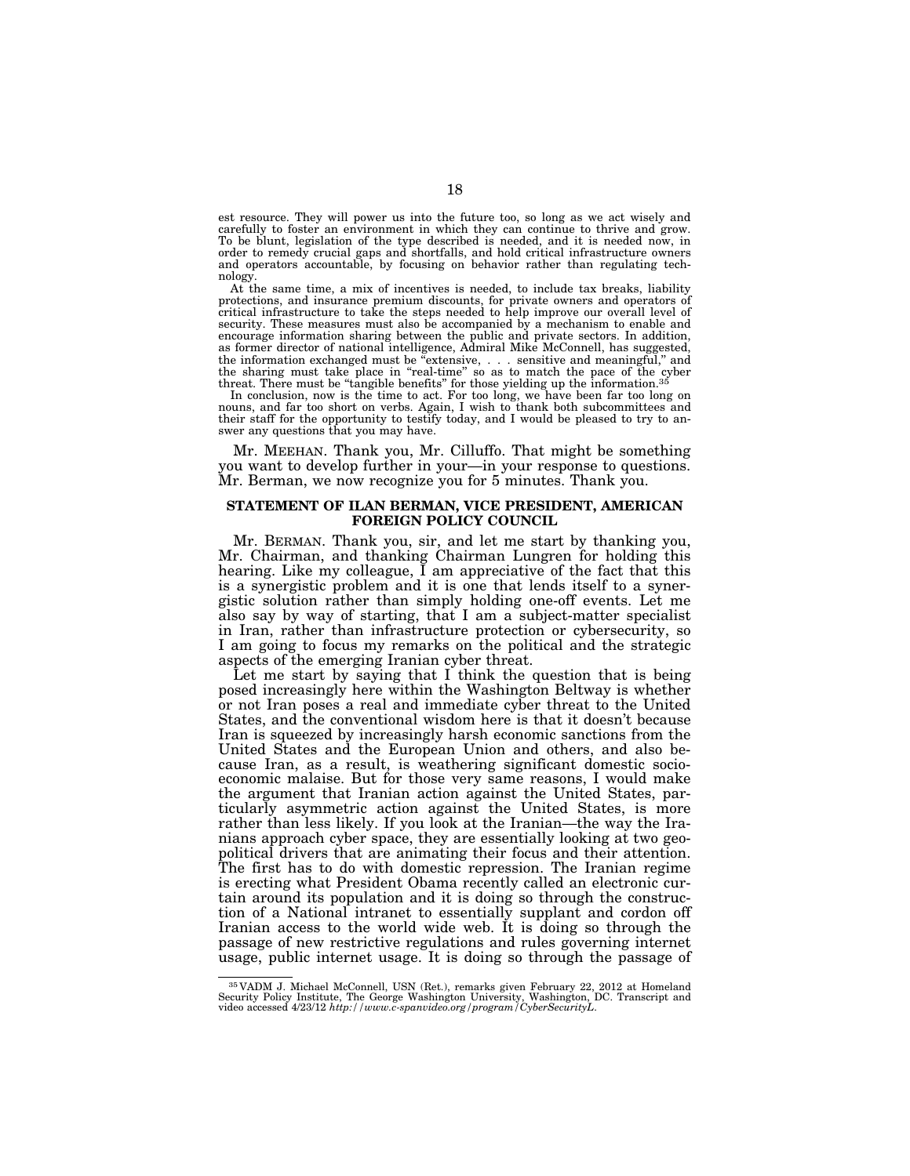est resource. They will power us into the future too, so long as we act wisely and carefully to foster an environment in which they can continue to thrive and grow. To be blunt, legislation of the type described is needed, and it is needed now, in order to remedy crucial gaps and shortfalls, and hold critical infrastructure owners and operators accountable, by focusing on behavior rather than regulating technology.

At the same time, a mix of incentives is needed, to include tax breaks, liability protections, and insurance premium discounts, for private owners and operators of critical infrastructure to take the steps needed to help improve our overall level of security. These measures must also be accompanied by a mechanism to enable and encourage information sharing between the public and private sectors. In addition, as former director of national intelligence, Admiral Mike McConnell, has suggested, the information exchanged must be "extensive, . . . sensitive and meaningful," and the sharing must take place in ''real-time'' so as to match the pace of the cyber threat. There must be "tangible benefits" for those yielding up the information.<sup>35</sup>

In conclusion, now is the time to act. For too long, we have been far too long on nouns, and far too short on verbs. Again, I wish to thank both subcommittees and their staff for the opportunity to testify today, and I would be pleased to try to answer any questions that you may have.

Mr. MEEHAN. Thank you, Mr. Cilluffo. That might be something you want to develop further in your—in your response to questions. Mr. Berman, we now recognize you for 5 minutes. Thank you.

## **STATEMENT OF ILAN BERMAN, VICE PRESIDENT, AMERICAN FOREIGN POLICY COUNCIL**

Mr. BERMAN. Thank you, sir, and let me start by thanking you, Mr. Chairman, and thanking Chairman Lungren for holding this hearing. Like my colleague, I am appreciative of the fact that this is a synergistic problem and it is one that lends itself to a synergistic solution rather than simply holding one-off events. Let me also say by way of starting, that I am a subject-matter specialist in Iran, rather than infrastructure protection or cybersecurity, so I am going to focus my remarks on the political and the strategic aspects of the emerging Iranian cyber threat.

Let me start by saying that I think the question that is being posed increasingly here within the Washington Beltway is whether or not Iran poses a real and immediate cyber threat to the United States, and the conventional wisdom here is that it doesn't because Iran is squeezed by increasingly harsh economic sanctions from the United States and the European Union and others, and also because Iran, as a result, is weathering significant domestic socioeconomic malaise. But for those very same reasons, I would make the argument that Iranian action against the United States, particularly asymmetric action against the United States, is more rather than less likely. If you look at the Iranian—the way the Iranians approach cyber space, they are essentially looking at two geopolitical drivers that are animating their focus and their attention. The first has to do with domestic repression. The Iranian regime is erecting what President Obama recently called an electronic curtain around its population and it is doing so through the construction of a National intranet to essentially supplant and cordon off Iranian access to the world wide web. It is doing so through the passage of new restrictive regulations and rules governing internet usage, public internet usage. It is doing so through the passage of

<sup>35</sup> VADM J. Michael McConnell, USN (Ret.), remarks given February 22, 2012 at Homeland Security Policy Institute, The George Washington University, Washington, DC. Transcript and video accessed 4/23/12 *http://www.c-spanvideo.org/program/CyberSecurityL*.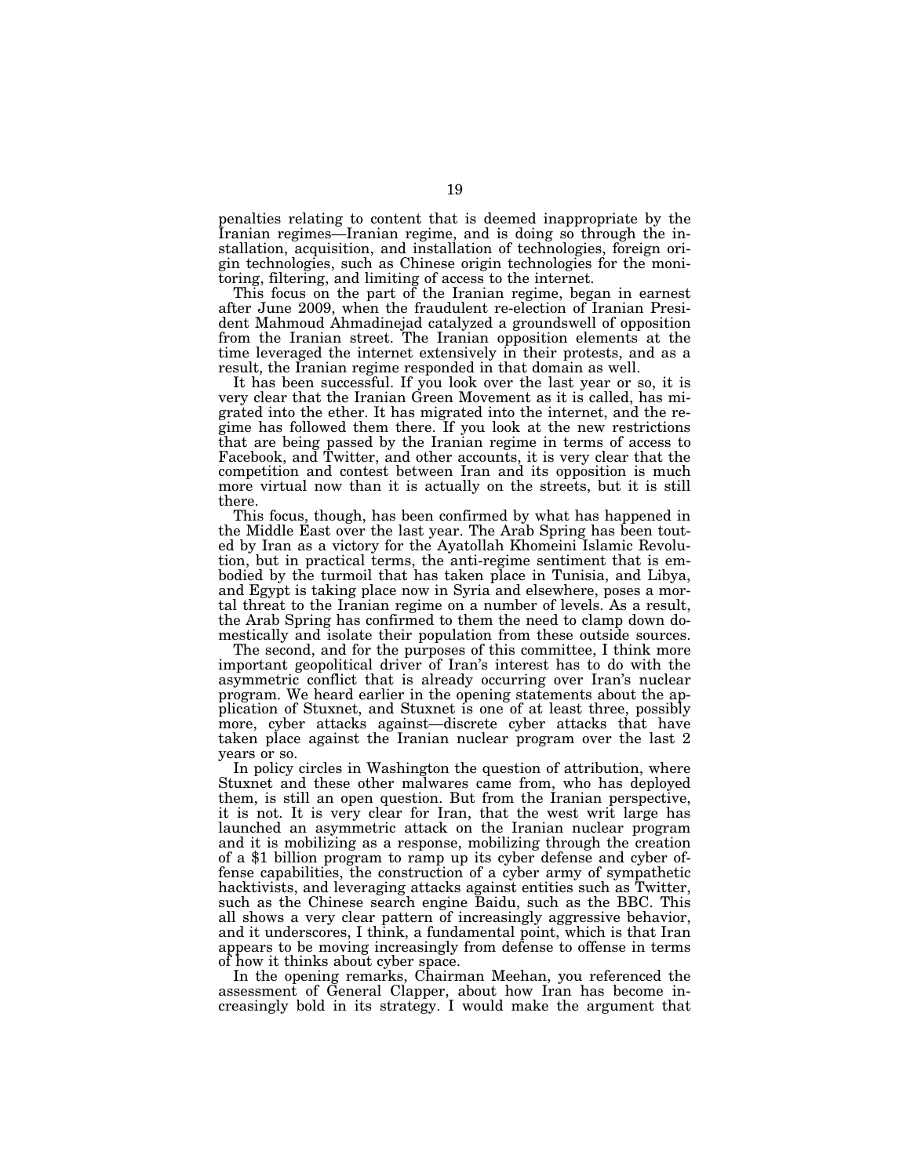penalties relating to content that is deemed inappropriate by the Iranian regimes—Iranian regime, and is doing so through the installation, acquisition, and installation of technologies, foreign origin technologies, such as Chinese origin technologies for the monitoring, filtering, and limiting of access to the internet.

This focus on the part of the Iranian regime, began in earnest after June 2009, when the fraudulent re-election of Iranian President Mahmoud Ahmadinejad catalyzed a groundswell of opposition from the Iranian street. The Iranian opposition elements at the time leveraged the internet extensively in their protests, and as a result, the Iranian regime responded in that domain as well.

It has been successful. If you look over the last year or so, it is very clear that the Iranian Green Movement as it is called, has migrated into the ether. It has migrated into the internet, and the regime has followed them there. If you look at the new restrictions that are being passed by the Iranian regime in terms of access to Facebook, and Twitter, and other accounts, it is very clear that the competition and contest between Iran and its opposition is much more virtual now than it is actually on the streets, but it is still there.

This focus, though, has been confirmed by what has happened in the Middle East over the last year. The Arab Spring has been touted by Iran as a victory for the Ayatollah Khomeini Islamic Revolution, but in practical terms, the anti-regime sentiment that is embodied by the turmoil that has taken place in Tunisia, and Libya, and Egypt is taking place now in Syria and elsewhere, poses a mortal threat to the Iranian regime on a number of levels. As a result, the Arab Spring has confirmed to them the need to clamp down domestically and isolate their population from these outside sources.

The second, and for the purposes of this committee, I think more important geopolitical driver of Iran's interest has to do with the asymmetric conflict that is already occurring over Iran's nuclear program. We heard earlier in the opening statements about the application of Stuxnet, and Stuxnet is one of at least three, possibly more, cyber attacks against—discrete cyber attacks that have taken place against the Iranian nuclear program over the last 2 years or so.

In policy circles in Washington the question of attribution, where Stuxnet and these other malwares came from, who has deployed them, is still an open question. But from the Iranian perspective, it is not. It is very clear for Iran, that the west writ large has launched an asymmetric attack on the Iranian nuclear program and it is mobilizing as a response, mobilizing through the creation of a \$1 billion program to ramp up its cyber defense and cyber offense capabilities, the construction of a cyber army of sympathetic hacktivists, and leveraging attacks against entities such as Twitter, such as the Chinese search engine Baidu, such as the BBC. This all shows a very clear pattern of increasingly aggressive behavior, and it underscores, I think, a fundamental point, which is that Iran appears to be moving increasingly from defense to offense in terms of how it thinks about cyber space.

In the opening remarks, Chairman Meehan, you referenced the assessment of General Clapper, about how Iran has become increasingly bold in its strategy. I would make the argument that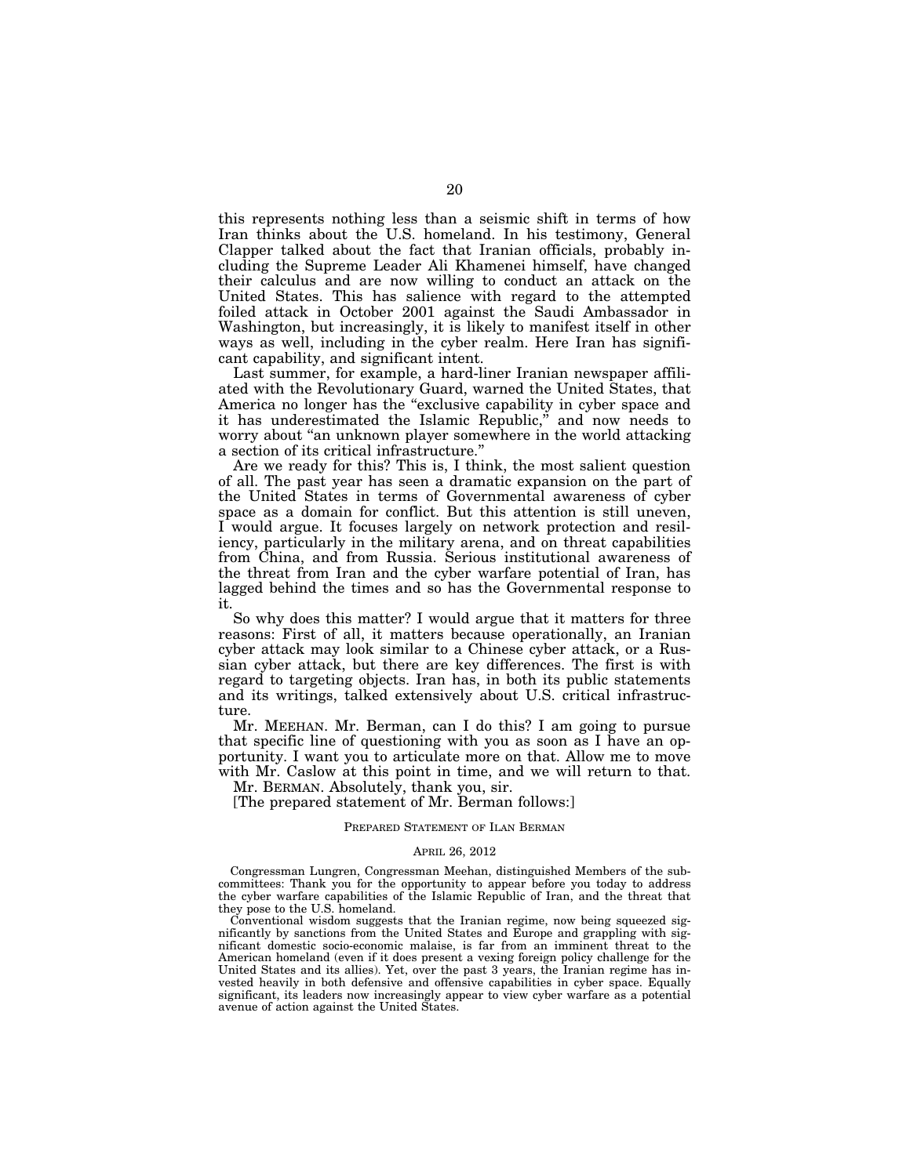this represents nothing less than a seismic shift in terms of how Iran thinks about the U.S. homeland. In his testimony, General Clapper talked about the fact that Iranian officials, probably including the Supreme Leader Ali Khamenei himself, have changed their calculus and are now willing to conduct an attack on the United States. This has salience with regard to the attempted foiled attack in October 2001 against the Saudi Ambassador in Washington, but increasingly, it is likely to manifest itself in other ways as well, including in the cyber realm. Here Iran has significant capability, and significant intent.

Last summer, for example, a hard-liner Iranian newspaper affiliated with the Revolutionary Guard, warned the United States, that America no longer has the "exclusive capability in cyber space and it has underestimated the Islamic Republic," and now needs to worry about "an unknown player somewhere in the world attacking a section of its critical infrastructure.''

Are we ready for this? This is, I think, the most salient question of all. The past year has seen a dramatic expansion on the part of the United States in terms of Governmental awareness of cyber space as a domain for conflict. But this attention is still uneven, I would argue. It focuses largely on network protection and resiliency, particularly in the military arena, and on threat capabilities from China, and from Russia. Serious institutional awareness of the threat from Iran and the cyber warfare potential of Iran, has lagged behind the times and so has the Governmental response to it.

So why does this matter? I would argue that it matters for three reasons: First of all, it matters because operationally, an Iranian cyber attack may look similar to a Chinese cyber attack, or a Russian cyber attack, but there are key differences. The first is with regard to targeting objects. Iran has, in both its public statements and its writings, talked extensively about U.S. critical infrastructure.

Mr. MEEHAN. Mr. Berman, can I do this? I am going to pursue that specific line of questioning with you as soon as I have an opportunity. I want you to articulate more on that. Allow me to move with Mr. Caslow at this point in time, and we will return to that.

Mr. BERMAN. Absolutely, thank you, sir. [The prepared statement of Mr. Berman follows:]

#### PREPARED STATEMENT OF ILAN BERMAN

#### APRIL 26, 2012

Congressman Lungren, Congressman Meehan, distinguished Members of the subcommittees: Thank you for the opportunity to appear before you today to address the cyber warfare capabilities of the Islamic Republic of Iran, and the threat that they pose to the U.S. homeland.

Conventional wisdom suggests that the Iranian regime, now being squeezed significantly by sanctions from the United States and Europe and grappling with significant domestic socio-economic malaise, is far from an imminent threat to the American homeland (even if it does present a vexing foreign policy challenge for the United States and its allies). Yet, over the past 3 years, the Iranian regime has invested heavily in both defensive and offensive capabilities in cyber space. Equally significant, its leaders now increasingly appear to view cyber warfare as a potential avenue of action against the United States.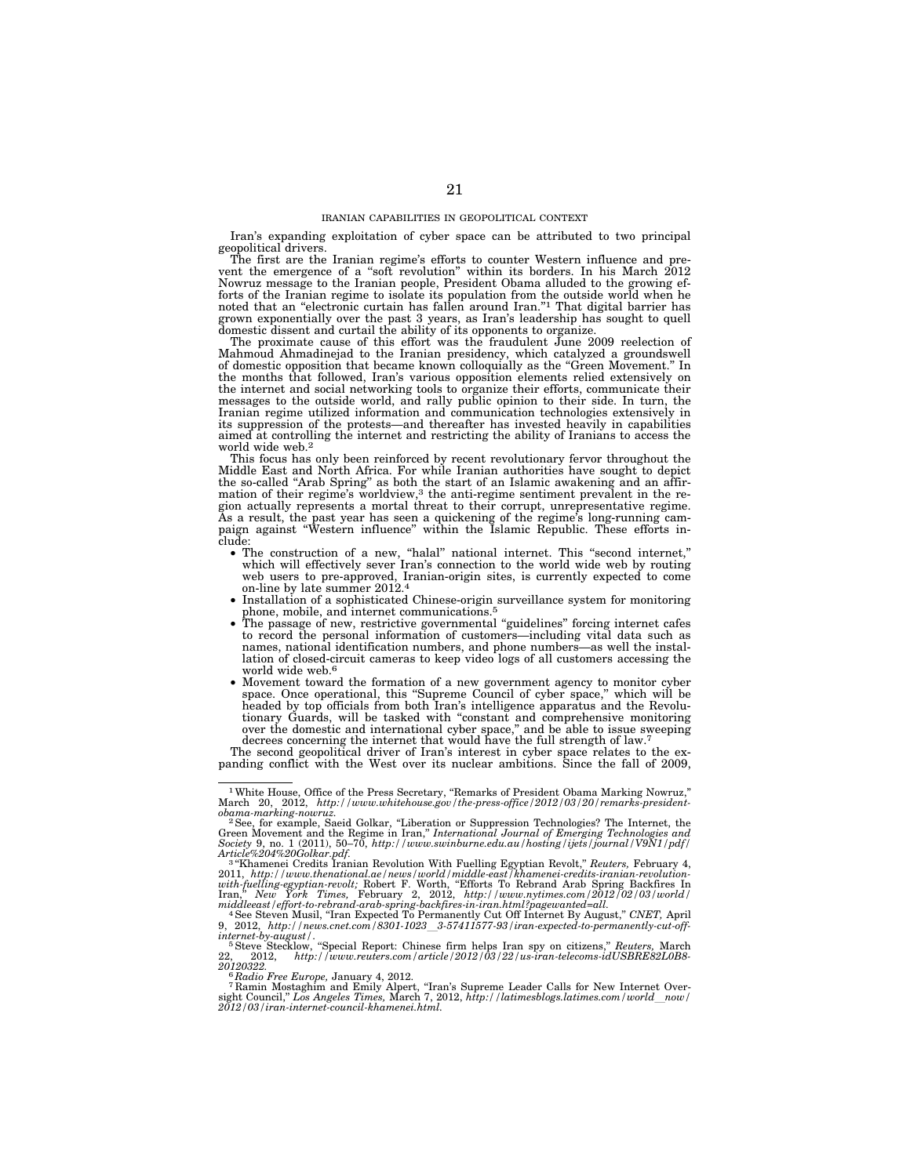Iran's expanding exploitation of cyber space can be attributed to two principal geopolitical drivers.

The first are the Iranian regime's efforts to counter Western influence and pre-vent the emergence of a ''soft revolution'' within its borders. In his March 2012 Nowruz message to the Iranian people, President Obama alluded to the growing efforts of the Iranian regime to isolate its population from the outside world when he noted that an ''electronic curtain has fallen around Iran.''1 That digital barrier has grown exponentially over the past 3 years, as Iran's leadership has sought to quell domestic dissent and curtail the ability of its opponents to organize.

The proximate cause of this effort was the fraudulent June 2009 reelection of Mahmoud Ahmadinejad to the Iranian presidency, which catalyzed a groundswell of domestic opposition that became known colloquially as the ''Green Movement.'' In the months that followed, Iran's various opposition elements relied extensively on the internet and social networking tools to organize their efforts, communicate their messages to the outside world, and rally public opinion to their side. In turn, the Iranian regime utilized information and communication technologies extensively in its suppression of the protests—and thereafter has invested heavily in capabilities aimed at controlling the internet and restricting the ability of Iranians to access the world wide web.2

This focus has only been reinforced by recent revolutionary fervor throughout the Middle East and North Africa. For while Iranian authorities have sought to depict the so-called ''Arab Spring'' as both the start of an Islamic awakening and an affirmation of their regime's worldview,<sup>3</sup> the anti-regime sentiment prevalent in the region actually represents a mortal threat to their corrupt, unrepresentative regime. As a result, the past year has seen a quickening of the regime's long-running cam-paign against ''Western influence'' within the Islamic Republic. These efforts include: • The construction of a new, ''halal'' national internet. This ''second internet,''

- which will effectively sever Iran's connection to the world wide web by routing web users to pre-approved, Iranian-origin sites, is currently expected to come on-line by late summer 2012.4
- Installation of a sophisticated Chinese-origin surveillance system for monitoring
- phone, mobile, and internet communications.5 The passage of new, restrictive governmental ''guidelines'' forcing internet cafes to record the personal information of customers—including vital data such as names, national identification numbers, and phone numbers—as well the installation of closed-circuit cameras to keep video logs of all customers accessing the world wide web.6
- Movement toward the formation of a new government agency to monitor cyber space. Once operational, this "Supreme Council of cyber space," which will be headed by top officials from both Iran's intelligence apparatus and the Revolutionary Guards, will be tasked with ''constant and comprehensive monitoring over the domestic and international cyber space," and be able to issue sweeping decrees concerning the internet that would have the full strength of law.<sup>7</sup>

The second geopolitical driver of Iran's interest in cyber space relates to the expanding conflict with the West over its nuclear ambitions. Since the fall of 2009,

obama-marking-nowruz.<br>
<sup>2</sup> See, for example, Saeid Golkar, "Liberation or Suppression Technologies? The Internet, the<br>
<sup>2</sup> See, for example, Saeid Golkar, "Liberational Journal of Emerging Technologies and<br>
Society 9, no.

9, 2012, http://news.cnet.com/8301-1023\_3-57411577-93/iran-expected-to-permanently-cut-off-<br>internet-by-august*\* 

i*nternet-by-august/.*<br>「Steve Stecklow, "Special Report: Chinese firm helps Iran spy on citizens," *Reuters,* March<br>22, 2012, *http://www.reuters.com/article/2012/03/22/us-iran-telecoms-idUSBRE82L0B8-*

*20120322.* <sup>6</sup> *Radio Free Europe,* January 4, 2012. 7 Ramin Mostaghim and Emily Alpert, ''Iran's Supreme Leader Calls for New Internet Oversight Council," *Los Angeles Times, Y*arch 7, 2012, *http://latimesblogs.latimes.com/world\_now/*<br>2012/03/iran-internet-council-khamenei.html.

<sup>&</sup>lt;sup>1</sup> White House, Office of the Press Secretary, "Remarks of President Obama Marking Nowruz,"<br>March 20, 2012, *http://www.whitehouse.gov/the-press-office/2012/03/20/remarks-president-*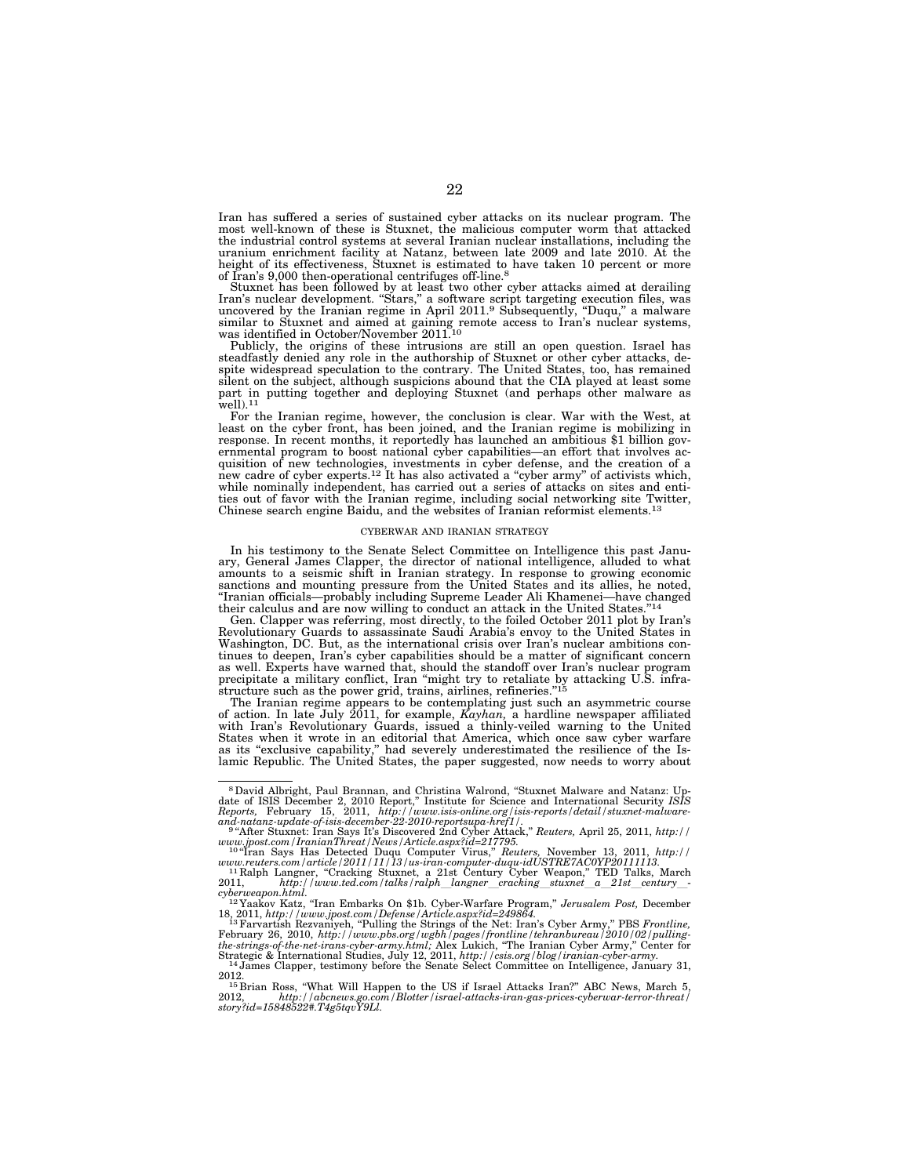Iran has suffered a series of sustained cyber attacks on its nuclear program. The most well-known of these is Stuxnet, the malicious computer worm that attacked the industrial control systems at several Iranian nuclear installations, including the uranium enrichment facility at Natanz, between late 2009 and late 2010. At the height of its effectiveness, Stuxnet is estimated to have taken 10 percent or more of Iran's 9,000 then-operational centrifuges off-line.8

Stuxnet has been followed by at least two other cyber attacks aimed at derailing Iran's nuclear development. ''Stars,'' a software script targeting execution files, was uncovered by the Iranian regime in April 2011.9 Subsequently, ''Duqu,'' a malware similar to Stuxnet and aimed at gaining remote access to Iran's nuclear systems, was identified in October/November 2011.<sup>10</sup>

Publicly, the origins of these intrusions are still an open question. Israel has steadfastly denied any role in the authorship of Stuxnet or other cyber attacks, despite widespread speculation to the contrary. The United States, too, has remained silent on the subject, although suspicions abound that the CIA played at least some part in putting together and deploying Stuxnet (and perhaps other malware as well).<sup>11</sup>

For the Iranian regime, however, the conclusion is clear. War with the West, at least on the cyber front, has been joined, and the Iranian regime is mobilizing in response. In recent months, it reportedly has launched an ambitious \$1 billion gov-ernmental program to boost national cyber capabilities—an effort that involves acquisition of new technologies, investments in cyber defense, and the creation of a new cadre of cyber experts.<sup>12</sup> It has also activated a "cyber army" of activists which, while nominally independent, has carried out a series of attacks on sites and enti-ties out of favor with the Iranian regime, including social networking site Twitter, Chinese search engine Baidu, and the websites of Iranian reformist elements.13

#### CYBERWAR AND IRANIAN STRATEGY

In his testimony to the Senate Select Committee on Intelligence this past January, General James Clapper, the director of national intelligence, alluded to what amounts to a seismic shift in Iranian strategy. In response to growing economic sanctions and mounting pressure from the United States and its allies, he noted, ''Iranian officials—probably including Supreme Leader Ali Khamenei—have changed their calculus and are now willing to conduct an attack in the United States.''14

Gen. Clapper was referring, most directly, to the foiled October 2011 plot by Iran's Revolutionary Guards to assassinate Saudi Arabia's envoy to the United States in Washington, DC. But, as the international crisis over Iran's nuclear ambitions continues to deepen, Iran's cyber capabilities should be a matter of significant concern as well. Experts have warned that, should the standoff over Iran's nuclear program precipitate a military conflict, Iran ''might try to retaliate by attacking U.S. infrastructure such as the power grid, trains, airlines, refineries.'

The Iranian regime appears to be contemplating just such an asymmetric course of action. In late July 2011, for example, *Kayhan,* a hardline newspaper affiliated with Iran's Revolutionary Guards, issued a thinly-veiled warning to the United States when it wrote in an editorial that America, which once saw cyber warfare as its ''exclusive capability,'' had severely underestimated the resilience of the Islamic Republic. The United States, the paper suggested, now needs to worry about

<sup>&</sup>lt;sup>8</sup> David Albright, Paul Brannan, and Christina Walrond, "Stuxnet Malware and Natanz: Up-<br>date of ISIS December 2, 2010 Report," Institute for Science and International Security ISIS<br>Reports, February 15, 2011, http://www

*www.jpost.com/IranianThreat/News/Article.aspx?id=217795.* <sup>10</sup> ''Iran Says Has Detected Duqu Computer Virus,'' *Reuters,* November 13, 2011, *http://* 

*www.reuters.com/article/2011/11/13/us-iran-computer-duqu-idUSTRE7AC0YP20111113.*<br><sup>11</sup> Ralph Langner, "Cracking Stuxnet, a 21st Century Cyber Weapon," TED Talks, March<br>2011, *http://www.ted.com/talks/ralph\_langner\_cracking* 

<sup>2011,</sup> http://www.ted.com/talks/ralph\_langner\_cracking\_stuxnet\_a\_21st\_century\_-<br>cyberweapon.html.<br>'12Yaakov Katz, "Iran Embarks On \$1b. Cyber-Warfare Program," Jerusalem Post, December

<sup>18, 2011,</sup> *http://www.jpost.com/Defense/Article.aspx?id=249864.* 13Farvartish Rezvaniyeh, ''Pulling the Strings of the Net: Iran's Cyber Army,'' PBS *Frontline,* 

February 26, 2010, http://www.pbs.org/wgbh/pages/frontline/tehranbureau/2010/02/pulling-<br>the-strings-of-the-net-irans-cyber-army.html; Alex Lukich, "The Iranian Cyber Army," Center for<br>Strategic & International Studies, J

<sup>&</sup>lt;sup>14</sup> James Clapper, testimony before the Senate Select Committee on Intelligence, January 31,<br>
<sup>15</sup> Brian Ross, "What Will Happen to the US if Israel Attacks Iran?" ABC News, March 5,<br>
<sup>15</sup> Brian Ross, "What Will Happen t

<sup>2012,</sup> *http://abcnews.go.com/Blotter/israel-attacks-iran-gas-prices-cyberwar-terror-threat/ story?id=15848522#.T4g5tqvY9Ll.*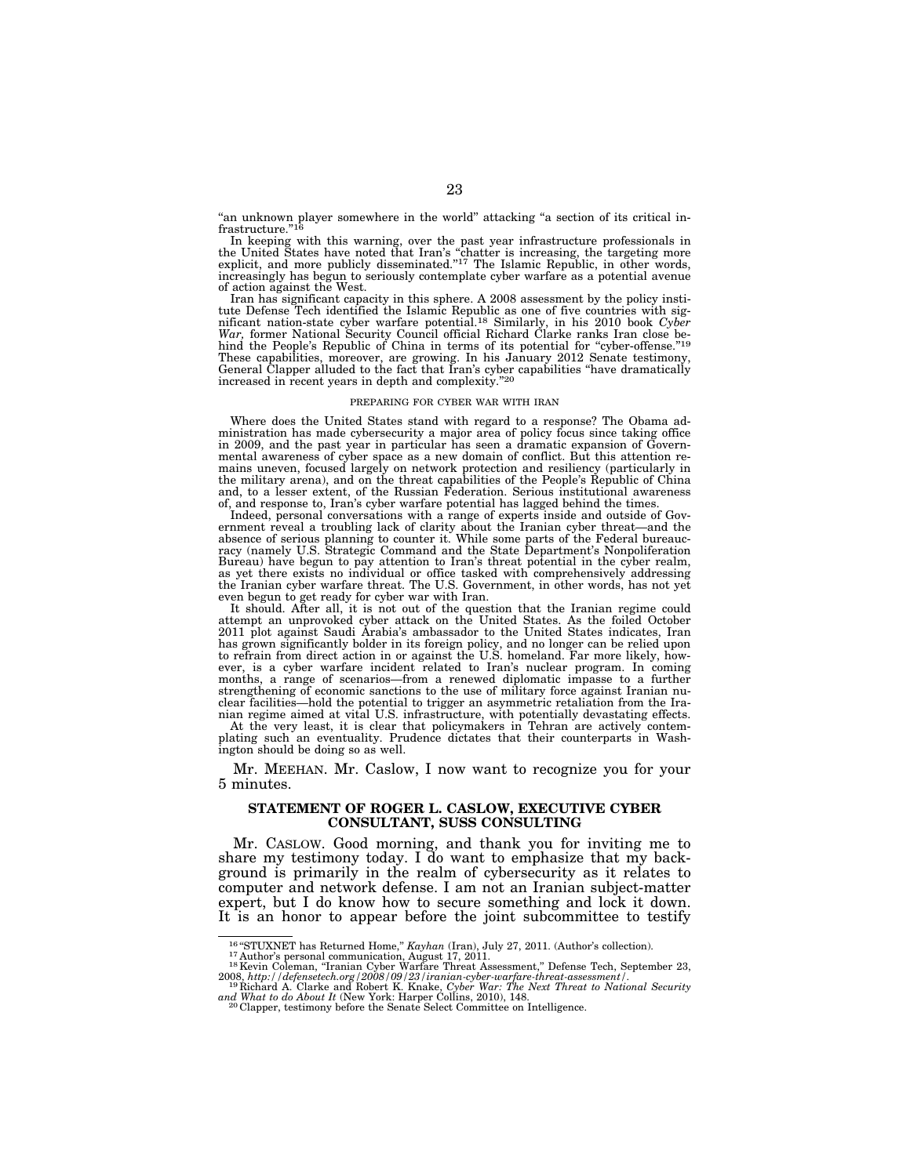"an unknown player somewhere in the world" attacking "a section of its critical infrastructure.'

In keeping with this warning, over the past year infrastructure professionals in the United States have noted that Iran's "chatter is increasing, the targeting more explicit, and more publicly disseminated."<sup>17</sup> The Islam increasingly has begun to seriously contemplate cyber warfare as a potential avenue of action against the West.

Iran has significant capacity in this sphere. A 2008 assessment by the policy institute Defense Tech identified the Islamic Republic as one of five countries with sig-nificant nation-state cyber warfare potential.18 Similarly, in his 2010 book *Cyber War,* former National Security Council official Richard Clarke ranks Iran close behind the People's Republic of China in terms of its potential for "cyber-offense."<sup>19</sup><br>These capabilities, moreover, are growing. In his January 2012 Senate testimony, General Clapper alluded to the fact that Iran's cyber capabilities "have dramatically increased in recent years in depth and complexity."<sup>20</sup>

#### PREPARING FOR CYBER WAR WITH IRAN

Where does the United States stand with regard to a response? The Obama administration has made cybersecurity a major area of policy focus since taking office in 2009, and the past year in particular has seen a dramatic expansion of Governmental awareness of cyber space as a new domain of conflict. But this attention remains uneven, focused largely on network protection and resiliency (particularly in the military arena), and on the threat capabilities of the People's Republic of China and, to a lesser extent, of the Russian Federation. Serious institutional awareness of, and response to, Iran's cyber warfare potential has lagged behind the times.

Indeed, personal conversations with a range of experts inside and outside of Government reveal a troubling lack of clarity about the Iranian cyber threat—and the absence of serious planning to counter it. While some parts of the Federal bureaucracy (namely U.S. Strategic Command and the State Department's Nonpoliferation Bureau) have begun to pay attention to Iran's threat potential in the cyber realm, as yet there exists no individual or office tasked with comprehensively addressing the Iranian cyber warfare threat. The U.S. Government, in other words, has not yet

even begun to get ready for cyber war with Iran. It should. After all, it is not out of the question that the Iranian regime could attempt an unprovoked cyber attack on the United States. As the foiled October 2011 plot against Saudi Arabia's ambassador to the United States indicates, Iran has grown significantly bolder in its foreign policy, and no longer can be relied upon to refrain from direct action in or against the U.S. homeland. Far more likely, however, is a cyber warfare incident related to Iran's nuclear program. In coming months, a range of scenarios—from a renewed diplomatic impasse to a further strengthening of economic sanctions to the use of military force against Iranian nuclear facilities—hold the potential to trigger an asymmetric retaliation from the Ira-

nian regime aimed at vital U.S. infrastructure, with potentially devastating effects. At the very least, it is clear that policymakers in Tehran are actively contemplating such an eventuality. Prudence dictates that their counterparts in Washington should be doing so as well.

Mr. MEEHAN. Mr. Caslow, I now want to recognize you for your 5 minutes.

## **STATEMENT OF ROGER L. CASLOW, EXECUTIVE CYBER CONSULTANT, SUSS CONSULTING**

Mr. CASLOW. Good morning, and thank you for inviting me to share my testimony today. I do want to emphasize that my background is primarily in the realm of cybersecurity as it relates to computer and network defense. I am not an Iranian subject-matter expert, but I do know how to secure something and lock it down. It is an honor to appear before the joint subcommittee to testify

<sup>&</sup>lt;sup>16</sup> "STUXNET has Returned Home," *Kayhan* (Iran), July 27, 2011. (Author's collection).<br><sup>17</sup> Author's personal communication, August 17, 2011.<br><sup>18</sup> Kevin Coleman, "Iranian Cyber Warfare Threat Assessment," Defense Tech, S

<sup>2008,</sup> *http://defensetech.org/2008/09/23/iranian-cyber-warfare-threat-assessment/.* <sup>19</sup> Richard A. Clarke and Robert K. Knake, *Cyber War: The Next Threat to National Security and What to do About It* (New York: Harper Collins, 2010), 148. 20 Clapper, testimony before the Senate Select Committee on Intelligence.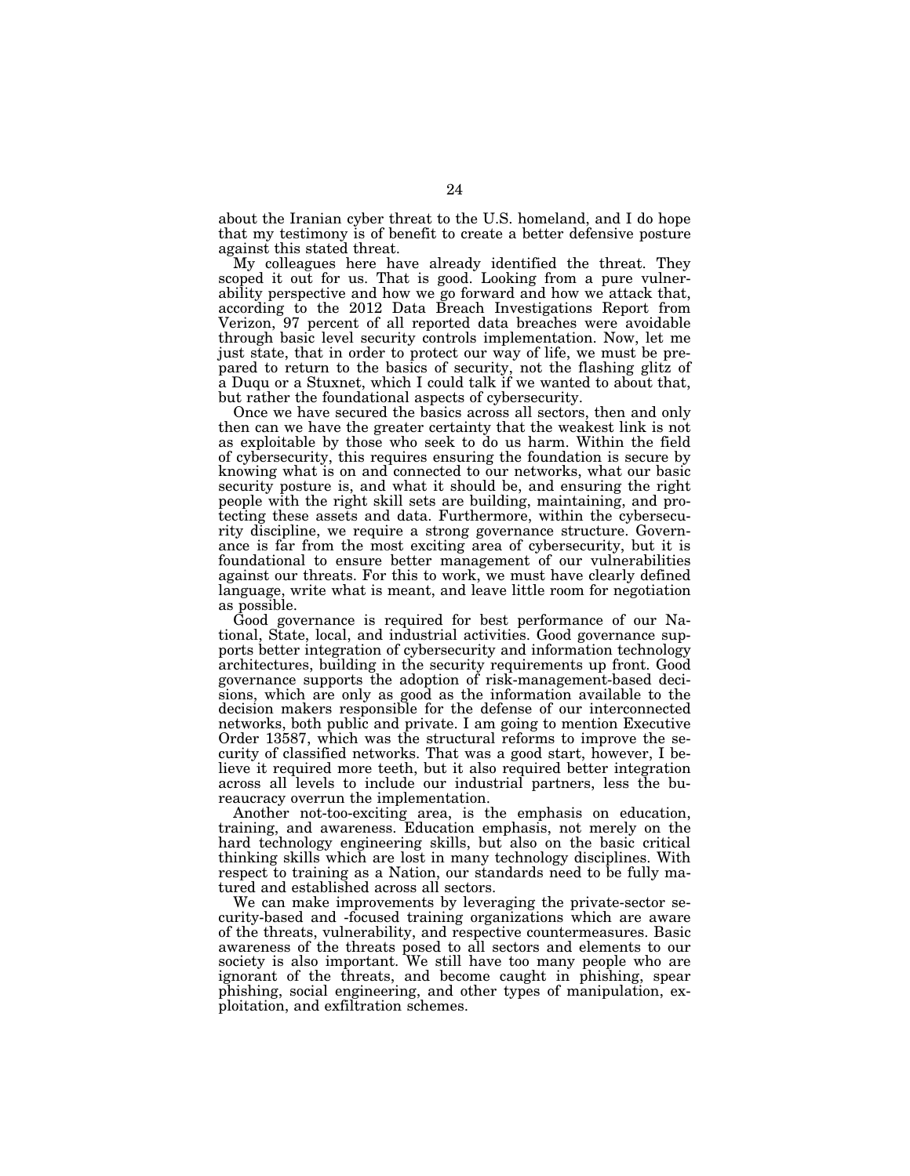about the Iranian cyber threat to the U.S. homeland, and I do hope that my testimony is of benefit to create a better defensive posture against this stated threat.

My colleagues here have already identified the threat. They scoped it out for us. That is good. Looking from a pure vulnerability perspective and how we go forward and how we attack that, according to the 2012 Data Breach Investigations Report from Verizon, 97 percent of all reported data breaches were avoidable through basic level security controls implementation. Now, let me just state, that in order to protect our way of life, we must be prepared to return to the basics of security, not the flashing glitz of a Duqu or a Stuxnet, which I could talk if we wanted to about that, but rather the foundational aspects of cybersecurity.

Once we have secured the basics across all sectors, then and only then can we have the greater certainty that the weakest link is not as exploitable by those who seek to do us harm. Within the field of cybersecurity, this requires ensuring the foundation is secure by knowing what is on and connected to our networks, what our basic security posture is, and what it should be, and ensuring the right people with the right skill sets are building, maintaining, and protecting these assets and data. Furthermore, within the cybersecurity discipline, we require a strong governance structure. Governance is far from the most exciting area of cybersecurity, but it is foundational to ensure better management of our vulnerabilities against our threats. For this to work, we must have clearly defined language, write what is meant, and leave little room for negotiation as possible.

Good governance is required for best performance of our National, State, local, and industrial activities. Good governance supports better integration of cybersecurity and information technology architectures, building in the security requirements up front. Good governance supports the adoption of risk-management-based decisions, which are only as good as the information available to the decision makers responsible for the defense of our interconnected networks, both public and private. I am going to mention Executive Order 13587, which was the structural reforms to improve the security of classified networks. That was a good start, however, I believe it required more teeth, but it also required better integration across all levels to include our industrial partners, less the bureaucracy overrun the implementation.

Another not-too-exciting area, is the emphasis on education, training, and awareness. Education emphasis, not merely on the hard technology engineering skills, but also on the basic critical thinking skills which are lost in many technology disciplines. With respect to training as a Nation, our standards need to be fully matured and established across all sectors.

We can make improvements by leveraging the private-sector security-based and -focused training organizations which are aware of the threats, vulnerability, and respective countermeasures. Basic awareness of the threats posed to all sectors and elements to our society is also important. We still have too many people who are ignorant of the threats, and become caught in phishing, spear phishing, social engineering, and other types of manipulation, exploitation, and exfiltration schemes.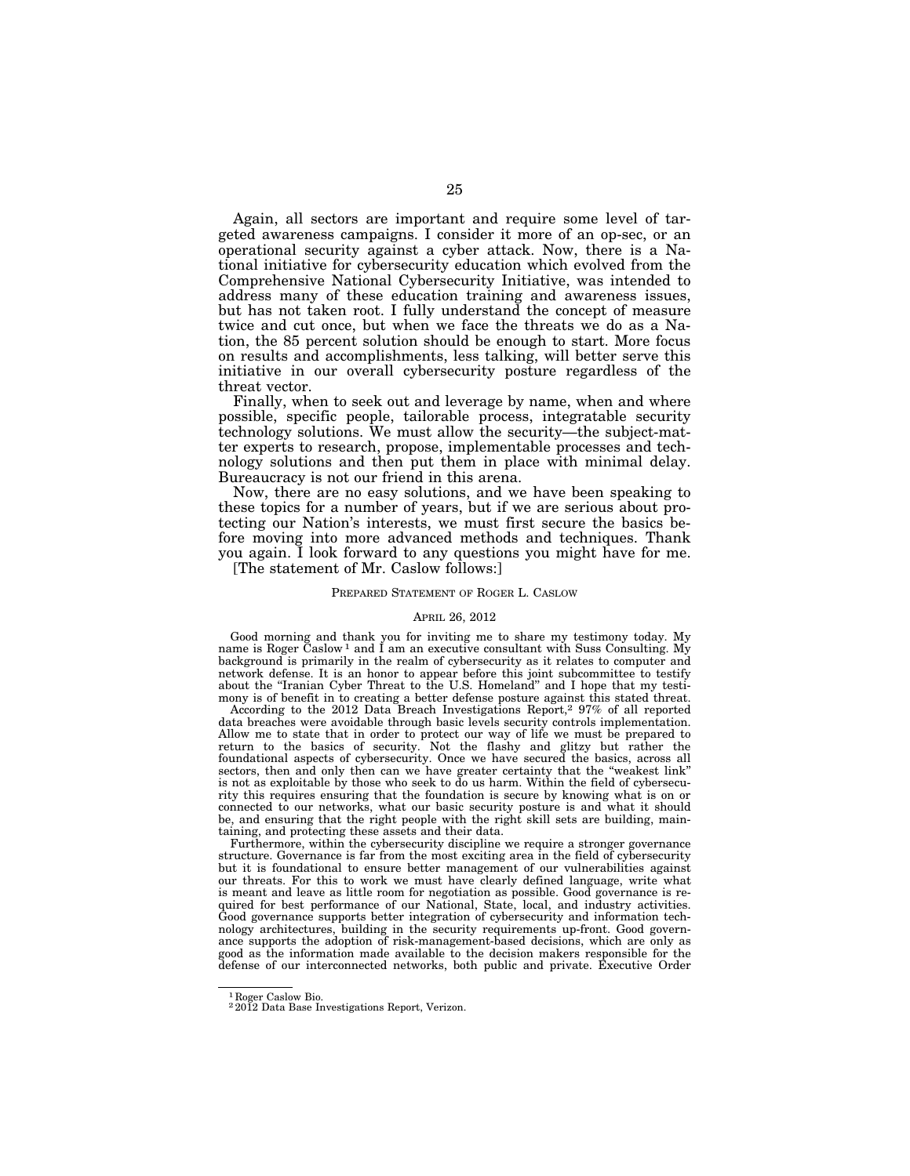Again, all sectors are important and require some level of targeted awareness campaigns. I consider it more of an op-sec, or an operational security against a cyber attack. Now, there is a National initiative for cybersecurity education which evolved from the Comprehensive National Cybersecurity Initiative, was intended to address many of these education training and awareness issues, but has not taken root. I fully understand the concept of measure twice and cut once, but when we face the threats we do as a Nation, the 85 percent solution should be enough to start. More focus on results and accomplishments, less talking, will better serve this initiative in our overall cybersecurity posture regardless of the threat vector.

Finally, when to seek out and leverage by name, when and where possible, specific people, tailorable process, integratable security technology solutions. We must allow the security—the subject-matter experts to research, propose, implementable processes and technology solutions and then put them in place with minimal delay. Bureaucracy is not our friend in this arena.

Now, there are no easy solutions, and we have been speaking to these topics for a number of years, but if we are serious about protecting our Nation's interests, we must first secure the basics before moving into more advanced methods and techniques. Thank you again. I look forward to any questions you might have for me.

[The statement of Mr. Caslow follows:]

### PREPARED STATEMENT OF ROGER L. CASLOW

#### APRIL 26, 2012

Good morning and thank you for inviting me to share my testimony today. My name is Roger Caslow<sup>1</sup> and I am an executive consultant with Suss Consulting. My background is primarily in the realm of cybersecurity as it relates to computer and network defense. It is an honor to appear before this joint subcommittee to testify about the "Iranian Cyber Threat to the U.S. Homeland" and I hope that my testimony is of benefit in to creating a better defense posture against this stated threat.

According to the 2012 Data Breach Investigations Report,2 97% of all reported data breaches were avoidable through basic levels security controls implementation. Allow me to state that in order to protect our way of life we must be prepared to return to the basics of security. Not the flashy and glitzy but rather the foundational aspects of cybersecurity. Once we have secured the basics, across all sectors, then and only then can we have greater certainty that the ''weakest link'' is not as exploitable by those who seek to do us harm. Within the field of cybersecurity this requires ensuring that the foundation is secure by knowing what is on or connected to our networks, what our basic security posture is and what it should be, and ensuring that the right people with the right skill sets are building, maintaining, and protecting these assets and their data.

Furthermore, within the cybersecurity discipline we require a stronger governance structure. Governance is far from the most exciting area in the field of cybersecurity but it is foundational to ensure better management of our vulnerabilities against our threats. For this to work we must have clearly defined language, write what is meant and leave as little room for negotiation as possible. Good governance is required for best performance of our National, State, local, and industry activities. Good governance supports better integration of cybersecurity and information technology architectures, building in the security requirements up-front. Good governance supports the adoption of risk-management-based decisions, which are only as good as the information made available to the decision makers responsible for the defense of our interconnected networks, both public and private. Executive Order

<sup>&</sup>lt;sup>1</sup> Roger Caslow Bio.<br><sup>2</sup> 2012 Data Base Investigations Report, Verizon.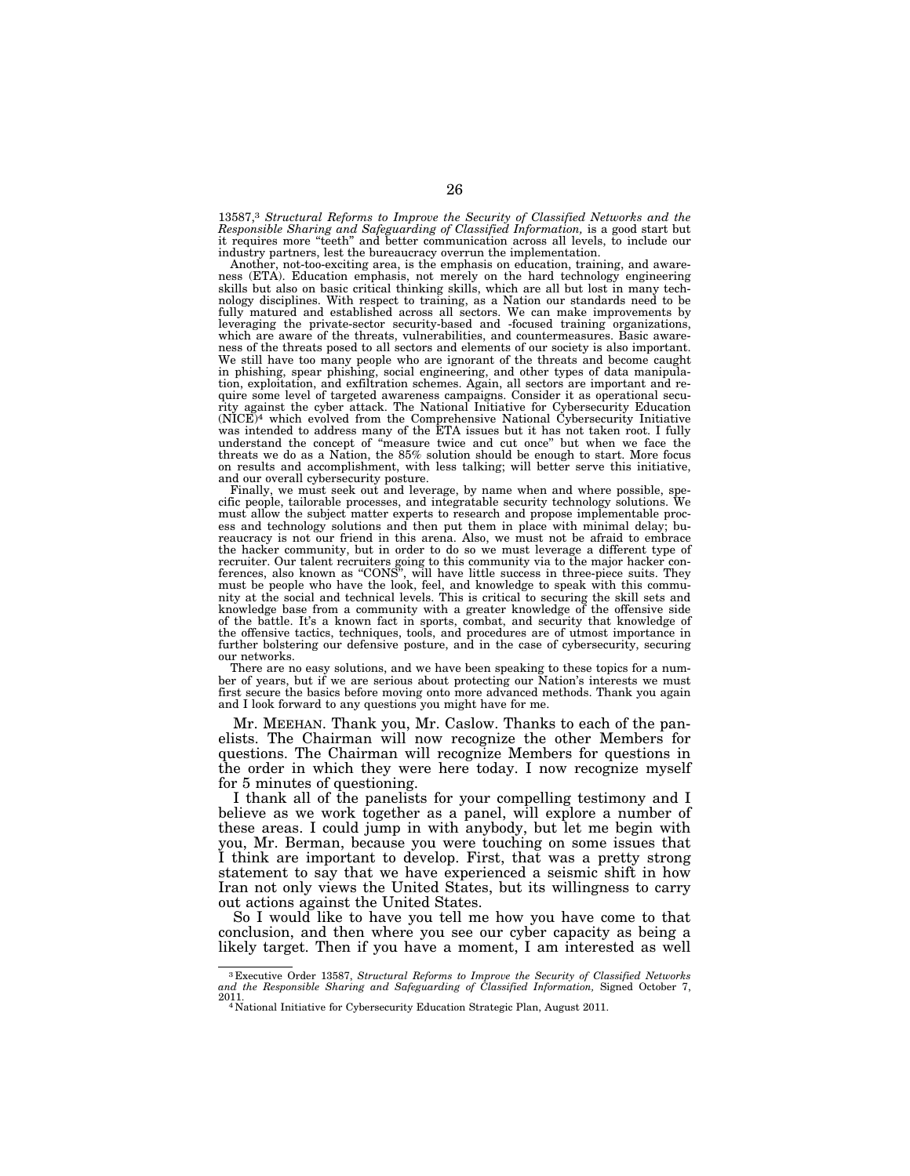13587,3 *Structural Reforms to Improve the Security of Classified Networks and the Responsible Sharing and Safeguarding of Classified Information,* is a good start but it requires more ''teeth'' and better communication across all levels, to include our industry partners, lest the bureaucracy overrun the implementation.

Another, not-too-exciting area, is the emphasis on education, training, and awareness (ETA). Education emphasis, not merely on the hard technology engineering skills but also on basic critical thinking skills, which are all but lost in many technology disciplines. With respect to training, as a Nation our standards need to be fully matured and established across all sectors. We can make improvements by leveraging the private-sector security-based and -focused training organizations, which are aware of the threats, vulnerabilities, and countermeasures. Basic awareness of the threats posed to all sectors and elements of our society is also important. We still have too many people who are ignorant of the threats and become caught in phishing, spear phishing, social engineering, and other types of data manipulation, exploitation, and exfiltration schemes. Again, all sectors are important and require some level of targeted awareness campaigns. Consider it as operational security against the cyber attack. The National Initiative for Cybersecurity Education  $(NICE)^4$  which evolved from the Comprehensive National Cybersecurity Initiative was intended to address many of the ETA issues but it has not taken root. I fully understand the concept of ''measure twice and cut once'' but when we face the threats we do as a Nation, the 85% solution should be enough to start. More focus on results and accomplishment, with less talking; will better serve this initiative, and our overall cybersecurity posture.

Finally, we must seek out and leverage, by name when and where possible, specific people, tailorable processes, and integratable security technology solutions. We must allow the subject matter experts to research and propose implementable process and technology solutions and then put them in place with minimal delay; bureaucracy is not our friend in this arena. Also, we must not be afraid to embrace the hacker community, but in order to do so we must leverage a different type of recruiter. Our talent recruiters going to this community via to the major hacker conferences, also known as ''CONS'', will have little success in three-piece suits. They must be people who have the look, feel, and knowledge to speak with this community at the social and technical levels. This is critical to securing the skill sets and knowledge base from a community with a greater knowledge of the offensive side of the battle. It's a known fact in sports, combat, and security that knowledge of the offensive tactics, techniques, tools, and procedures are of utmost importance in further bolstering our defensive posture, and in the case of cybersecurity, securing our networks.

There are no easy solutions, and we have been speaking to these topics for a number of years, but if we are serious about protecting our Nation's interests we must first secure the basics before moving onto more advanced methods. Thank you again and I look forward to any questions you might have for me.

Mr. MEEHAN. Thank you, Mr. Caslow. Thanks to each of the panelists. The Chairman will now recognize the other Members for questions. The Chairman will recognize Members for questions in the order in which they were here today. I now recognize myself for 5 minutes of questioning.

I thank all of the panelists for your compelling testimony and I believe as we work together as a panel, will explore a number of these areas. I could jump in with anybody, but let me begin with you, Mr. Berman, because you were touching on some issues that I think are important to develop. First, that was a pretty strong statement to say that we have experienced a seismic shift in how Iran not only views the United States, but its willingness to carry out actions against the United States.

So I would like to have you tell me how you have come to that conclusion, and then where you see our cyber capacity as being a likely target. Then if you have a moment, I am interested as well

<sup>3</sup> Executive Order 13587, *Structural Reforms to Improve the Security of Classified Networks and the Responsible Sharing and Safeguarding of Classified Information,* Signed October 7,

<sup>2011. 4</sup> National Initiative for Cybersecurity Education Strategic Plan, August 2011.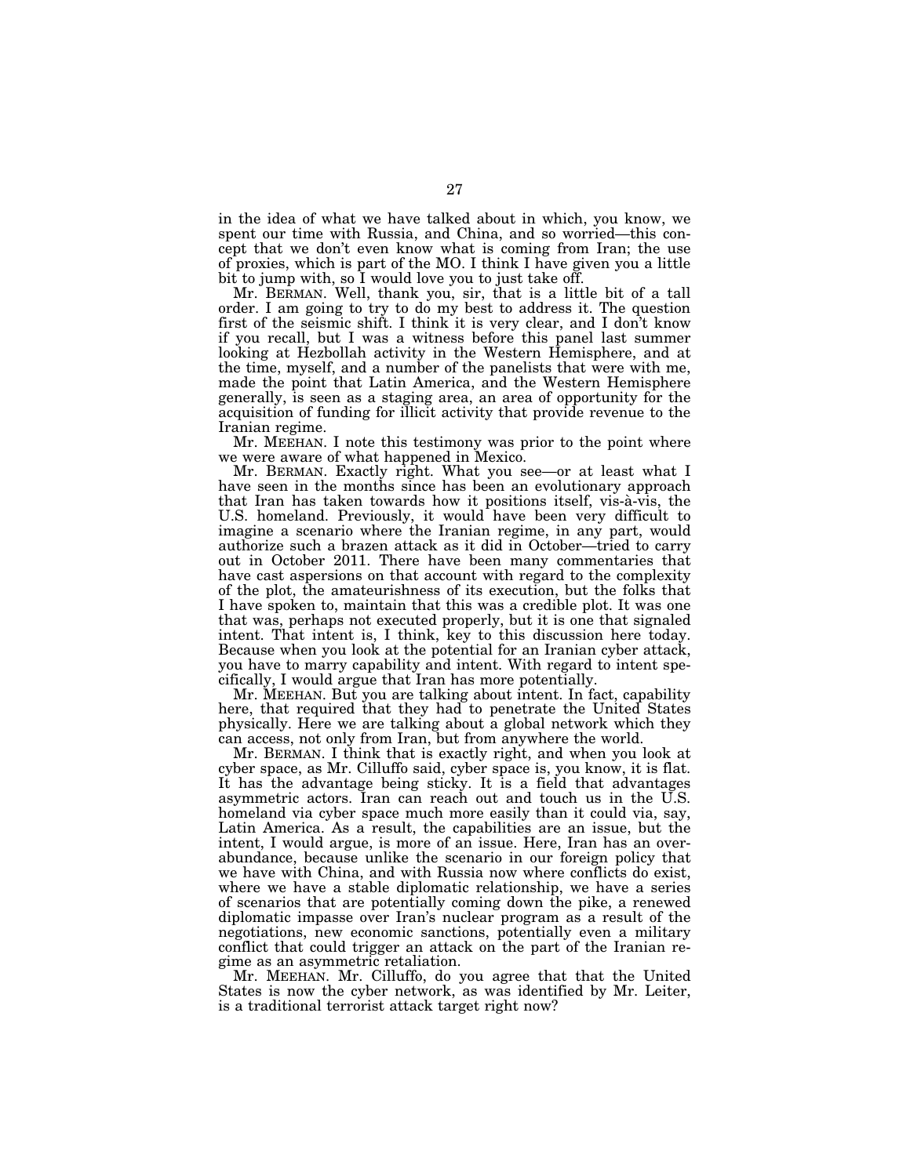in the idea of what we have talked about in which, you know, we spent our time with Russia, and China, and so worried—this concept that we don't even know what is coming from Iran; the use of proxies, which is part of the MO. I think I have given you a little bit to jump with, so I would love you to just take off.

Mr. BERMAN. Well, thank you, sir, that is a little bit of a tall order. I am going to try to do my best to address it. The question first of the seismic shift. I think it is very clear, and I don't know if you recall, but I was a witness before this panel last summer looking at Hezbollah activity in the Western Hemisphere, and at the time, myself, and a number of the panelists that were with me, made the point that Latin America, and the Western Hemisphere generally, is seen as a staging area, an area of opportunity for the acquisition of funding for illicit activity that provide revenue to the Iranian regime.

Mr. MEEHAN. I note this testimony was prior to the point where we were aware of what happened in Mexico.

Mr. BERMAN. Exactly right. What you see—or at least what I have seen in the months since has been an evolutionary approach that Iran has taken towards how it positions itself, vis-a`-vis, the U.S. homeland. Previously, it would have been very difficult to imagine a scenario where the Iranian regime, in any part, would authorize such a brazen attack as it did in October—tried to carry out in October 2011. There have been many commentaries that have cast aspersions on that account with regard to the complexity of the plot, the amateurishness of its execution, but the folks that I have spoken to, maintain that this was a credible plot. It was one that was, perhaps not executed properly, but it is one that signaled intent. That intent is, I think, key to this discussion here today. Because when you look at the potential for an Iranian cyber attack, you have to marry capability and intent. With regard to intent specifically, I would argue that Iran has more potentially.

Mr. MEEHAN. But you are talking about intent. In fact, capability here, that required that they had to penetrate the United States physically. Here we are talking about a global network which they can access, not only from Iran, but from anywhere the world.

Mr. BERMAN. I think that is exactly right, and when you look at cyber space, as Mr. Cilluffo said, cyber space is, you know, it is flat. It has the advantage being sticky. It is a field that advantages asymmetric actors. Iran can reach out and touch us in the U.S. homeland via cyber space much more easily than it could via, say, Latin America. As a result, the capabilities are an issue, but the intent, I would argue, is more of an issue. Here, Iran has an overabundance, because unlike the scenario in our foreign policy that we have with China, and with Russia now where conflicts do exist, where we have a stable diplomatic relationship, we have a series of scenarios that are potentially coming down the pike, a renewed diplomatic impasse over Iran's nuclear program as a result of the negotiations, new economic sanctions, potentially even a military conflict that could trigger an attack on the part of the Iranian regime as an asymmetric retaliation.

Mr. MEEHAN. Mr. Cilluffo, do you agree that that the United States is now the cyber network, as was identified by Mr. Leiter, is a traditional terrorist attack target right now?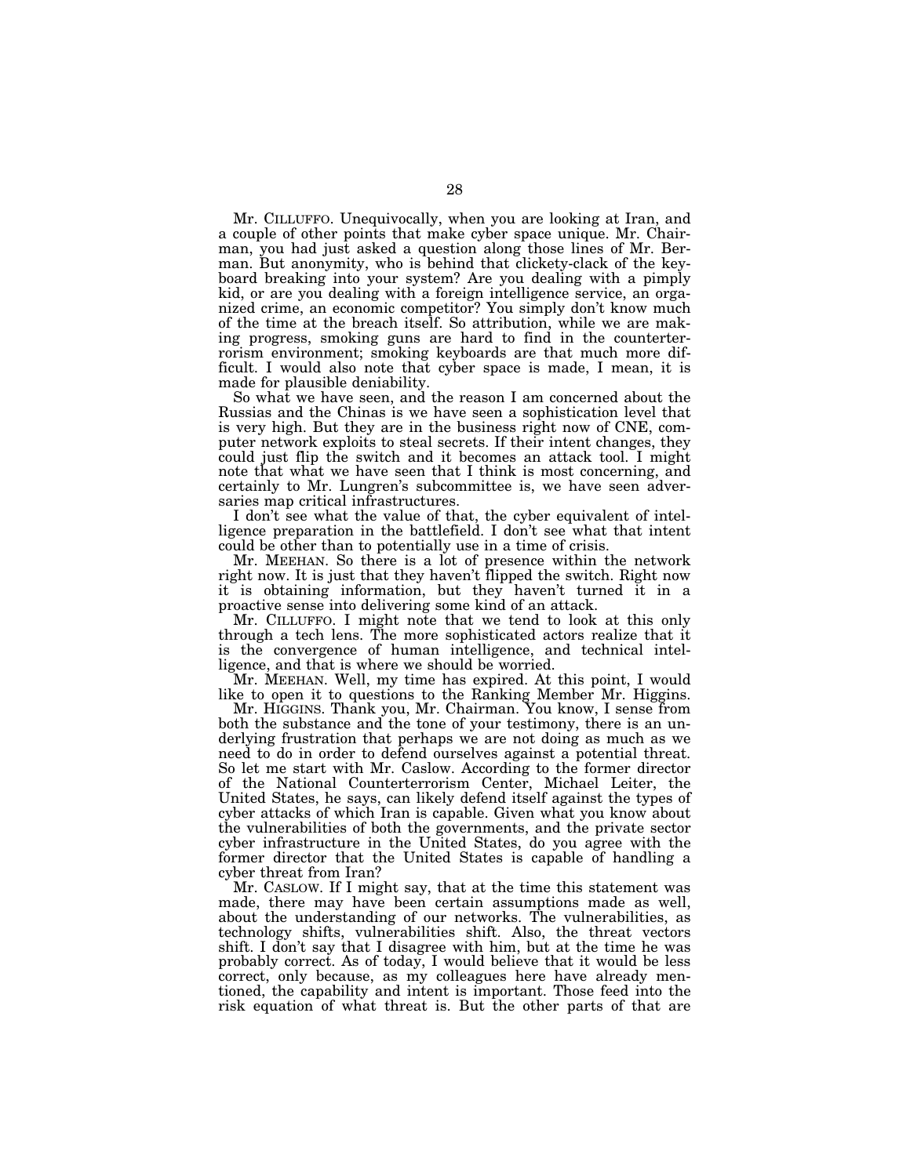Mr. CILLUFFO. Unequivocally, when you are looking at Iran, and a couple of other points that make cyber space unique. Mr. Chairman, you had just asked a question along those lines of Mr. Berman. But anonymity, who is behind that clickety-clack of the keyboard breaking into your system? Are you dealing with a pimply kid, or are you dealing with a foreign intelligence service, an organized crime, an economic competitor? You simply don't know much of the time at the breach itself. So attribution, while we are making progress, smoking guns are hard to find in the counterterrorism environment; smoking keyboards are that much more difficult. I would also note that cyber space is made, I mean, it is made for plausible deniability.

So what we have seen, and the reason I am concerned about the Russias and the Chinas is we have seen a sophistication level that is very high. But they are in the business right now of CNE, computer network exploits to steal secrets. If their intent changes, they could just flip the switch and it becomes an attack tool. I might note that what we have seen that I think is most concerning, and certainly to Mr. Lungren's subcommittee is, we have seen adversaries map critical infrastructures.

I don't see what the value of that, the cyber equivalent of intelligence preparation in the battlefield. I don't see what that intent could be other than to potentially use in a time of crisis.

Mr. MEEHAN. So there is a lot of presence within the network right now. It is just that they haven't flipped the switch. Right now it is obtaining information, but they haven't turned it in a proactive sense into delivering some kind of an attack.

Mr. CILLUFFO. I might note that we tend to look at this only through a tech lens. The more sophisticated actors realize that it is the convergence of human intelligence, and technical intelligence, and that is where we should be worried.

Mr. MEEHAN. Well, my time has expired. At this point, I would like to open it to questions to the Ranking Member Mr. Higgins.

Mr. HIGGINS. Thank you, Mr. Chairman. You know, I sense from both the substance and the tone of your testimony, there is an underlying frustration that perhaps we are not doing as much as we need to do in order to defend ourselves against a potential threat. So let me start with Mr. Caslow. According to the former director of the National Counterterrorism Center, Michael Leiter, the United States, he says, can likely defend itself against the types of cyber attacks of which Iran is capable. Given what you know about the vulnerabilities of both the governments, and the private sector cyber infrastructure in the United States, do you agree with the former director that the United States is capable of handling a cyber threat from Iran?

Mr. CASLOW. If I might say, that at the time this statement was made, there may have been certain assumptions made as well, about the understanding of our networks. The vulnerabilities, as technology shifts, vulnerabilities shift. Also, the threat vectors shift. I don't say that I disagree with him, but at the time he was probably correct. As of today, I would believe that it would be less correct, only because, as my colleagues here have already mentioned, the capability and intent is important. Those feed into the risk equation of what threat is. But the other parts of that are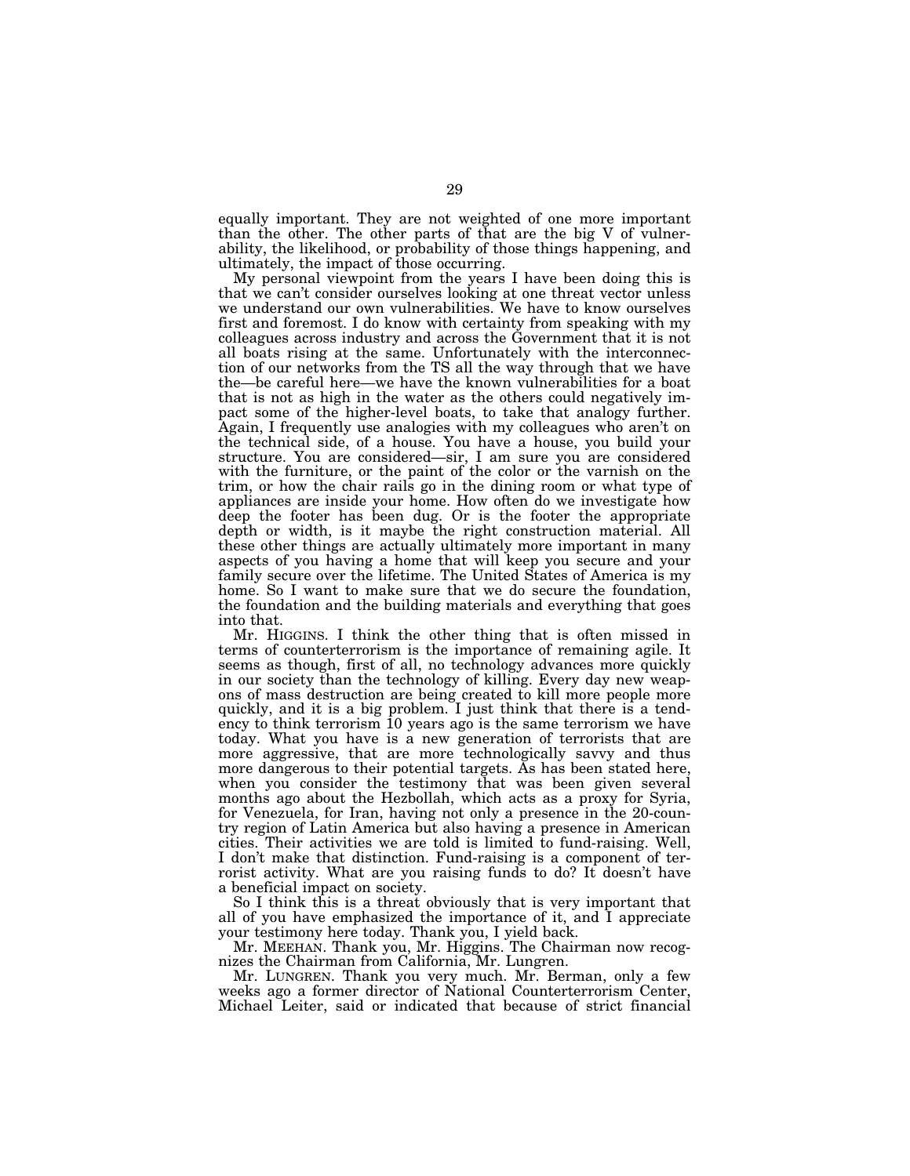equally important. They are not weighted of one more important than the other. The other parts of that are the big V of vulnerability, the likelihood, or probability of those things happening, and ultimately, the impact of those occurring.

My personal viewpoint from the years I have been doing this is that we can't consider ourselves looking at one threat vector unless we understand our own vulnerabilities. We have to know ourselves first and foremost. I do know with certainty from speaking with my colleagues across industry and across the Government that it is not all boats rising at the same. Unfortunately with the interconnection of our networks from the TS all the way through that we have the—be careful here—we have the known vulnerabilities for a boat that is not as high in the water as the others could negatively impact some of the higher-level boats, to take that analogy further. Again, I frequently use analogies with my colleagues who aren't on the technical side, of a house. You have a house, you build your structure. You are considered—sir, I am sure you are considered with the furniture, or the paint of the color or the varnish on the trim, or how the chair rails go in the dining room or what type of appliances are inside your home. How often do we investigate how deep the footer has been dug. Or is the footer the appropriate depth or width, is it maybe the right construction material. All these other things are actually ultimately more important in many aspects of you having a home that will keep you secure and your family secure over the lifetime. The United States of America is my home. So I want to make sure that we do secure the foundation, the foundation and the building materials and everything that goes into that.

Mr. HIGGINS. I think the other thing that is often missed in terms of counterterrorism is the importance of remaining agile. It seems as though, first of all, no technology advances more quickly in our society than the technology of killing. Every day new weapons of mass destruction are being created to kill more people more quickly, and it is a big problem. I just think that there is a tendency to think terrorism 10 years ago is the same terrorism we have today. What you have is a new generation of terrorists that are more aggressive, that are more technologically savvy and thus more dangerous to their potential targets. As has been stated here, when you consider the testimony that was been given several months ago about the Hezbollah, which acts as a proxy for Syria, for Venezuela, for Iran, having not only a presence in the 20-country region of Latin America but also having a presence in American cities. Their activities we are told is limited to fund-raising. Well, I don't make that distinction. Fund-raising is a component of terrorist activity. What are you raising funds to do? It doesn't have a beneficial impact on society.

So I think this is a threat obviously that is very important that all of you have emphasized the importance of it, and I appreciate your testimony here today. Thank you, I yield back.

Mr. MEEHAN. Thank you, Mr. Higgins. The Chairman now recognizes the Chairman from California, Mr. Lungren.

Mr. LUNGREN. Thank you very much. Mr. Berman, only a few weeks ago a former director of National Counterterrorism Center, Michael Leiter, said or indicated that because of strict financial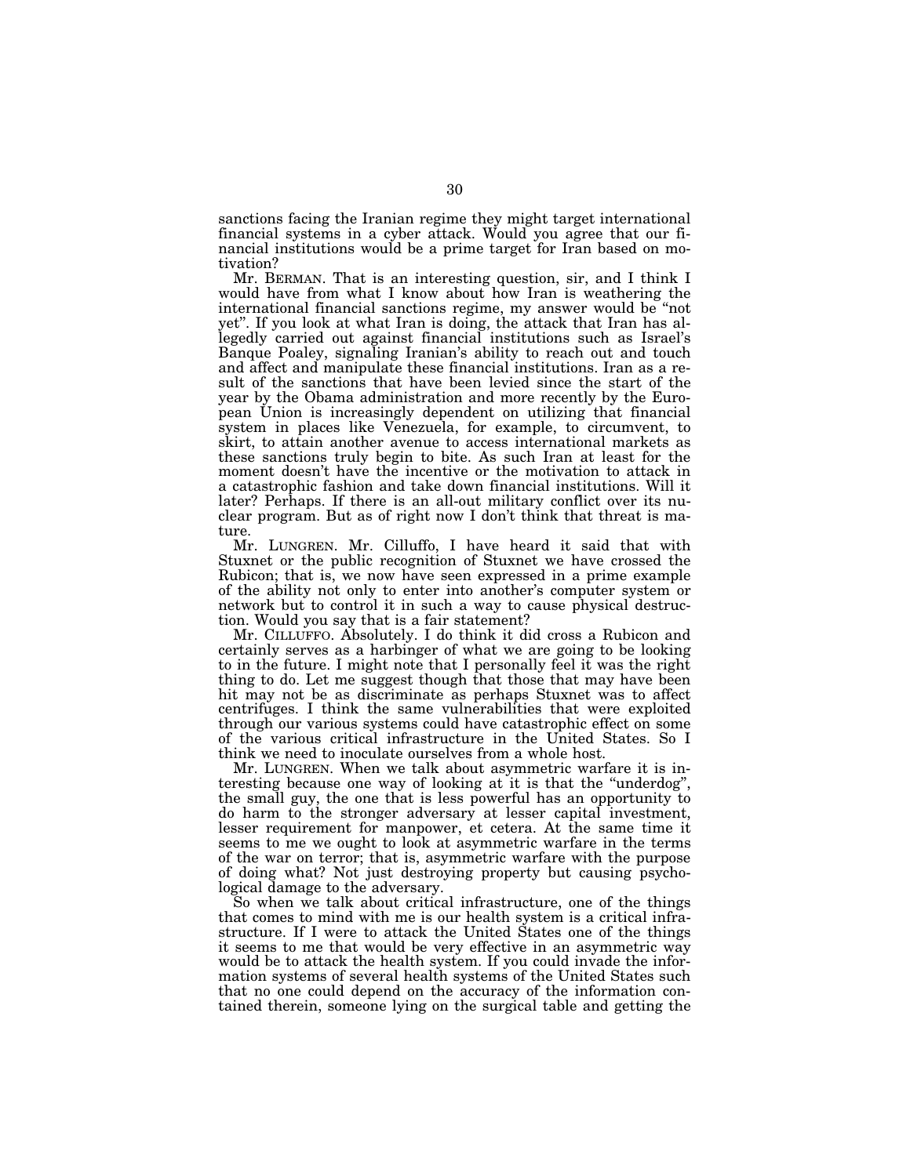sanctions facing the Iranian regime they might target international financial systems in a cyber attack. Would you agree that our financial institutions would be a prime target for Iran based on motivation?

Mr. BERMAN. That is an interesting question, sir, and I think I would have from what I know about how Iran is weathering the international financial sanctions regime, my answer would be ''not yet''. If you look at what Iran is doing, the attack that Iran has allegedly carried out against financial institutions such as Israel's Banque Poaley, signaling Iranian's ability to reach out and touch and affect and manipulate these financial institutions. Iran as a result of the sanctions that have been levied since the start of the year by the Obama administration and more recently by the European Union is increasingly dependent on utilizing that financial system in places like Venezuela, for example, to circumvent, to skirt, to attain another avenue to access international markets as these sanctions truly begin to bite. As such Iran at least for the moment doesn't have the incentive or the motivation to attack in a catastrophic fashion and take down financial institutions. Will it later? Perhaps. If there is an all-out military conflict over its nuclear program. But as of right now I don't think that threat is mature.

Mr. LUNGREN. Mr. Cilluffo, I have heard it said that with Stuxnet or the public recognition of Stuxnet we have crossed the Rubicon; that is, we now have seen expressed in a prime example of the ability not only to enter into another's computer system or network but to control it in such a way to cause physical destruction. Would you say that is a fair statement?

Mr. CILLUFFO. Absolutely. I do think it did cross a Rubicon and certainly serves as a harbinger of what we are going to be looking to in the future. I might note that I personally feel it was the right thing to do. Let me suggest though that those that may have been hit may not be as discriminate as perhaps Stuxnet was to affect centrifuges. I think the same vulnerabilities that were exploited through our various systems could have catastrophic effect on some of the various critical infrastructure in the United States. So I think we need to inoculate ourselves from a whole host.

Mr. LUNGREN. When we talk about asymmetric warfare it is interesting because one way of looking at it is that the ''underdog'', the small guy, the one that is less powerful has an opportunity to do harm to the stronger adversary at lesser capital investment, lesser requirement for manpower, et cetera. At the same time it seems to me we ought to look at asymmetric warfare in the terms of the war on terror; that is, asymmetric warfare with the purpose of doing what? Not just destroying property but causing psychological damage to the adversary.

So when we talk about critical infrastructure, one of the things that comes to mind with me is our health system is a critical infrastructure. If I were to attack the United States one of the things it seems to me that would be very effective in an asymmetric way would be to attack the health system. If you could invade the information systems of several health systems of the United States such that no one could depend on the accuracy of the information contained therein, someone lying on the surgical table and getting the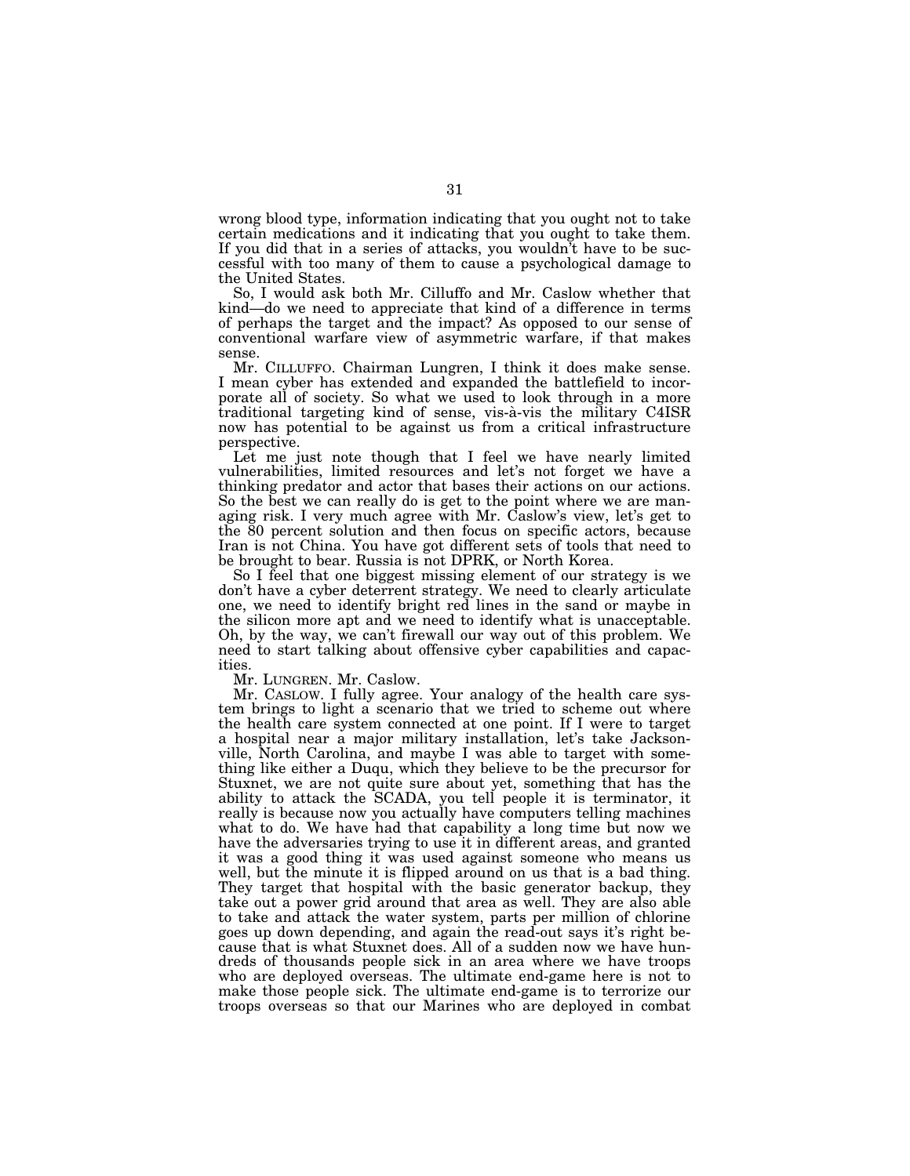wrong blood type, information indicating that you ought not to take certain medications and it indicating that you ought to take them. If you did that in a series of attacks, you wouldn't have to be successful with too many of them to cause a psychological damage to the United States.

So, I would ask both Mr. Cilluffo and Mr. Caslow whether that kind—do we need to appreciate that kind of a difference in terms of perhaps the target and the impact? As opposed to our sense of conventional warfare view of asymmetric warfare, if that makes sense.

Mr. CILLUFFO. Chairman Lungren, I think it does make sense. I mean cyber has extended and expanded the battlefield to incorporate all of society. So what we used to look through in a more traditional targeting kind of sense, vis-a`-vis the military C4ISR now has potential to be against us from a critical infrastructure perspective.

Let me just note though that I feel we have nearly limited vulnerabilities, limited resources and let's not forget we have a thinking predator and actor that bases their actions on our actions. So the best we can really do is get to the point where we are managing risk. I very much agree with Mr. Caslow's view, let's get to the 80 percent solution and then focus on specific actors, because Iran is not China. You have got different sets of tools that need to be brought to bear. Russia is not DPRK, or North Korea.

So I feel that one biggest missing element of our strategy is we don't have a cyber deterrent strategy. We need to clearly articulate one, we need to identify bright red lines in the sand or maybe in the silicon more apt and we need to identify what is unacceptable. Oh, by the way, we can't firewall our way out of this problem. We need to start talking about offensive cyber capabilities and capacities.

Mr. LUNGREN. Mr. Caslow.

Mr. CASLOW. I fully agree. Your analogy of the health care system brings to light a scenario that we tried to scheme out where the health care system connected at one point. If I were to target a hospital near a major military installation, let's take Jacksonville, North Carolina, and maybe I was able to target with something like either a Duqu, which they believe to be the precursor for Stuxnet, we are not quite sure about yet, something that has the ability to attack the SCADA, you tell people it is terminator, it really is because now you actually have computers telling machines what to do. We have had that capability a long time but now we have the adversaries trying to use it in different areas, and granted it was a good thing it was used against someone who means us well, but the minute it is flipped around on us that is a bad thing. They target that hospital with the basic generator backup, they take out a power grid around that area as well. They are also able to take and attack the water system, parts per million of chlorine goes up down depending, and again the read-out says it's right because that is what Stuxnet does. All of a sudden now we have hundreds of thousands people sick in an area where we have troops who are deployed overseas. The ultimate end-game here is not to make those people sick. The ultimate end-game is to terrorize our troops overseas so that our Marines who are deployed in combat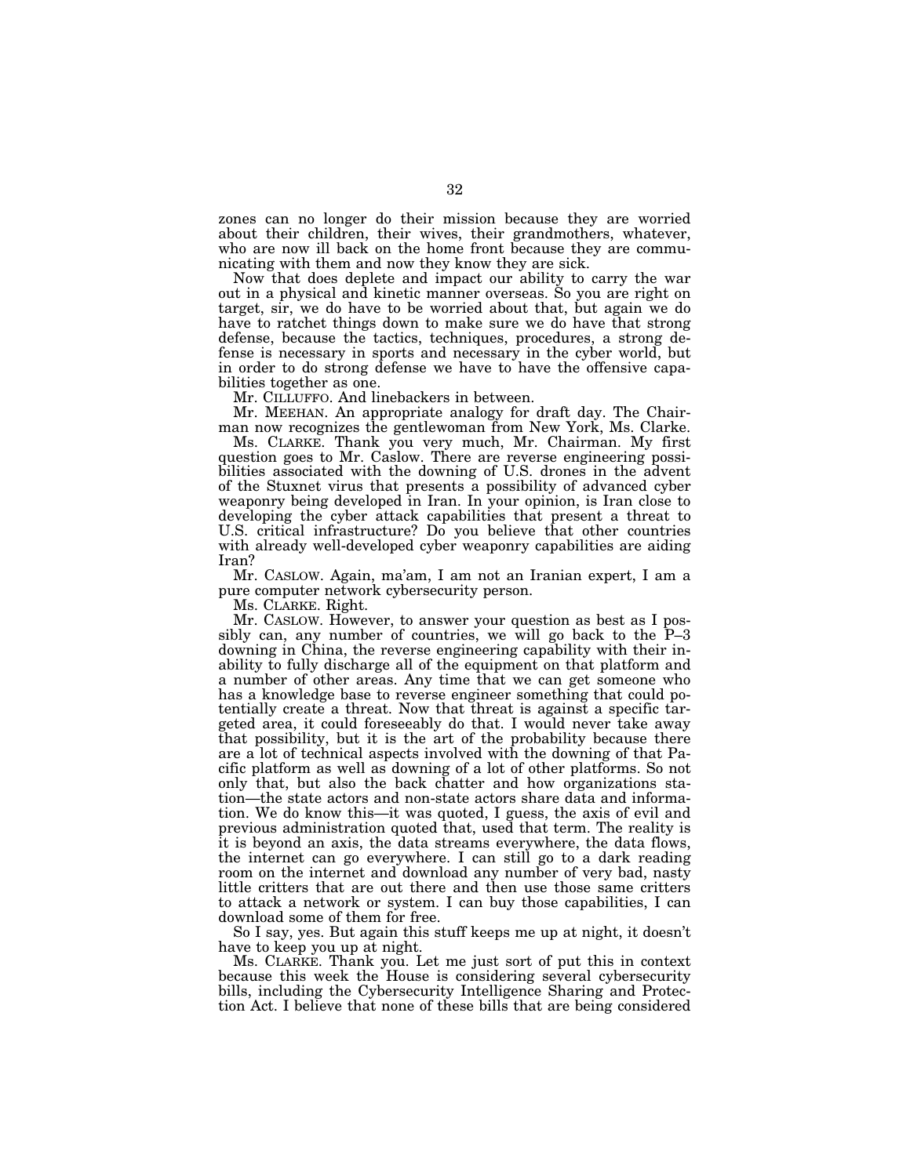zones can no longer do their mission because they are worried about their children, their wives, their grandmothers, whatever, who are now ill back on the home front because they are communicating with them and now they know they are sick.

Now that does deplete and impact our ability to carry the war out in a physical and kinetic manner overseas. So you are right on target, sir, we do have to be worried about that, but again we do have to ratchet things down to make sure we do have that strong defense, because the tactics, techniques, procedures, a strong defense is necessary in sports and necessary in the cyber world, but in order to do strong defense we have to have the offensive capabilities together as one.

Mr. CILLUFFO. And linebackers in between.

Mr. MEEHAN. An appropriate analogy for draft day. The Chairman now recognizes the gentlewoman from New York, Ms. Clarke.

Ms. CLARKE. Thank you very much, Mr. Chairman. My first question goes to Mr. Caslow. There are reverse engineering possibilities associated with the downing of U.S. drones in the advent of the Stuxnet virus that presents a possibility of advanced cyber weaponry being developed in Iran. In your opinion, is Iran close to developing the cyber attack capabilities that present a threat to U.S. critical infrastructure? Do you believe that other countries with already well-developed cyber weaponry capabilities are aiding Iran?

Mr. CASLOW. Again, ma'am, I am not an Iranian expert, I am a pure computer network cybersecurity person.

Ms. CLARKE. Right.

Mr. CASLOW. However, to answer your question as best as I possibly can, any number of countries, we will go back to the P–3 downing in China, the reverse engineering capability with their inability to fully discharge all of the equipment on that platform and a number of other areas. Any time that we can get someone who has a knowledge base to reverse engineer something that could potentially create a threat. Now that threat is against a specific targeted area, it could foreseeably do that. I would never take away that possibility, but it is the art of the probability because there are a lot of technical aspects involved with the downing of that Pacific platform as well as downing of a lot of other platforms. So not only that, but also the back chatter and how organizations station—the state actors and non-state actors share data and information. We do know this—it was quoted, I guess, the axis of evil and previous administration quoted that, used that term. The reality is it is beyond an axis, the data streams everywhere, the data flows, the internet can go everywhere. I can still go to a dark reading room on the internet and download any number of very bad, nasty little critters that are out there and then use those same critters to attack a network or system. I can buy those capabilities, I can download some of them for free.

So I say, yes. But again this stuff keeps me up at night, it doesn't have to keep you up at night.

Ms. CLARKE. Thank you. Let me just sort of put this in context because this week the House is considering several cybersecurity bills, including the Cybersecurity Intelligence Sharing and Protection Act. I believe that none of these bills that are being considered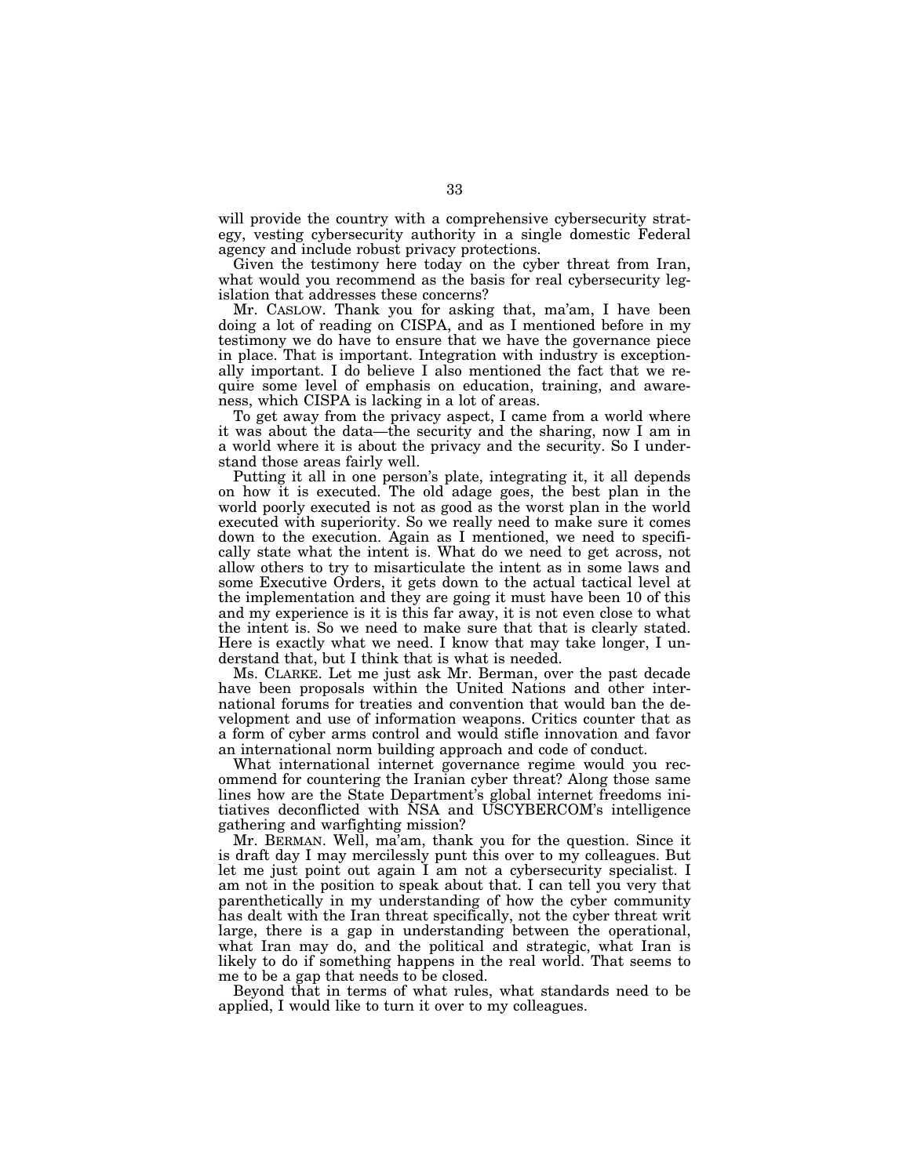will provide the country with a comprehensive cybersecurity strategy, vesting cybersecurity authority in a single domestic Federal agency and include robust privacy protections.

Given the testimony here today on the cyber threat from Iran, what would you recommend as the basis for real cybersecurity legislation that addresses these concerns?

Mr. CASLOW. Thank you for asking that, ma'am, I have been doing a lot of reading on CISPA, and as I mentioned before in my testimony we do have to ensure that we have the governance piece in place. That is important. Integration with industry is exceptionally important. I do believe I also mentioned the fact that we require some level of emphasis on education, training, and awareness, which CISPA is lacking in a lot of areas.

To get away from the privacy aspect, I came from a world where it was about the data—the security and the sharing, now I am in a world where it is about the privacy and the security. So I understand those areas fairly well.

Putting it all in one person's plate, integrating it, it all depends on how it is executed. The old adage goes, the best plan in the world poorly executed is not as good as the worst plan in the world executed with superiority. So we really need to make sure it comes down to the execution. Again as I mentioned, we need to specifically state what the intent is. What do we need to get across, not allow others to try to misarticulate the intent as in some laws and some Executive Orders, it gets down to the actual tactical level at the implementation and they are going it must have been 10 of this and my experience is it is this far away, it is not even close to what the intent is. So we need to make sure that that is clearly stated. Here is exactly what we need. I know that may take longer, I understand that, but I think that is what is needed.

Ms. CLARKE. Let me just ask Mr. Berman, over the past decade have been proposals within the United Nations and other international forums for treaties and convention that would ban the development and use of information weapons. Critics counter that as a form of cyber arms control and would stifle innovation and favor an international norm building approach and code of conduct.

What international internet governance regime would you recommend for countering the Iranian cyber threat? Along those same lines how are the State Department's global internet freedoms initiatives deconflicted with NSA and USCYBERCOM's intelligence gathering and warfighting mission?

Mr. BERMAN. Well, ma'am, thank you for the question. Since it is draft day I may mercilessly punt this over to my colleagues. But let me just point out again I am not a cybersecurity specialist. I am not in the position to speak about that. I can tell you very that parenthetically in my understanding of how the cyber community has dealt with the Iran threat specifically, not the cyber threat writ large, there is a gap in understanding between the operational, what Iran may do, and the political and strategic, what Iran is likely to do if something happens in the real world. That seems to me to be a gap that needs to be closed.

Beyond that in terms of what rules, what standards need to be applied, I would like to turn it over to my colleagues.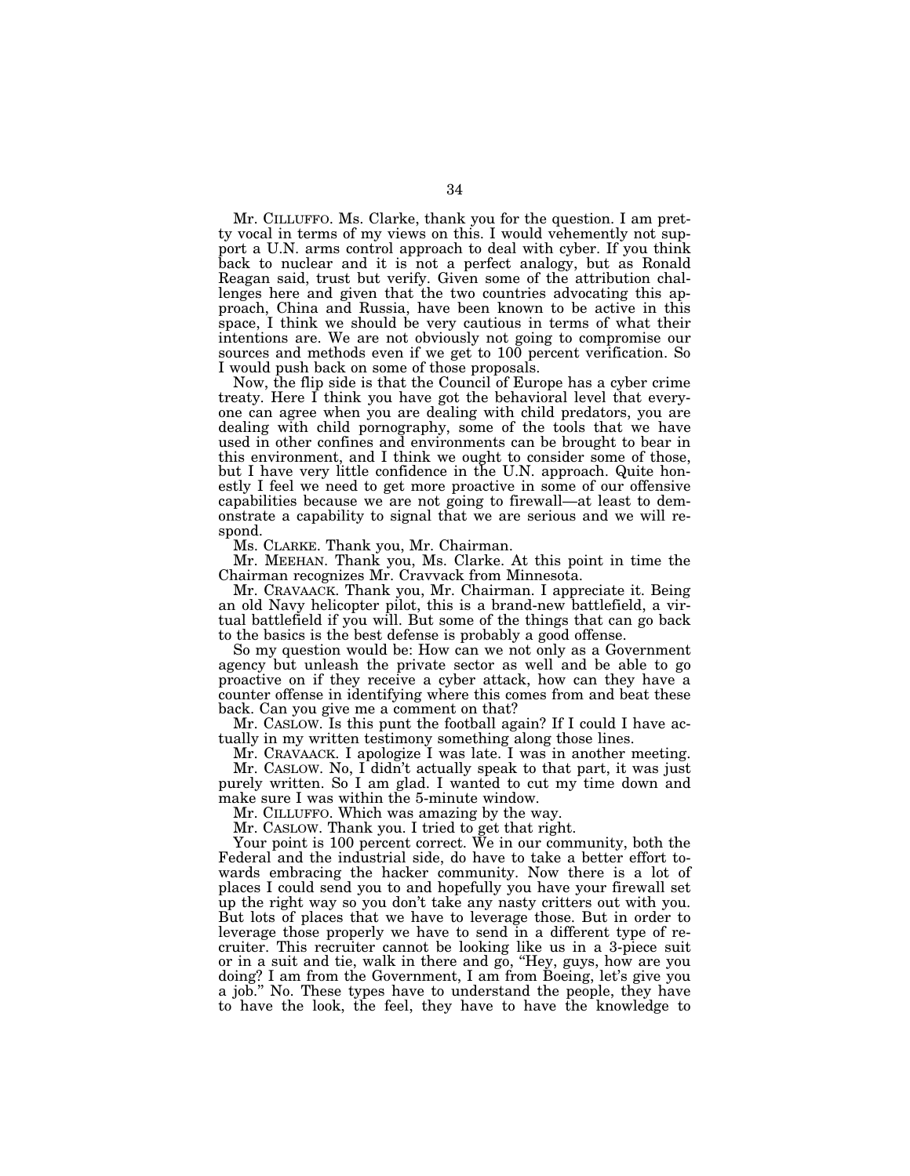Mr. CILLUFFO. Ms. Clarke, thank you for the question. I am pretty vocal in terms of my views on this. I would vehemently not support a U.N. arms control approach to deal with cyber. If you think back to nuclear and it is not a perfect analogy, but as Ronald Reagan said, trust but verify. Given some of the attribution challenges here and given that the two countries advocating this approach, China and Russia, have been known to be active in this space, I think we should be very cautious in terms of what their intentions are. We are not obviously not going to compromise our sources and methods even if we get to 100 percent verification. So I would push back on some of those proposals.

Now, the flip side is that the Council of Europe has a cyber crime treaty. Here I think you have got the behavioral level that everyone can agree when you are dealing with child predators, you are dealing with child pornography, some of the tools that we have used in other confines and environments can be brought to bear in this environment, and I think we ought to consider some of those, but I have very little confidence in the U.N. approach. Quite honestly I feel we need to get more proactive in some of our offensive capabilities because we are not going to firewall—at least to demonstrate a capability to signal that we are serious and we will respond.

Ms. CLARKE. Thank you, Mr. Chairman.

Mr. MEEHAN. Thank you, Ms. Clarke. At this point in time the Chairman recognizes Mr. Cravvack from Minnesota.

Mr. CRAVAACK. Thank you, Mr. Chairman. I appreciate it. Being an old Navy helicopter pilot, this is a brand-new battlefield, a virtual battlefield if you will. But some of the things that can go back to the basics is the best defense is probably a good offense.

So my question would be: How can we not only as a Government agency but unleash the private sector as well and be able to go proactive on if they receive a cyber attack, how can they have a counter offense in identifying where this comes from and beat these back. Can you give me a comment on that?

Mr. CASLOW. Is this punt the football again? If I could I have actually in my written testimony something along those lines.

Mr. CRAVAACK. I apologize I was late. I was in another meeting. Mr. CASLOW. No, I didn't actually speak to that part, it was just purely written. So I am glad. I wanted to cut my time down and

make sure I was within the 5-minute window. Mr. CILLUFFO. Which was amazing by the way.

Mr. CASLOW. Thank you. I tried to get that right.

Your point is 100 percent correct. We in our community, both the Federal and the industrial side, do have to take a better effort towards embracing the hacker community. Now there is a lot of places I could send you to and hopefully you have your firewall set up the right way so you don't take any nasty critters out with you. But lots of places that we have to leverage those. But in order to leverage those properly we have to send in a different type of recruiter. This recruiter cannot be looking like us in a 3-piece suit or in a suit and tie, walk in there and go, ''Hey, guys, how are you doing? I am from the Government, I am from Boeing, let's give you a job.'' No. These types have to understand the people, they have to have the look, the feel, they have to have the knowledge to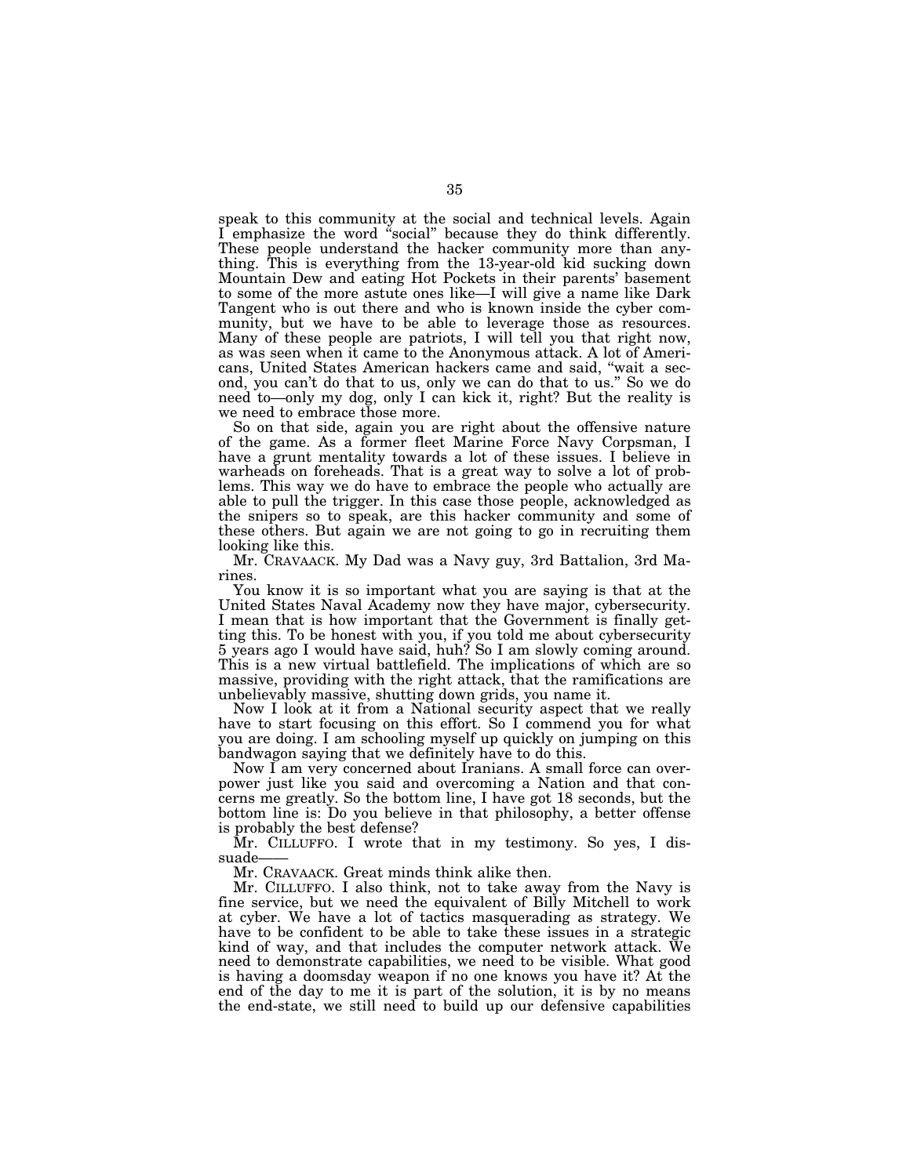speak to this community at the social and technical levels. Again I emphasize the word "social" because they do think differently. These people understand the hacker community more than anything. This is everything from the 13-year-old kid sucking down Mountain Dew and eating Hot Pockets in their parents' basement to some of the more astute ones like—I will give a name like Dark Tangent who is out there and who is known inside the cyber community, but we have to be able to leverage those as resources. Many of these people are patriots, I will tell you that right now, as was seen when it came to the Anonymous attack. A lot of Americans, United States American hackers came and said, ''wait a second, you can't do that to us, only we can do that to us.'' So we do need to—only my dog, only I can kick it, right? But the reality is we need to embrace those more.

So on that side, again you are right about the offensive nature of the game. As a former fleet Marine Force Navy Corpsman, I have a grunt mentality towards a lot of these issues. I believe in warheads on foreheads. That is a great way to solve a lot of problems. This way we do have to embrace the people who actually are able to pull the trigger. In this case those people, acknowledged as the snipers so to speak, are this hacker community and some of these others. But again we are not going to go in recruiting them looking like this.

Mr. CRAVAACK. My Dad was a Navy guy, 3rd Battalion, 3rd Marines.

You know it is so important what you are saying is that at the United States Naval Academy now they have major, cybersecurity. I mean that is how important that the Government is finally getting this. To be honest with you, if you told me about cybersecurity 5 years ago I would have said, huh? So I am slowly coming around. This is a new virtual battlefield. The implications of which are so massive, providing with the right attack, that the ramifications are unbelievably massive, shutting down grids, you name it.

Now I look at it from a National security aspect that we really have to start focusing on this effort. So I commend you for what you are doing. I am schooling myself up quickly on jumping on this bandwagon saying that we definitely have to do this.

Now I am very concerned about Iranians. A small force can overpower just like you said and overcoming a Nation and that concerns me greatly. So the bottom line, I have got 18 seconds, but the bottom line is: Do you believe in that philosophy, a better offense is probably the best defense?

Mr. CILLUFFO. I wrote that in my testimony. So yes, I dissuade-

Mr. CRAVAACK. Great minds think alike then.

Mr. CILLUFFO. I also think, not to take away from the Navy is fine service, but we need the equivalent of Billy Mitchell to work at cyber. We have a lot of tactics masquerading as strategy. We have to be confident to be able to take these issues in a strategic kind of way, and that includes the computer network attack. We need to demonstrate capabilities, we need to be visible. What good is having a doomsday weapon if no one knows you have it? At the end of the day to me it is part of the solution, it is by no means the end-state, we still need to build up our defensive capabilities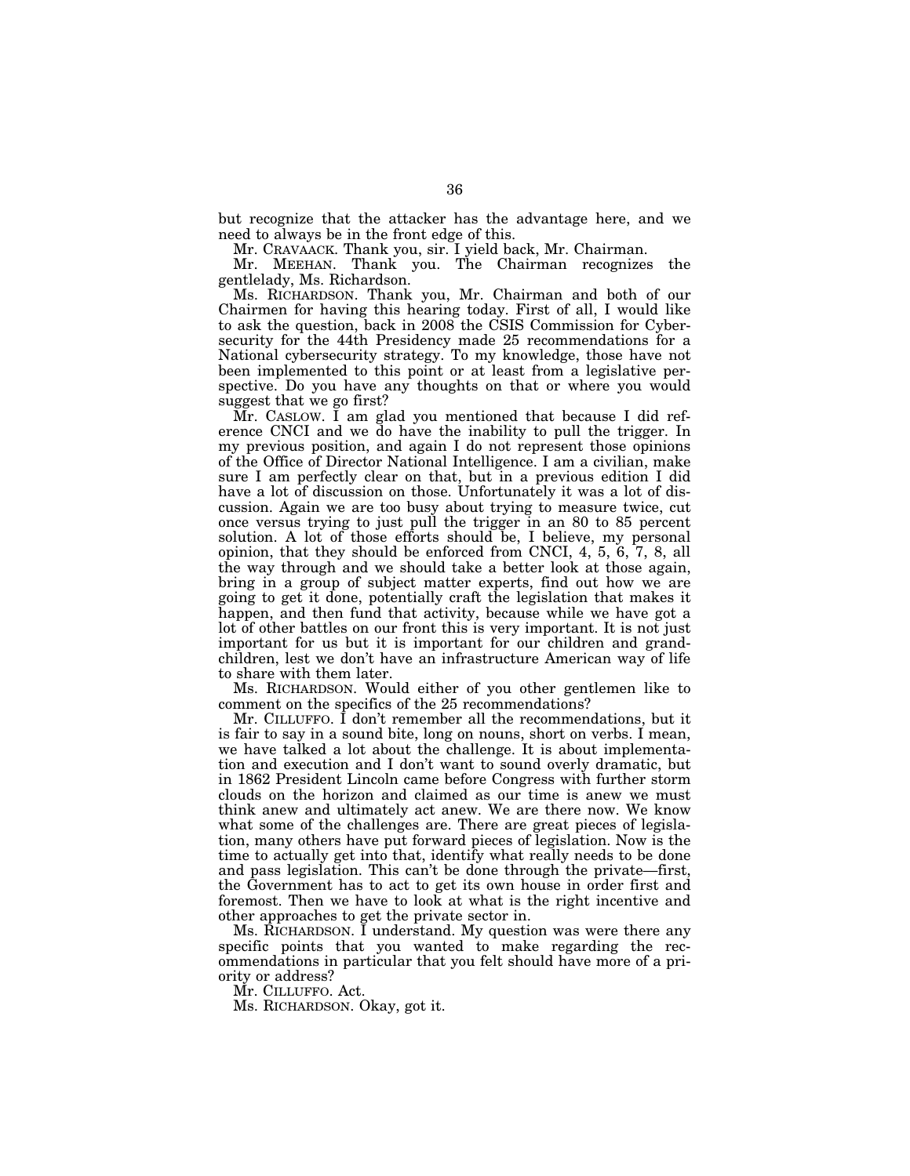but recognize that the attacker has the advantage here, and we need to always be in the front edge of this.

Mr. CRAVAACK. Thank you, sir. I yield back, Mr. Chairman.

Mr. MEEHAN. Thank you. The Chairman recognizes the gentlelady, Ms. Richardson.

Ms. RICHARDSON. Thank you, Mr. Chairman and both of our Chairmen for having this hearing today. First of all, I would like to ask the question, back in 2008 the CSIS Commission for Cybersecurity for the 44th Presidency made 25 recommendations for a National cybersecurity strategy. To my knowledge, those have not been implemented to this point or at least from a legislative perspective. Do you have any thoughts on that or where you would suggest that we go first?

Mr. CASLOW. I am glad you mentioned that because I did reference CNCI and we do have the inability to pull the trigger. In my previous position, and again I do not represent those opinions of the Office of Director National Intelligence. I am a civilian, make sure I am perfectly clear on that, but in a previous edition I did have a lot of discussion on those. Unfortunately it was a lot of discussion. Again we are too busy about trying to measure twice, cut once versus trying to just pull the trigger in an 80 to 85 percent solution. A lot of those efforts should be, I believe, my personal opinion, that they should be enforced from CNCI, 4, 5, 6, 7, 8, all the way through and we should take a better look at those again, bring in a group of subject matter experts, find out how we are going to get it done, potentially craft the legislation that makes it happen, and then fund that activity, because while we have got a lot of other battles on our front this is very important. It is not just important for us but it is important for our children and grandchildren, lest we don't have an infrastructure American way of life to share with them later.

Ms. RICHARDSON. Would either of you other gentlemen like to comment on the specifics of the 25 recommendations?

Mr. CILLUFFO. I don't remember all the recommendations, but it is fair to say in a sound bite, long on nouns, short on verbs. I mean, we have talked a lot about the challenge. It is about implementation and execution and I don't want to sound overly dramatic, but in 1862 President Lincoln came before Congress with further storm clouds on the horizon and claimed as our time is anew we must think anew and ultimately act anew. We are there now. We know what some of the challenges are. There are great pieces of legislation, many others have put forward pieces of legislation. Now is the time to actually get into that, identify what really needs to be done and pass legislation. This can't be done through the private—first, the Government has to act to get its own house in order first and foremost. Then we have to look at what is the right incentive and other approaches to get the private sector in.

Ms. RICHARDSON. I understand. My question was were there any specific points that you wanted to make regarding the recommendations in particular that you felt should have more of a priority or address?

Mr. CILLUFFO. Act.

Ms. RICHARDSON. Okay, got it.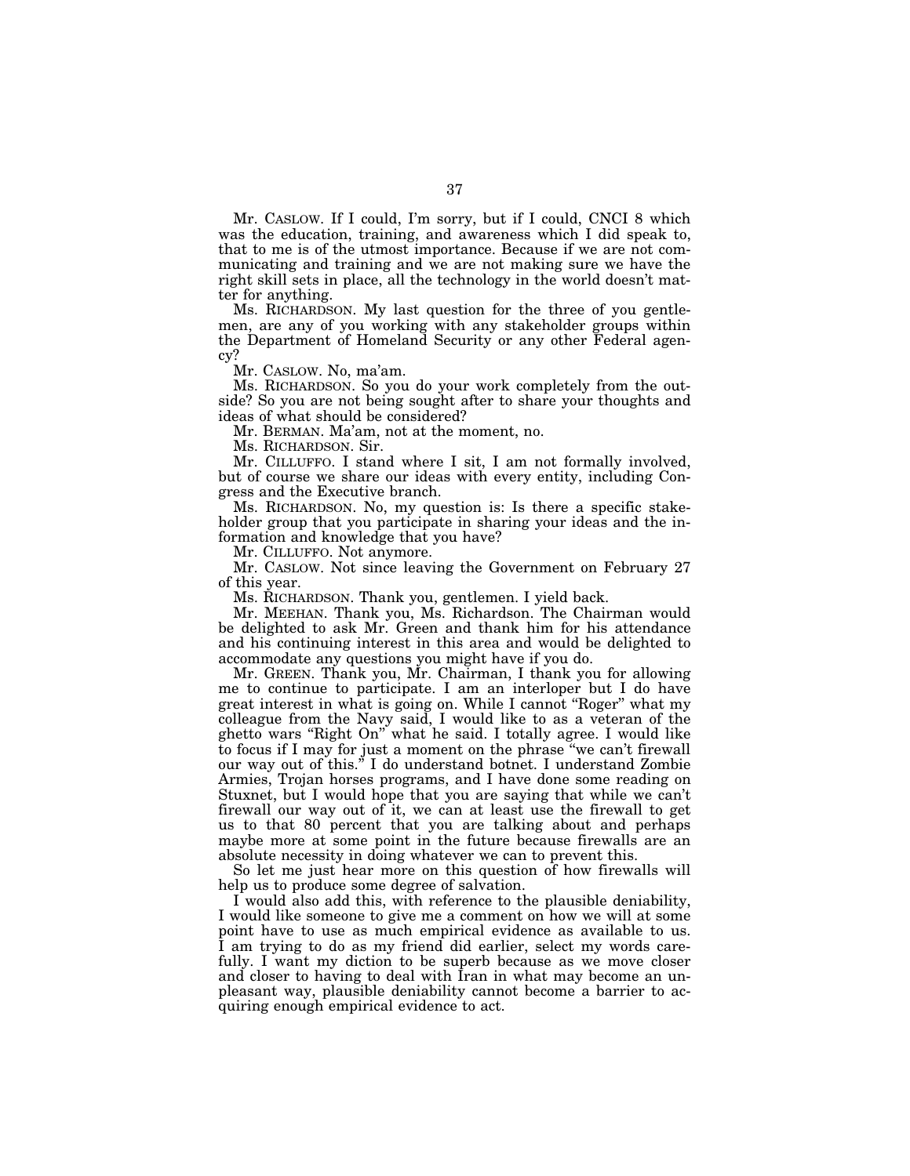Mr. CASLOW. If I could, I'm sorry, but if I could, CNCI 8 which was the education, training, and awareness which I did speak to, that to me is of the utmost importance. Because if we are not communicating and training and we are not making sure we have the right skill sets in place, all the technology in the world doesn't matter for anything.

Ms. RICHARDSON. My last question for the three of you gentlemen, are any of you working with any stakeholder groups within the Department of Homeland Security or any other Federal agency?

Mr. CASLOW. No, ma'am.

Ms. RICHARDSON. So you do your work completely from the outside? So you are not being sought after to share your thoughts and ideas of what should be considered?

Mr. BERMAN. Ma'am, not at the moment, no.

Ms. RICHARDSON. Sir.

Mr. CILLUFFO. I stand where I sit, I am not formally involved, but of course we share our ideas with every entity, including Congress and the Executive branch.

Ms. RICHARDSON. No, my question is: Is there a specific stakeholder group that you participate in sharing your ideas and the information and knowledge that you have?

Mr. CILLUFFO. Not anymore.

Mr. CASLOW. Not since leaving the Government on February 27 of this year.

Ms. RICHARDSON. Thank you, gentlemen. I yield back.

Mr. MEEHAN. Thank you, Ms. Richardson. The Chairman would be delighted to ask Mr. Green and thank him for his attendance and his continuing interest in this area and would be delighted to accommodate any questions you might have if you do.

Mr. GREEN. Thank you, Mr. Chairman, I thank you for allowing me to continue to participate. I am an interloper but I do have great interest in what is going on. While I cannot ''Roger'' what my colleague from the Navy said, I would like to as a veteran of the ghetto wars "Right On" what he said. I totally agree. I would like to focus if I may for just a moment on the phrase ''we can't firewall our way out of this.'' I do understand botnet. I understand Zombie Armies, Trojan horses programs, and I have done some reading on Stuxnet, but I would hope that you are saying that while we can't firewall our way out of it, we can at least use the firewall to get us to that 80 percent that you are talking about and perhaps maybe more at some point in the future because firewalls are an absolute necessity in doing whatever we can to prevent this.

So let me just hear more on this question of how firewalls will help us to produce some degree of salvation.

I would also add this, with reference to the plausible deniability, I would like someone to give me a comment on how we will at some point have to use as much empirical evidence as available to us. I am trying to do as my friend did earlier, select my words carefully. I want my diction to be superb because as we move closer and closer to having to deal with Iran in what may become an unpleasant way, plausible deniability cannot become a barrier to acquiring enough empirical evidence to act.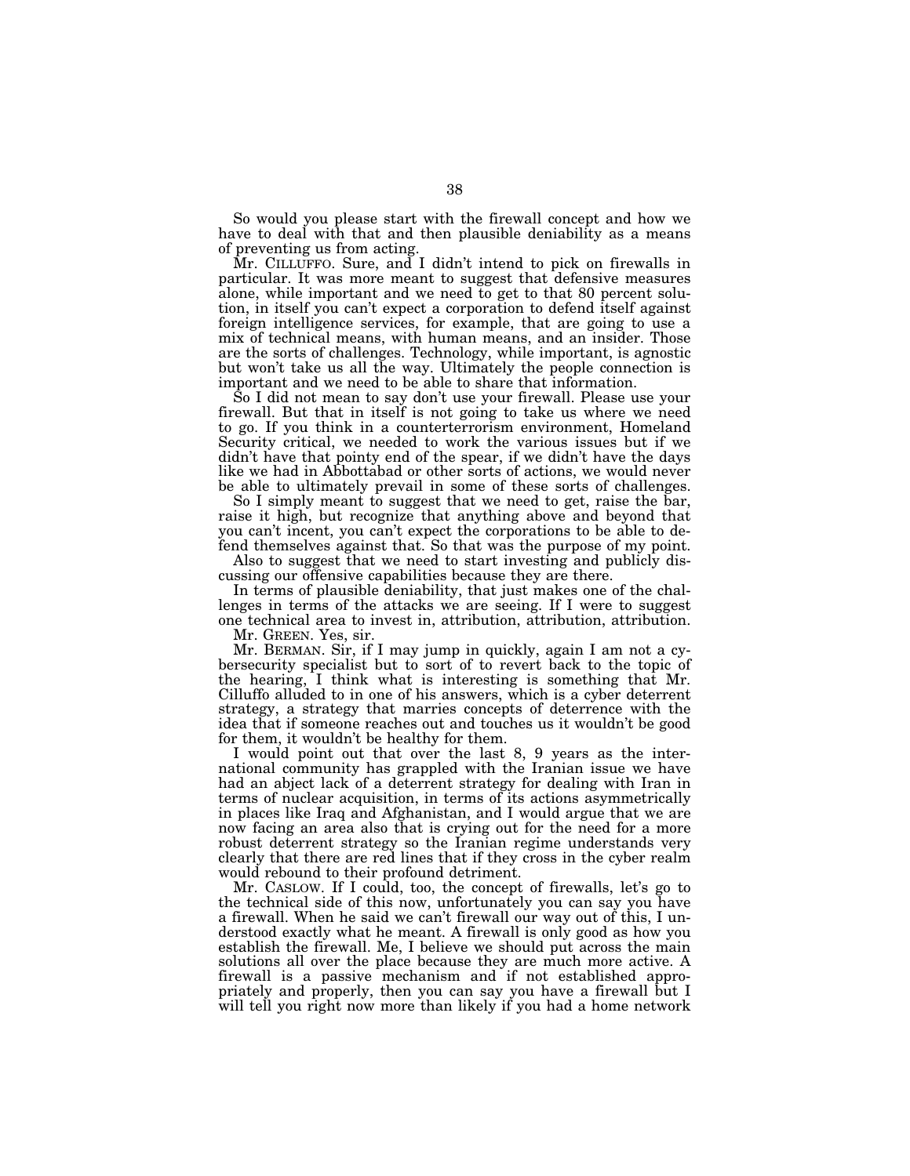So would you please start with the firewall concept and how we have to deal with that and then plausible deniability as a means of preventing us from acting.

Mr. CILLUFFO. Sure, and I didn't intend to pick on firewalls in particular. It was more meant to suggest that defensive measures alone, while important and we need to get to that 80 percent solution, in itself you can't expect a corporation to defend itself against foreign intelligence services, for example, that are going to use a mix of technical means, with human means, and an insider. Those are the sorts of challenges. Technology, while important, is agnostic but won't take us all the way. Ultimately the people connection is important and we need to be able to share that information.

So I did not mean to say don't use your firewall. Please use your firewall. But that in itself is not going to take us where we need to go. If you think in a counterterrorism environment, Homeland Security critical, we needed to work the various issues but if we didn't have that pointy end of the spear, if we didn't have the days like we had in Abbottabad or other sorts of actions, we would never be able to ultimately prevail in some of these sorts of challenges.

So I simply meant to suggest that we need to get, raise the bar, raise it high, but recognize that anything above and beyond that you can't incent, you can't expect the corporations to be able to defend themselves against that. So that was the purpose of my point.

Also to suggest that we need to start investing and publicly discussing our offensive capabilities because they are there.

In terms of plausible deniability, that just makes one of the challenges in terms of the attacks we are seeing. If I were to suggest one technical area to invest in, attribution, attribution, attribution.

Mr. GREEN. Yes, sir.

Mr. BERMAN. Sir, if I may jump in quickly, again I am not a cybersecurity specialist but to sort of to revert back to the topic of the hearing, I think what is interesting is something that Mr. Cilluffo alluded to in one of his answers, which is a cyber deterrent strategy, a strategy that marries concepts of deterrence with the idea that if someone reaches out and touches us it wouldn't be good for them, it wouldn't be healthy for them.

I would point out that over the last 8, 9 years as the international community has grappled with the Iranian issue we have had an abject lack of a deterrent strategy for dealing with Iran in terms of nuclear acquisition, in terms of its actions asymmetrically in places like Iraq and Afghanistan, and I would argue that we are now facing an area also that is crying out for the need for a more robust deterrent strategy so the Iranian regime understands very clearly that there are red lines that if they cross in the cyber realm would rebound to their profound detriment.

Mr. CASLOW. If I could, too, the concept of firewalls, let's go to the technical side of this now, unfortunately you can say you have a firewall. When he said we can't firewall our way out of this, I understood exactly what he meant. A firewall is only good as how you establish the firewall. Me, I believe we should put across the main solutions all over the place because they are much more active. A firewall is a passive mechanism and if not established appropriately and properly, then you can say you have a firewall but I will tell you right now more than likely if you had a home network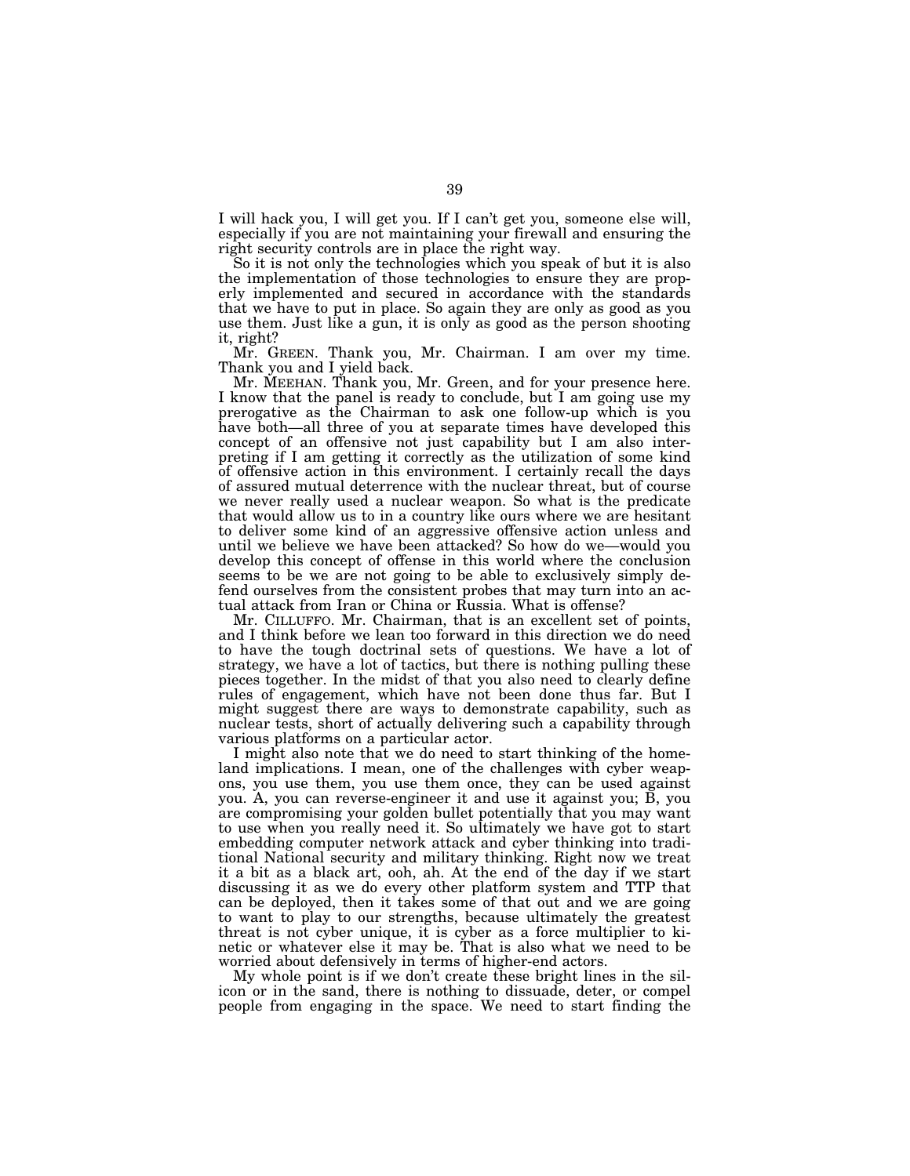I will hack you, I will get you. If I can't get you, someone else will, especially if you are not maintaining your firewall and ensuring the right security controls are in place the right way.

So it is not only the technologies which you speak of but it is also the implementation of those technologies to ensure they are properly implemented and secured in accordance with the standards that we have to put in place. So again they are only as good as you use them. Just like a gun, it is only as good as the person shooting it, right?

Mr. GREEN. Thank you, Mr. Chairman. I am over my time. Thank you and I yield back.

Mr. MEEHAN. Thank you, Mr. Green, and for your presence here. I know that the panel is ready to conclude, but I am going use my prerogative as the Chairman to ask one follow-up which is you have both—all three of you at separate times have developed this concept of an offensive not just capability but I am also interpreting if I am getting it correctly as the utilization of some kind of offensive action in this environment. I certainly recall the days of assured mutual deterrence with the nuclear threat, but of course we never really used a nuclear weapon. So what is the predicate that would allow us to in a country like ours where we are hesitant to deliver some kind of an aggressive offensive action unless and until we believe we have been attacked? So how do we—would you develop this concept of offense in this world where the conclusion seems to be we are not going to be able to exclusively simply defend ourselves from the consistent probes that may turn into an actual attack from Iran or China or Russia. What is offense?

Mr. CILLUFFO. Mr. Chairman, that is an excellent set of points, and I think before we lean too forward in this direction we do need to have the tough doctrinal sets of questions. We have a lot of strategy, we have a lot of tactics, but there is nothing pulling these pieces together. In the midst of that you also need to clearly define rules of engagement, which have not been done thus far. But I might suggest there are ways to demonstrate capability, such as nuclear tests, short of actually delivering such a capability through various platforms on a particular actor.

I might also note that we do need to start thinking of the homeland implications. I mean, one of the challenges with cyber weapons, you use them, you use them once, they can be used against you. A, you can reverse-engineer it and use it against you; B, you are compromising your golden bullet potentially that you may want to use when you really need it. So ultimately we have got to start embedding computer network attack and cyber thinking into traditional National security and military thinking. Right now we treat it a bit as a black art, ooh, ah. At the end of the day if we start discussing it as we do every other platform system and TTP that can be deployed, then it takes some of that out and we are going to want to play to our strengths, because ultimately the greatest threat is not cyber unique, it is cyber as a force multiplier to kinetic or whatever else it may be. That is also what we need to be worried about defensively in terms of higher-end actors.

My whole point is if we don't create these bright lines in the silicon or in the sand, there is nothing to dissuade, deter, or compel people from engaging in the space. We need to start finding the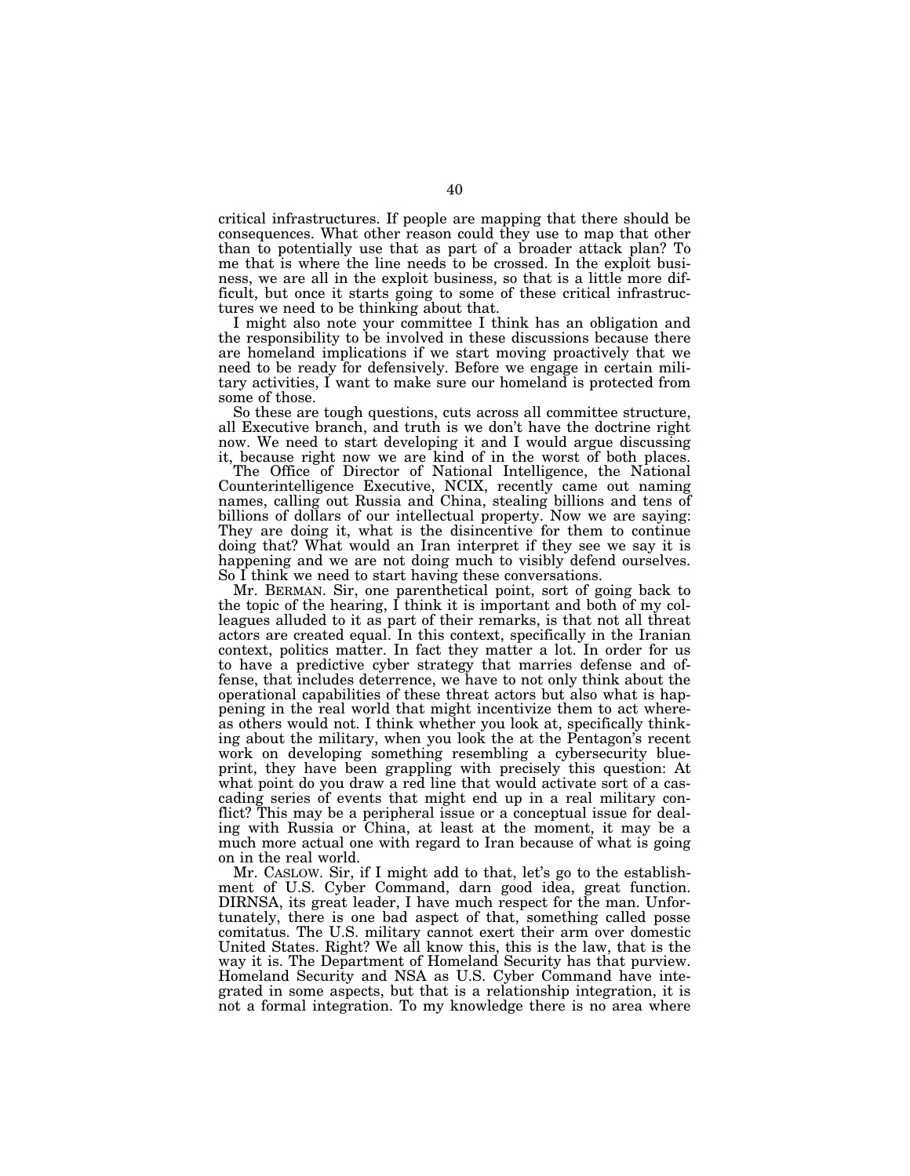critical infrastructures. If people are mapping that there should be consequences. What other reason could they use to map that other than to potentially use that as part of a broader attack plan? To me that is where the line needs to be crossed. In the exploit business, we are all in the exploit business, so that is a little more difficult, but once it starts going to some of these critical infrastructures we need to be thinking about that.

I might also note your committee I think has an obligation and the responsibility to be involved in these discussions because there are homeland implications if we start moving proactively that we need to be ready for defensively. Before we engage in certain military activities, I want to make sure our homeland is protected from some of those.

So these are tough questions, cuts across all committee structure, all Executive branch, and truth is we don't have the doctrine right now. We need to start developing it and I would argue discussing it, because right now we are kind of in the worst of both places.

The Office of Director of National Intelligence, the National Counterintelligence Executive, NCIX, recently came out naming names, calling out Russia and China, stealing billions and tens of billions of dollars of our intellectual property. Now we are saying: They are doing it, what is the disincentive for them to continue doing that? What would an Iran interpret if they see we say it is happening and we are not doing much to visibly defend ourselves. So I think we need to start having these conversations.

Mr. BERMAN. Sir, one parenthetical point, sort of going back to the topic of the hearing, I think it is important and both of my colleagues alluded to it as part of their remarks, is that not all threat actors are created equal. In this context, specifically in the Iranian context, politics matter. In fact they matter a lot. In order for us to have a predictive cyber strategy that marries defense and offense, that includes deterrence, we have to not only think about the operational capabilities of these threat actors but also what is happening in the real world that might incentivize them to act whereas others would not. I think whether you look at, specifically thinking about the military, when you look the at the Pentagon's recent work on developing something resembling a cybersecurity blueprint, they have been grappling with precisely this question: At what point do you draw a red line that would activate sort of a cascading series of events that might end up in a real military conflict? This may be a peripheral issue or a conceptual issue for dealing with Russia or China, at least at the moment, it may be a much more actual one with regard to Iran because of what is going on in the real world.

Mr. CASLOW. Sir, if I might add to that, let's go to the establishment of U.S. Cyber Command, darn good idea, great function. DIRNSA, its great leader, I have much respect for the man. Unfortunately, there is one bad aspect of that, something called posse comitatus. The U.S. military cannot exert their arm over domestic United States. Right? We all know this, this is the law, that is the way it is. The Department of Homeland Security has that purview. Homeland Security and NSA as U.S. Cyber Command have integrated in some aspects, but that is a relationship integration, it is not a formal integration. To my knowledge there is no area where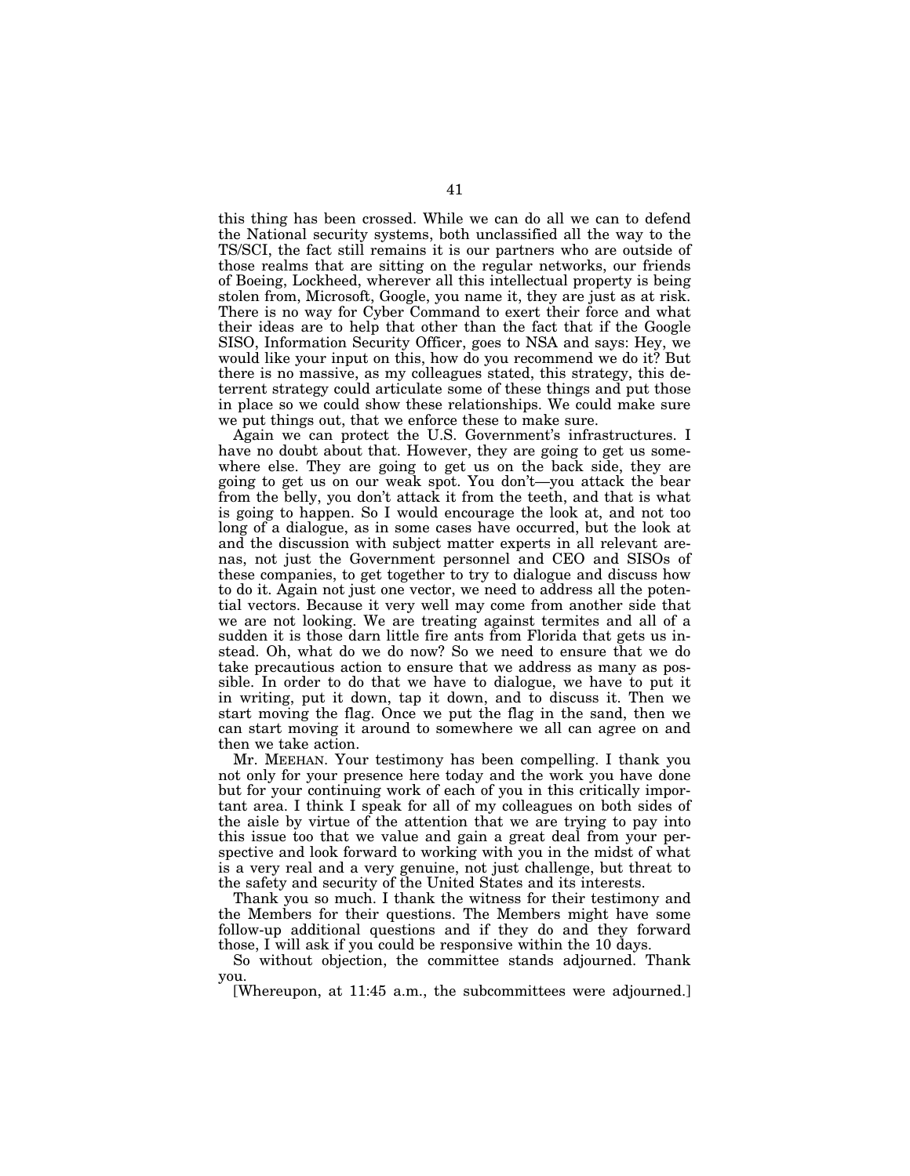this thing has been crossed. While we can do all we can to defend the National security systems, both unclassified all the way to the TS/SCI, the fact still remains it is our partners who are outside of those realms that are sitting on the regular networks, our friends of Boeing, Lockheed, wherever all this intellectual property is being stolen from, Microsoft, Google, you name it, they are just as at risk. There is no way for Cyber Command to exert their force and what their ideas are to help that other than the fact that if the Google SISO, Information Security Officer, goes to NSA and says: Hey, we would like your input on this, how do you recommend we do it? But there is no massive, as my colleagues stated, this strategy, this deterrent strategy could articulate some of these things and put those in place so we could show these relationships. We could make sure we put things out, that we enforce these to make sure.

Again we can protect the U.S. Government's infrastructures. I have no doubt about that. However, they are going to get us somewhere else. They are going to get us on the back side, they are going to get us on our weak spot. You don't—you attack the bear from the belly, you don't attack it from the teeth, and that is what is going to happen. So I would encourage the look at, and not too long of a dialogue, as in some cases have occurred, but the look at and the discussion with subject matter experts in all relevant arenas, not just the Government personnel and CEO and SISOs of these companies, to get together to try to dialogue and discuss how to do it. Again not just one vector, we need to address all the potential vectors. Because it very well may come from another side that we are not looking. We are treating against termites and all of a sudden it is those darn little fire ants from Florida that gets us instead. Oh, what do we do now? So we need to ensure that we do take precautious action to ensure that we address as many as possible. In order to do that we have to dialogue, we have to put it in writing, put it down, tap it down, and to discuss it. Then we start moving the flag. Once we put the flag in the sand, then we can start moving it around to somewhere we all can agree on and then we take action.

Mr. MEEHAN. Your testimony has been compelling. I thank you not only for your presence here today and the work you have done but for your continuing work of each of you in this critically important area. I think I speak for all of my colleagues on both sides of the aisle by virtue of the attention that we are trying to pay into this issue too that we value and gain a great deal from your perspective and look forward to working with you in the midst of what is a very real and a very genuine, not just challenge, but threat to the safety and security of the United States and its interests.

Thank you so much. I thank the witness for their testimony and the Members for their questions. The Members might have some follow-up additional questions and if they do and they forward those, I will ask if you could be responsive within the 10 days.

So without objection, the committee stands adjourned. Thank you.

[Whereupon, at 11:45 a.m., the subcommittees were adjourned.]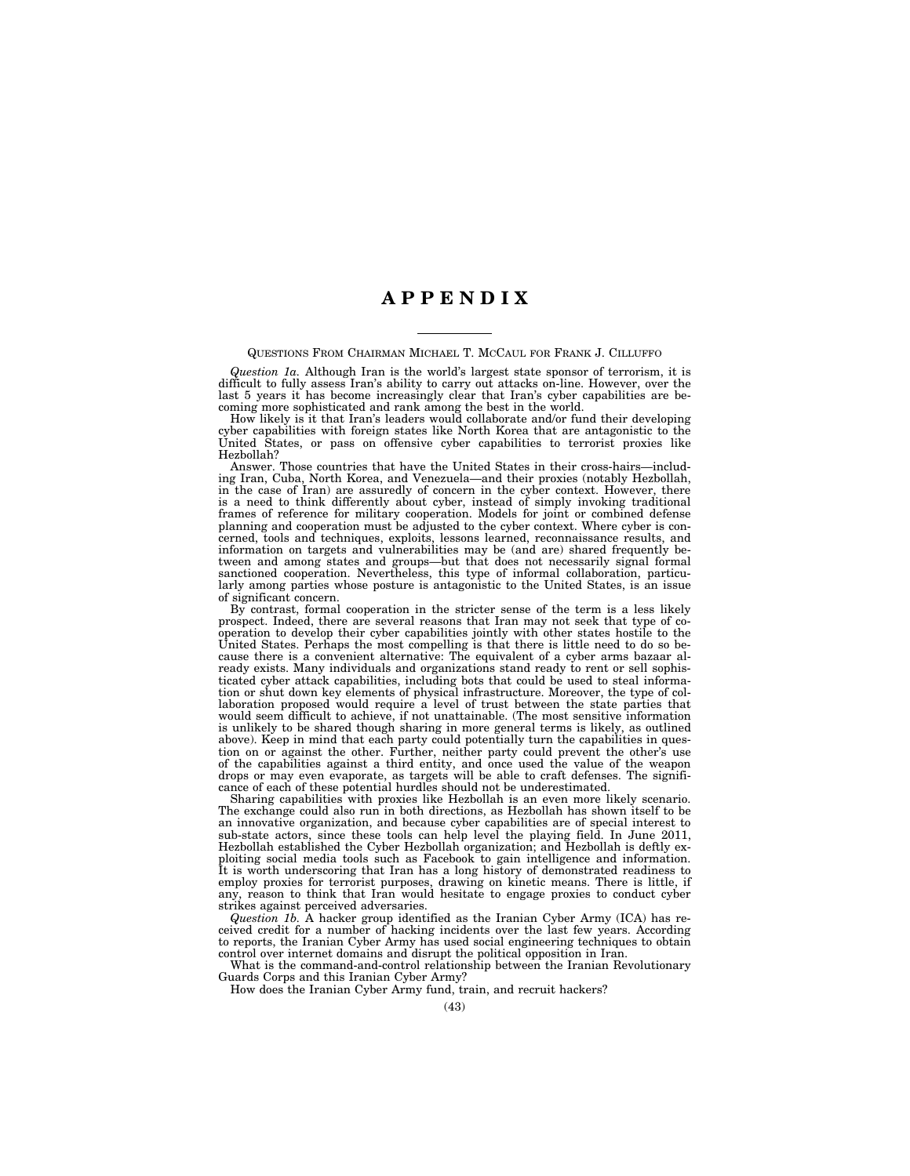# **A P P E N D I X**

#### QUESTIONS FROM CHAIRMAN MICHAEL T. MCCAUL FOR FRANK J. CILLUFFO

*Question 1a.* Although Iran is the world's largest state sponsor of terrorism, it is difficult to fully assess Iran's ability to carry out attacks on-line. However, over the last 5 years it has become increasingly clear that Iran's cyber capabilities are becoming more sophisticated and rank among the best in the world.

How likely is it that Iran's leaders would collaborate and/or fund their developing cyber capabilities with foreign states like North Korea that are antagonistic to the United States, or pass on offensive cyber capabilities to terrorist proxies like Hezbollah?

Answer. Those countries that have the United States in their cross-hairs—including Iran, Cuba, North Korea, and Venezuela—and their proxies (notably Hezbollah, in the case of Iran) are assuredly of concern in the cyber context. However, there is a need to think differently about cyber, instead of simply invoking traditional frames of reference for military cooperation. Models for joint or combined defense planning and cooperation must be adjusted to the cyber context. Where cyber is concerned, tools and techniques, exploits, lessons learned, reconnaissance results, and information on targets and vulnerabilities may be (and are) shared frequently between and among states and groups—but that does not necessarily signal formal sanctioned cooperation. Nevertheless, this type of informal collaboration, particularly among parties whose posture is antagonistic to the United States, is an issue of significant concern.

By contrast, formal cooperation in the stricter sense of the term is a less likely prospect. Indeed, there are several reasons that Iran may not seek that type of cooperation to develop their cyber capabilities jointly with other states hostile to the United States. Perhaps the most compelling is that there is little need to do so because there is a convenient alternative: The equivalent of a cyber arms bazaar already exists. Many individuals and organizations stand ready to rent or sell sophisticated cyber attack capabilities, including bots that could be used to steal information or shut down key elements of physical infrastructure. Moreover, the type of collaboration proposed would require a level of trust between the state parties that would seem difficult to achieve, if not unattainable. (The most sensitive information is unlikely to be shared though sharing in more general terms is likely, as outlined above). Keep in mind that each party could potentially turn the capabilities in question on or against the other. Further, neither party could prevent the other's use of the capabilities against a third entity, and once used the value of the weapon drops or may even evaporate, as targets will be able to craft defenses. The significance of each of these potential hurdles should not be underestimated.

Sharing capabilities with proxies like Hezbollah is an even more likely scenario. The exchange could also run in both directions, as Hezbollah has shown itself to be an innovative organization, and because cyber capabilities are of special interest to sub-state actors, since these tools can help level the playing field. In June 2011, Hezbollah established the Cyber Hezbollah organization; and Hezbollah is deftly exploiting social media tools such as Facebook to gain intelligence and information. It is worth underscoring that Iran has a long history of demonstrated readiness to employ proxies for terrorist purposes, drawing on kinetic means. There is little, if any, reason to think that Iran would hesitate to engage proxies to conduct cyber strikes against perceived adversaries.

*Question 1b.* A hacker group identified as the Iranian Cyber Army (ICA) has received credit for a number of hacking incidents over the last few years. According to reports, the Iranian Cyber Army has used social engineering techniques to obtain control over internet domains and disrupt the political opposition in Iran.

What is the command-and-control relationship between the Iranian Revolutionary Guards Corps and this Iranian Cyber Army?

How does the Iranian Cyber Army fund, train, and recruit hackers?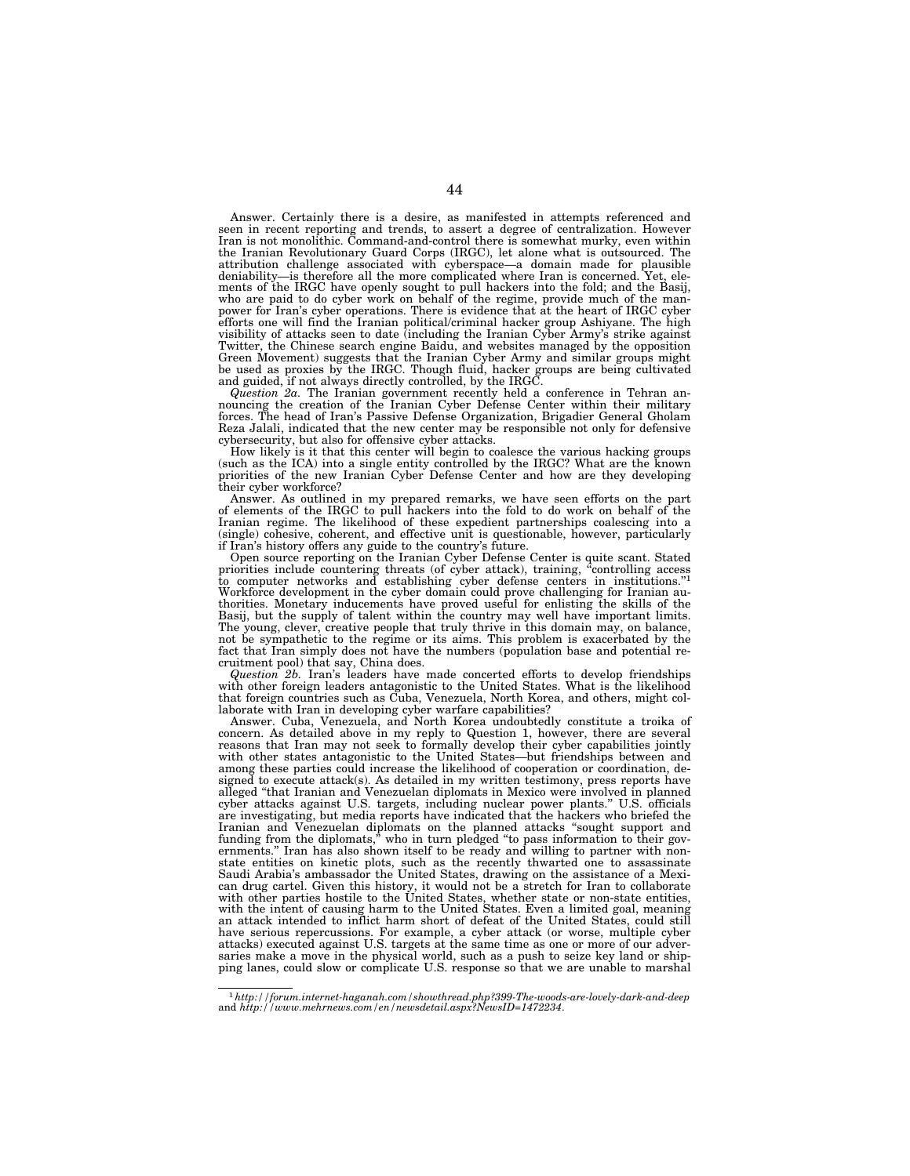Answer. Certainly there is a desire, as manifested in attempts referenced and seen in recent reporting and trends, to assert a degree of centralization. However Iran is not monolithic. Command-and-control there is somewhat murky, even within the Iranian Revolutionary Guard Corps (IRGC), let alone what is outsourced. The attribution challenge associated with cyberspace—a domain made for plausible deniability—is therefore all the more complicated where Iran is concerned. Yet, elements of the IRGC have openly sought to pull hackers into the fold; and the Basij, who are paid to do cyber work on behalf of the regime, provide much of the manpower for Iran's cyber operations. There is evidence that at the heart of IRGC cyber efforts one will find the Iranian political/criminal hacker group Ashiyane. The high visibility of attacks seen to date (including the Iranian Cyber Army's strike against Twitter, the Chinese search engine Baidu, and websites managed by the opposition Green Movement) suggests that the Iranian Cyber Army and similar groups might be used as proxies by the IRGC. Though fluid, hacker groups are being cultivated and guided, if not always directly controlled, by the IRGC.

*Question 2a.* The Iranian government recently held a conference in Tehran an-nouncing the creation of the Iranian Cyber Defense Center within their military forces. The head of Iran's Passive Defense Organization, Brigadier General Gholam Reza Jalali, indicated that the new center may be responsible not only for defensive cybersecurity, but also for offensive cyber attacks.

How likely is it that this center will begin to coalesce the various hacking groups (such as the ICA) into a single entity controlled by the IRGC? What are the known priorities of the new Iranian Cyber Defense Center and how are they developing their cyber workforce?

Answer. As outlined in my prepared remarks, we have seen efforts on the part of elements of the IRGC to pull hackers into the fold to do work on behalf of the Iranian regime. The likelihood of these expedient partnerships coalescing into a (single) cohesive, coherent, and effective unit is questionable, however, particularly if Iran's history offers any guide to the country's future.

Open source reporting on the Iranian Cyber Defense Center is quite scant. Stated<br>priorities include countering threats (of cyber attack), training, "controlling access<br>to computer networks and establishing cyber defense ce Workforce development in the cyber domain could prove challenging for Iranian authorities. Monetary inducements have proved useful for enlisting the skills of the Basij, but the supply of talent within the country may well have important limits. The young, clever, creative people that truly thrive in this domain may, on balance, not be sympathetic to the regime or its aims. This problem is exacerbated by the fact that Iran simply does not have the numbers (population base and potential re-

cruitment pool) that say, China does. *Question 2b.* Iran's leaders have made concerted efforts to develop friendships with other foreign leaders antagonistic to the United States. What is the likelihood that foreign countries such as Cuba, Venezuela, North Korea, and others, might col-laborate with Iran in developing cyber warfare capabilities?

Answer. Cuba, Venezuela, and North Korea undoubtedly constitute a troika of concern. As detailed above in my reply to Question 1, however, there are several reasons that Iran may not seek to formally develop their cyber capabilities jointly with other states antagonistic to the United States—but friendships between and among these parties could increase the likelihood of cooperation or coordination, designed to execute attack(s). As detailed in my written testimony, press reports have alleged ''that Iranian and Venezuelan diplomats in Mexico were involved in planned cyber attacks against U.S. targets, including nuclear power plants.'' U.S. officials are investigating, but media reports have indicated that the hackers who briefed the Iranian and Venezuelan diplomats on the planned attacks "sought support and<br>funding from the diplomats," who in turn pledged "to pass information to their gov-<br>ernments." Iran has also shown itself to be ready and willing state entities on kinetic plots, such as the recently thwarted one to assassinate Saudi Arabia's ambassador the United States, drawing on the assistance of a Mexican drug cartel. Given this history, it would not be a stretch for Iran to collaborate<br>with other parties hostile to the United States, whether state or non-state entities,<br>with the intent of causing harm to the United Sta an attack intended to inflict harm short of defeat of the United States, could still have serious repercussions. For example, a cyber attack (or worse, multiple cyber attacks) executed against U.S. targets at the same time as one or more of our adversaries make a move in the physical world, such as a push to seize key land or shipping lanes, could slow or complicate U.S. response so that we are unable to marshal

<sup>1</sup>*http://forum.internet-haganah.com/showthread.php?399-The-woods-are-lovely-dark-and-deep*  and *http://www.mehrnews.com/en/newsdetail.aspx?NewsID=1472234*.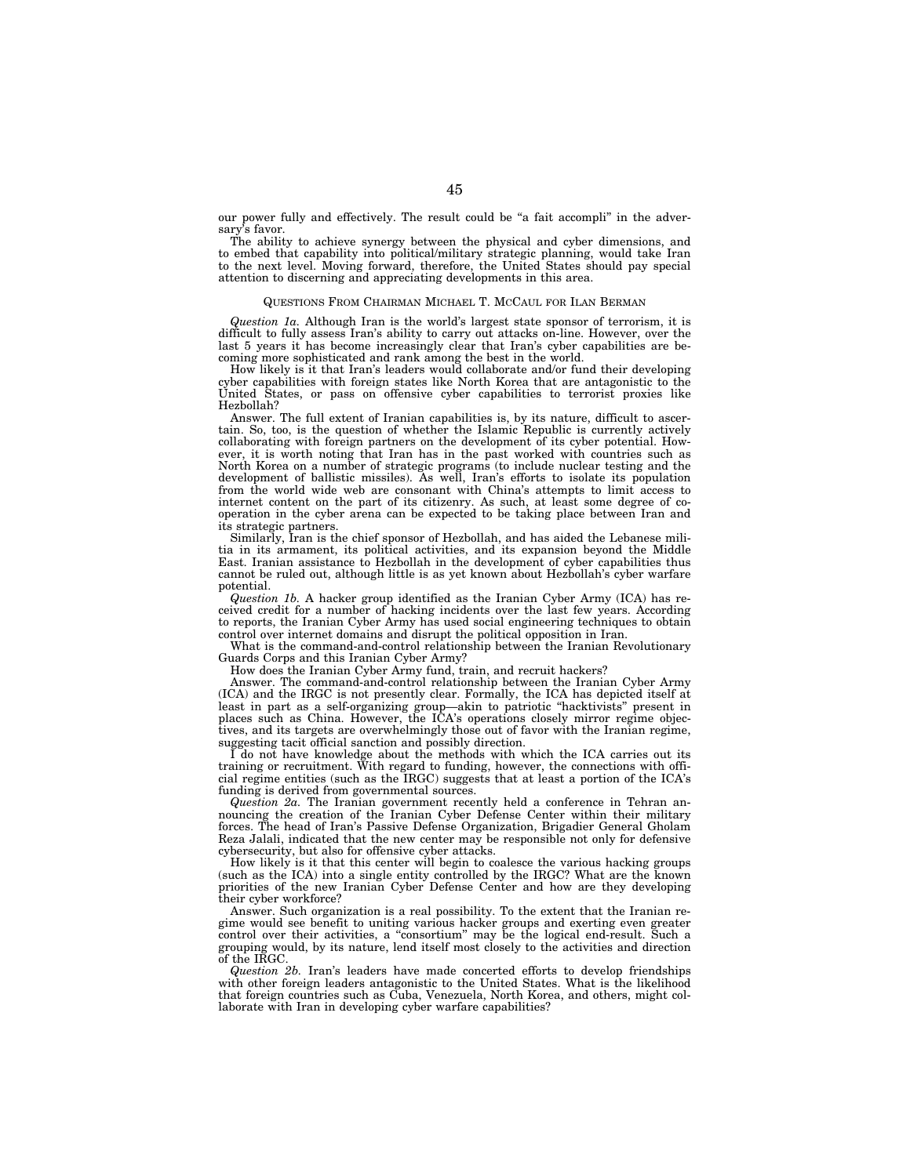our power fully and effectively. The result could be "a fait accompli" in the adversary's favor.

The ability to achieve synergy between the physical and cyber dimensions, and to embed that capability into political/military strategic planning, would take Iran to the next level. Moving forward, therefore, the United States should pay special attention to discerning and appreciating developments in this area.

#### QUESTIONS FROM CHAIRMAN MICHAEL T. MCCAUL FOR ILAN BERMAN

*Question 1a.* Although Iran is the world's largest state sponsor of terrorism, it is difficult to fully assess Iran's ability to carry out attacks on-line. However, over the last 5 years it has become increasingly clear that Iran's cyber capabilities are becoming more sophisticated and rank among the best in the world.

How likely is it that Iran's leaders would collaborate and/or fund their developing cyber capabilities with foreign states like North Korea that are antagonistic to the United States, or pass on offensive cyber capabilities to terrorist proxies like Hezbollah?

Answer. The full extent of Iranian capabilities is, by its nature, difficult to ascertain. So, too, is the question of whether the Islamic Republic is currently actively collaborating with foreign partners on the development of its cyber potential. However, it is worth noting that Iran has in the past worked with countries such as North Korea on a number of strategic programs (to include nuclear testing and the development of ballistic missiles). As well, Iran's efforts to isolate its population from the world wide web are consonant with China's attempts to limit access to internet content on the part of its citizenry. As such, at least some degree of cooperation in the cyber arena can be expected to be taking place between Iran and its strategic partners.

Similarly, Iran is the chief sponsor of Hezbollah, and has aided the Lebanese militia in its armament, its political activities, and its expansion beyond the Middle East. Iranian assistance to Hezbollah in the development of cyber capabilities thus cannot be ruled out, although little is as yet known about Hezbollah's cyber warfare potential.

*Question 1b.* A hacker group identified as the Iranian Cyber Army (ICA) has received credit for a number of hacking incidents over the last few years. According to reports, the Iranian Cyber Army has used social engineering techniques to obtain control over internet domains and disrupt the political opposition in Iran.

What is the command-and-control relationship between the Iranian Revolutionary Guards Corps and this Iranian Cyber Army?

How does the Iranian Cyber Army fund, train, and recruit hackers?

Answer. The command-and-control relationship between the Iranian Cyber Army (ICA) and the IRGC is not presently clear. Formally, the ICA has depicted itself at least in part as a self-organizing group—akin to patriotic ''hacktivists'' present in places such as China. However, the ICA's operations closely mirror regime objectives, and its targets are overwhelmingly those out of favor with the Iranian regime, suggesting tacit official sanction and possibly direction.

I do not have knowledge about the methods with which the ICA carries out its training or recruitment. With regard to funding, however, the connections with official regime entities (such as the IRGC) suggests that at least a portion of the ICA's funding is derived from governmental sources.

*Question 2a.* The Iranian government recently held a conference in Tehran announcing the creation of the Iranian Cyber Defense Center within their military forces. The head of Iran's Passive Defense Organization, Brigadier General Gholam Reza Jalali, indicated that the new center may be responsible not only for defensive cybersecurity, but also for offensive cyber attacks.

How likely is it that this center will begin to coalesce the various hacking groups (such as the ICA) into a single entity controlled by the IRGC? What are the known priorities of the new Iranian Cyber Defense Center and how are they developing their cyber workforce?

Answer. Such organization is a real possibility. To the extent that the Iranian regime would see benefit to uniting various hacker groups and exerting even greater control over their activities, a ''consortium'' may be the logical end-result. Such a grouping would, by its nature, lend itself most closely to the activities and direction of the IRGC.

*Question 2b.* Iran's leaders have made concerted efforts to develop friendships with other foreign leaders antagonistic to the United States. What is the likelihood that foreign countries such as Cuba, Venezuela, North Korea, and others, might collaborate with Iran in developing cyber warfare capabilities?